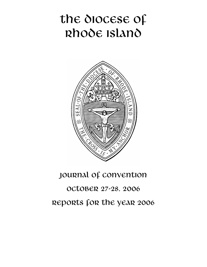# the diocese of Rhode Island



# Journal of Convention

# October 27-28, 2006 Reports for the year 2006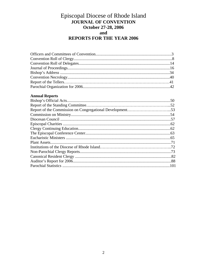# Episcopal Diocese of Rhode Island **JOURNAL OF CONVENTION** October 27-28, 2006 and **REPORTS FOR THE YEAR 2006**

# **Annual Reports**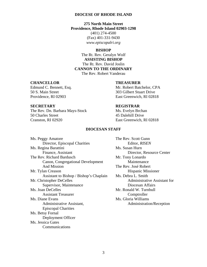#### **DIOCESE OF RHODE ISLAND**

**275 North Main Street Providence, Rhode Island 02903-1298**  (401) 274-4500 (Fax) 401-331-9430 *www.episcopalri.org* 

# **BISHOP**

The Rt. Rev. Geralyn Wolf **ASSISTING BISHOP**  The Rt. Rev. David Joslin **CANNON TO THE ORDINARY**  The Rev. Robert Vanderau

## **CHANCELLOR TREASURER**

Edmund C. Bennett, Esq. Mr. Robert Batchelor, CPA 50 S. Main Street 303 Gilbert Stuart Drive Providence, RI 02903 East Greenwich, RI 02818

The Rev. Dn. Barbara Mays-Stock Ms. Evelyn Brchan 50 Charles Street 45 Dalehill Drive Cranston, RI 02920 East Greenwich, RI 02818

#### **SECRETARY REGISTRAR**

## **DIOCESAN STAFF**

| Ms. Peggy Amatore                       |
|-----------------------------------------|
| Director, Episcopal Charities           |
| Ms. Regina Barattini                    |
| Finance, Assistant                      |
| The Rev. Richard Bardusch               |
| Canon, Congregational Development       |
| <b>And Mission</b>                      |
| Mr. Tylan Creason                       |
| Assistant to Bishop / Bishop's Chaplain |
| Mr. Christopher DeCelles                |
| Supervisor, Maintenance                 |
| Ms. Joan DeCelles                       |
| <b>Assistant Treasurer</b>              |
| Ms. Diane Evans                         |
| Administrative Assistant,               |
| <b>Episcopal Charities</b>              |
| Ms. Betsy Fornal                        |
| Deployment Officer                      |
| Ms. Jessica Gates                       |
| Communications                          |
|                                         |

The Rev. Scott Gunn Director, Episcopal Charities Editor, *RISEN* Ms. Susan Hurn Director, Resource Center Mr. Tony Lonardo **Maintenance** The Rev. José Robert Hispanic Missioner n Ms. Debra L. Smith Administrative Assistant for Diocesan Affairs Mr. Ronald W. Turnbull Comptroller Ms. Gloria Williams Administration/Reception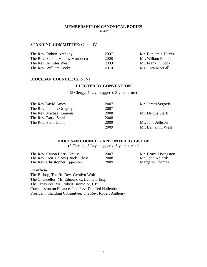#### **MEMBERSHIP ON CANONICAL BODIES**

(11-16-06)

# **STANDING COMMITTEE**: Canon IV

| The Rev. Robert Anthony         | 2007 | Mr. Benjamin Harris |
|---------------------------------|------|---------------------|
| The Rev. Sandra Haines-Murdocco | 2008 | Mr. Willam Plumb    |
| The Rev. Jennifer West          | 2009 | Mr. Franklin Cook   |
| The Rev. William Locke          | 2010 | Ms. Lora MacFall    |

# **DIOCESAN COUNCIL**: Canon VI

# **ELECTED BY CONVENTION**

(5 Clergy, 4 Lay, staggered 3-year terms)

| Mr. Dennis Stark  |
|-------------------|
|                   |
| Ms. Jane Jellison |
| Mr. Benjamin West |
|                   |

# **DIOCESAN COUNCIL - APPOINTED BY BISHOP**

(3 Clerical, 3 Lay, staggered 3-years terms)

| The Rev. Canon Harry Krauss      | 2007 | Mr. Bruce Livingston   |
|----------------------------------|------|------------------------|
| The Rev. Dcn. LeRoy (Buck) Close | 2008 | Mr. John Kolarik       |
| The Rev. Christopher Epperson    | 2009 | <b>Margaret Thomas</b> |

#### **Ex officio**

The Bishop, The Rt. Rev. Geralyn Wolf The Chancellor, Mr. Edmund C. Bennett, Esq. The Treasurer, Mr. Robert Batchelor, CPA Commission on Finance, The Rev. Dn. Ted Hallenbeck President, Standing Committee, The Rev. Robert Anthony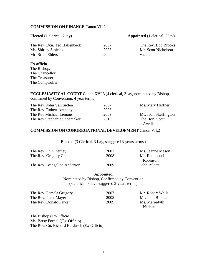# **COMMISSION ON FINANCE** Canon VII.1

## **Elected** (1 clerical, 2 lay) **Appointed** (1 clerical, 2 lay)

| The Rev. Dcn. Ted Hallenbeck | 2007 | The Rev. Bob Brooks |
|------------------------------|------|---------------------|
| Ms. Shirley Sibielski        | 2008 | Mr. Scott Nicholson |
| Mr. Brian Ehlers             | 2009 | vacant              |

# **Ex officio**

The Bishop, The Chancellor The Treasurer The Comptroller

**ECCLESIASTICAL COURT** Canon XVI.3 (4 clerical, 3 lay, nominated by Bishop, confirmed by Convention, 4 year terms)

| The Rev. John Van Siclen    | 2007 | Ms. Mary Heffner     |
|-----------------------------|------|----------------------|
| The Rev. Robert Anthony     | 2008 |                      |
| The Rev Michael Lemons      | 2009 | Ms. Joan Skeffington |
| The Rev Stephanie Shoemaker | 2010 | The Hon. Scott       |
|                             |      | Avedisian            |

# **COMMISSION ON CONGREGATIONAL DEVELOPMENT** Canon VII.2

**Elected** (3 Clerical, 3 Lay, staggered 3-years terms )

| The Rev. Phil Tierney       | 2007 | Ms. Jeanne Mason |
|-----------------------------|------|------------------|
| The Rev. Gregory Cole       | 2008 | Mr. Richmond     |
|                             |      | Robinson         |
| The Rev Evangeline Anderson | 2009 | John Bilotta     |

**Appointed**  Nominated by Bishop, Confirmed by Convention (3 clerical, 3 lay, staggered 3-years terms)

| The Rev. Pamela Gregory | 2007 | Mr. Robert Wells |
|-------------------------|------|------------------|
| The Rev. Peter Mayer    | 2008 | Mr. John Bilotta |
| The Rev. Donald Parker  | 2009 | Ms. Merredyth    |
|                         |      | Nadeau           |

The Bishop (Ex-Officio) Ms. Betsy Fornal ((Ex-Officio) The Rev. Cn. Richard Bardusch (Ex-Officio)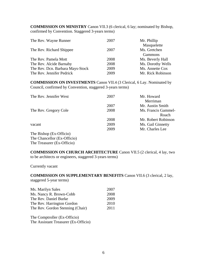**COMMISSION ON MINISTRY** Canon VII.3 (6 clerical, 6 lay; nominated by Bishop, confirmed by Convention. Staggered 3-years terms)

| 2007 | Mr. Phillip       |
|------|-------------------|
|      | Masquelette       |
| 2007 | Ms. Gretchen      |
|      | <b>Gammons</b>    |
| 2008 | Ms. Beverly Hall  |
| 2008 | Ms. Dorothy Wells |
| 2009 | Ms. Annette Cox   |
| 2009 | Mr. Rick Robinson |
|      |                   |

**COMMISSION ON INVESTMENTS** Canon VII.4 (3 Clerical, 6 Lay. Nominated by Council, confirmed by Convention, staggered 3-years terms)

| 2007 | Mr. Howard          |
|------|---------------------|
|      | Merriman            |
| 2007 | Mr. Austin Smith    |
| 2008 | Ms. Francis Gammel- |
|      | Roach               |
| 2008 | Mr. Robert Robinson |
| 2009 | Ms. Gail Ginnetty   |
| 2009 | Mr. Charles Lee     |
|      |                     |
|      |                     |

The Chancellor (Ex-Officio) The Treasurer (Ex-Officio)

**COMMISSION ON CHURCH ARCHITECTURE** Canon VII.5 (2 clerical, 4 lay, two to be architects or engineers, staggered 3-years terms)

Currently vacant

**COMMISSION ON SUPPLEMENTARY BENEFITS** Canon VII.6 (3 clerical, 2 lay, staggered 5-year terms)

| Ms. Marilyn Sales                | 2007 |
|----------------------------------|------|
| Ms. Nancy R. Brown-Cobb          | 2008 |
| The Rev. Daniel Burke            | 2009 |
| The Rev. Harrington Gordon       | 2010 |
| The Rev. Gordon Stenning (Chair) | 2011 |

The Comptroller (Ex-Officio) The Assistant Treasurer (Ex-Officio)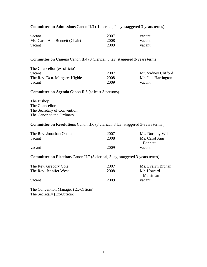**Committee on Admissions** Canon II.3 ( 1 clerical, 2 lay, staggered 3-years terms)

| vacant                        | 2007 | vacant |
|-------------------------------|------|--------|
| Ms. Carol Ann Bennett (Chair) | 2008 | vacant |
| vacant                        | 2009 | vacant |

**Committee on Canons** Canon II.4 (3 Clerical, 3 lay, staggered 3-years terms)

| The Chancellor (ex-officio)   |      |                     |
|-------------------------------|------|---------------------|
| vacant                        | 2007 | Mr. Sydney Clifford |
| The Rev. Don. Margaret Higbie | 2008 | Mr. Joel Harrington |
| vacant                        | 2009 | vacant              |

**Committee on Agenda** Canon II.5 (at least 3 persons)

The Bishop The Chancellor The Secretary of Convention The Canon to the Ordinary

# **Committee on Resolutions** Canon II.6 (3 clerical, 3 lay, staggered 3-years terms )

| The Rev. Jonathan Ostman | 2007 | Ms. Dorothy Wells |
|--------------------------|------|-------------------|
| vacant                   | 2008 | Ms. Carol Ann     |
|                          |      | <b>Bennett</b>    |
| vacant                   | 2009 | vacant            |

**Committee on Elections** Canon II.7 (3 clerical, 3 lay, staggered 3-years terms)

| The Rev. Gregory Cole  | 2007 | Ms. Evelyn Brchan |
|------------------------|------|-------------------|
| The Rev. Jennifer West | 2008 | Mr. Howard        |
|                        |      | Merriman          |
| vacant                 | 2009 | vacant            |

The Convention Manager (Ex-Officio) The Secretary (Ex-Officio)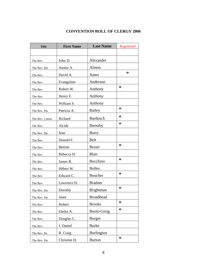# **CONVENTION ROLL OF CLERGY 2006**

| <b>Title</b>   | <b>First Name</b> | <b>Last Name</b>   | Registered |
|----------------|-------------------|--------------------|------------|
|                |                   |                    |            |
| The Rev.       | John D.           | Alexander          |            |
| The Rev. Dn.   | Austin A.         | Almon              |            |
| The Rev.       | David A.          | Ames               | $\ast$     |
| The Rev.       | Evangeline        | Anderson           |            |
| The Rev.       | Robert W.         | Anthony            | $\ast$     |
| The Rev.       | Henry F.          | Anthony            |            |
| The Rev.       | William S.        | Anthony            |            |
| The Rev. Dn.   | Patricia A.       | Bailey             | $\ast$     |
| The Rev. Canon | Richard           | <b>Bardusch</b>    | $\ast$     |
| The Rev.       | Alcide            | Barnaby            | $\ast$     |
| The Rev. Dn.   | Jean              | Barry              |            |
| The Rev.       | Donald F.         | Belt               |            |
| The Rev.       | <b>Bettine</b>    | <b>Besier</b>      | $\ast$     |
| The Rev.       | Rebecca H.        | Blair              |            |
| The Rev.       | James R.          | <b>Bocchino</b>    | $\ast$     |
| The Rev.       | Hébert W.         | <b>Bolles</b>      |            |
| The Rev.       | Edward C.         | Boucher            | $\ast$     |
| The Rev.       | Lawrence H.       | <b>Bradner</b>     |            |
| The Rev. Dn.   | Dorothy           | <b>Brightman</b>   | $\ast$     |
| The Rev. Dn.   | Janet             | <b>Broadhead</b>   |            |
| The Rev.       | Robert            | <b>Brooks</b>      | $\ast$     |
| The Rev.       | Eletha A.         | <b>Buote-Greig</b> | $\ast$     |
| The Rev.       | Douglas C.        | <b>Burger</b>      |            |
| The Rev.       | J. Daniel         | <b>Burke</b>       |            |
| The Rev. Dr.   | R. Craig          | <b>Burlington</b>  |            |
| The Rev. Dn.   | Christine H.      | <b>Burton</b>      | $\ast$     |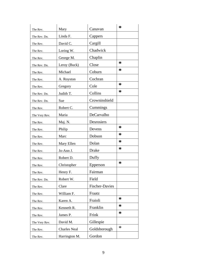| The Rev.      | Mary                | Canavan               | ∗      |
|---------------|---------------------|-----------------------|--------|
| The Rev. Dn.  | Linda F.            | Cappers               |        |
| The Rev.      | David C.            | Cargill               |        |
| The Rev.      | Loring W.           | Chadwick              |        |
| The Rev.      | George M.           | Chaplin               |        |
| The Rev. Dn.  | Leroy (Buck)        | Close                 | ∗      |
| The Rev.      | Michael             | Coburn                | ∗      |
| The Rev.      | A. Royston          | Cochran               |        |
| The Rev.      | Gregory             | Cole                  | ∗      |
| The Rev. Dn.  | Judith T.           | Collins               | ∗      |
| The Rev. Dn.  | Sue                 | Crowninshield         |        |
| The Rev.      | Robert C.           | Cummings              |        |
| The Very Rev. | Maria               | DeCarvalho            |        |
| The Rev.      | Maj. N.             | Desrosiers            |        |
| The Rev.      | Philip              | Devens                | ∗      |
| The Rev.      | Marc                | Dobson                | ∗      |
| The Rev.      | Mary Ellen          | Dolan                 | ∗      |
| The Rev.      | Jo-Ann J.           | Drake                 | $\ast$ |
| The Rev.      | Robert D.           | Duffy                 |        |
| The Rev.      | Christopher         | Epperson              | ∗      |
| The Rev.      | Henry F.            | Fairman               |        |
| The Rev. Dn.  | Robert W.           | Field                 |        |
| The Rev.      | Clare               | <b>Fischer-Davies</b> |        |
| The Rev.      | William F.          | Fraatz                |        |
| The Rev.      | Karen A.            | Fraioli               | ∗      |
| The Rev.      | Kenneth R.          | Franklin              | ∗      |
| The Rev.      | James P.            | Frink                 | ∗      |
| The Very Rev. | David M.            | Gillespie             |        |
| The Rev.      | <b>Charles Neal</b> | Goldsborough          | $\ast$ |
| The Rev.      | Harrington M.       | Gordon                |        |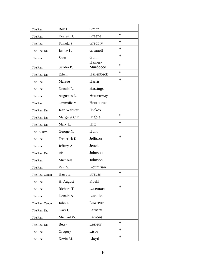| The Rev.       | Roy D.        | Green               |        |
|----------------|---------------|---------------------|--------|
| The Rev.       | Everett H.    | Greene              | $\ast$ |
| The Rev.       | Pamela S.     | Gregory             | $\ast$ |
| The Rev. Dn.   | Janice L.     | Grinnell            | $\ast$ |
| The Rev.       | Scott         | Gunn                | $\ast$ |
| The Rev.       | Sandra P.     | Haines-<br>Murdocco | $\ast$ |
| The Rev. Dn.   | Edwin         | Hallenbeck          | $\ast$ |
| The Rev.       | Marsue        | Harris              | $\ast$ |
| The Rev.       | Donald L.     | Hastings            |        |
| The Rev.       | Augustus L.   | Hemenway            |        |
| The Rev.       | Granville V.  | Henthorne           |        |
| The Rev. Dn.   | Jean Webster  | Hickox              |        |
| The Rev. Dn.   | Margaret C.F. | Higbie              | $\ast$ |
| The Rev. Dn.   | Mary L.       | Hitt                | $\ast$ |
| The Rt. Rev.   | George N.     | Hunt                |        |
| The Rev.       | Frederick K.  | Jellison            | $\ast$ |
| The Rev.       | Jeffrey A.    | Jencks              |        |
| The Rev. Dn.   | Ida R.        | Johnson             |        |
| The Rev.       | Michaela      | Johnson             |        |
| The Rev.       | Paul S.       | Koumrian            |        |
| The Rev. Canon | Harry E.      | Krauss              | $\ast$ |
| The Rev.       | H. August     | Kuehl               |        |
| The Rev.       | Richard T.    | Laremore            | $\ast$ |
| The Rev.       | Donald A.     | Lavallee            |        |
| The Rev. Canon | John E.       | Lawrence            |        |
| The Rev. Dr.   | Gary C.       | Lemery              |        |
| The Rev.       | Michael W.    | Lemons              |        |
| The Rev. Dn.   | <b>Betsy</b>  | Lesieur             | $\ast$ |
| The Rev.       | Gregory       | Lisby               | $\ast$ |
| The Rev.       | Kevin M.      | Lloyd               | $\ast$ |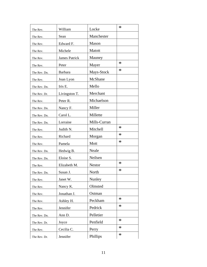| The Rev.     | William              | Locke         | $\ast$ |
|--------------|----------------------|---------------|--------|
| The Rev.     | Sean                 | Manchester    |        |
| The Rev.     | Edward F.            | Mason         |        |
| The Rev.     | Michele              | Matott        |        |
| The Rev.     | <b>James Patrick</b> | Mauney        |        |
| The Rev.     | Peter                | Mayer         | $\ast$ |
| The Rev. Dn. | Barbara              | Mays-Stock    | $\ast$ |
| The Rev.     | Joan Lyon            | McShane       |        |
| The Rev. Dn. | Iris E.              | Mello         |        |
| The Rev. Dr. | Livingston T.        | Merchant      |        |
| The Rev.     | Peter R.             | Michaelson    |        |
| The Rev. Dn. | Nancy F.             | Miller        |        |
| The Rev. Dn. | Carol L.             | Millette      |        |
| The Rev. Dn. | Lorraine             | Mills-Curran  |        |
| The Rev.     | Judith N.            | Mitchell      | $\ast$ |
| The Rev.     | Richard              | Morgan        | $\ast$ |
| The Rev.     | Pamela               | Mott          | $\ast$ |
| The Rev. Dn. | Hedwig B.            | Neale         |        |
| The Rev. Dn. | Eloise S.            | Neilsen       |        |
| The Rev.     | Elizabeth M.         | <b>Nestor</b> | $\ast$ |
| The Rev. Dn. | Susan J.             | North         | $\ast$ |
| The Rev.     | Janet W.             | Nunley        |        |
| The Rev.     | Nancy K.             | Olmsted       |        |
| The Rev.     | Jonathan J.          | Ostman        |        |
| The Rev.     | Ashley H.            | Peckham       | $\ast$ |
| The Rev.     | Jennifer             | Pedrick       | $\ast$ |
| The Rev. Dn. | Ann D.               | Pelletier     |        |
| The Rev. Dr. | Joyce                | Penfield      | $\ast$ |
| The Rev.     | Cecilia C.           | Perry         | $\ast$ |
| The Rev. Dr. | Jennifer             | Phillips      | $\ast$ |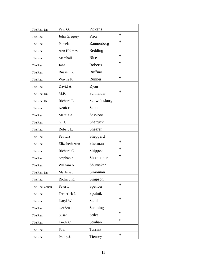| The Rev. Dn.   | Paul G.       | Pickens       |        |
|----------------|---------------|---------------|--------|
| The Rev.       | John Gregory  | Prior         | $\ast$ |
| The Rev.       | Pamela        | Rannenberg    | $\ast$ |
| The Rev.       | Ann Holmes    | Redding       |        |
| The Rev.       | Marshall T.   | Rice          | $\ast$ |
| The Rev.       | Jose          | Roberts       | $\ast$ |
| The Rev.       | Russell G.    | Ruffino       |        |
| The Rev.       | Wayne P.      | Runner        | $\ast$ |
| The Rev.       | David A.      | Ryan          |        |
| The Rev. Dn.   | M.P.          | Schneider     | $\ast$ |
| The Rev. Dr.   | Richard L.    | Schweinsburg  |        |
| The Rev.       | Keith E.      | Scott         |        |
| The Rev.       | Marcia A.     | Sessions      |        |
| The Rev.       | G.H.          | Shattuck      |        |
| The Rev.       | Robert L.     | Shearer       |        |
| The Rev.       | Patricia      | Sheppard      |        |
| The Rev.       | Elizabeth Ann | Sherman       | $\ast$ |
| The Rev.       | Richard C.    | Shippee       | $\ast$ |
| The Rev.       | Stephanie     | Shoemaker     | $\ast$ |
| The Rev.       | William N.    | Shumaker      |        |
| The Rev. Dn.   | Marlene J.    | Simonian      |        |
| The Rev.       | Richard R.    | Simpson       |        |
| The Rev. Canon | Peter L.      | Spencer       | $\ast$ |
| The Rev.       | Frederick J.  | Spulnik       |        |
| The Rev.       | Daryl W.      | Stahl         | $\ast$ |
| The Rev.       | Gordon J.     | Stenning      |        |
| The Rev.       | Susan         | <b>Stiles</b> | $\ast$ |
| The Rev.       | Linda C.      | Strahan       | $\ast$ |
| The Rev.       | Paul          | Tarrant       |        |
| The Rev.       | Philip J.     | Tierney       | $\ast$ |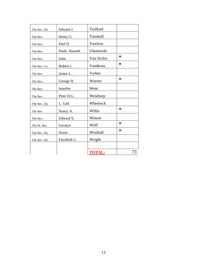| The Rev. Dn. | Edward J.    | Trafford      |        |
|--------------|--------------|---------------|--------|
| The Rev.     | Henry G.     | Turnbull      |        |
| The Rev.     | Paul D.      | Twelves       |        |
| The Rev.     | Paula Hannah | Ulanowski     |        |
| The Rev.     | John         | Van Siclen    | $\ast$ |
| The Rev. Cn. | Robert J.    | Vanderau      | $\ast$ |
| The Rev.     | James L.     | Verber        |        |
| The Rev.     | George H.    | Warren        | $\ast$ |
| The Rev.     | Jennifer     | West          |        |
| The Rev.     | Peter H.G.   | Westhorp      |        |
| The Rev. Dn. | L. Gail      | Wheelock      |        |
| The Rev.     | Nancy A.     | Willis        | $\ast$ |
| The Rev.     | Edward S.    | Winsor        |        |
| The Rt. Rev. | Geralyn      | Wolf          | $\ast$ |
| The Rev. Dn. | Susan        | Wrathall      | $\ast$ |
| The Rev. Dn. | Elizabeth L. | Wright        |        |
|              |              |               |        |
|              |              | <b>TOTAL:</b> | 73     |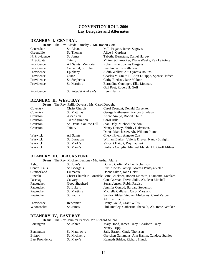# **CONVENTION ROLL 2006 Lay Delegates and Alternates**

#### **Deans:** The Rev. Alcide Barnaby / Mr. Robert Goff<br>le St. Alban's M.R. Pag Centredale St. Alban's M.R. Pagano, James Segovis Greenville St. Thomas Alice P. Gardner<br>
N. Providence St. James Tabetha Bernstein St. James Tabetha Bernstein, Daniel Harvey N. Scituate Trinity Milton Schumacker, Diane Weeks, Ray LaPointe Providence All Saints' Memorial Robert Frueh, James Burgess Providence Cathedral, St. John Lee Jenney, Priscilla Read Providence Epiphany Judith Walker, Alt. Cynthia Rollins Providence Grace Grace Charles M. Smith III, Ann DiPippo, Spence Harber<br>Providence St. Stephen's Cathy Bledsoe, Jane Malone Providence St. Stephen's Cathy Bledsoe, Jane Malone<br>
Providence St. Martin's Bernadine Cunnigen, Elke M Bernadine Cunnigen, Elke Moonan, Gail Peet, Robert H. Goff Providence St. Peter/St Andrew's Lynn Harris

# **DEANERY II, WEST BAY**

**DEANERY I, CENTRAL** 

|          | <b>Deans:</b> The Rev. Philip Devens / Ms. Carol Drought |                                                    |
|----------|----------------------------------------------------------|----------------------------------------------------|
| Coventry | Christ Church                                            | Carol Drought, Donald Carpenter                    |
| Coventry | St. Matthias'                                            | George Nathanson, Frances Sturdavant               |
| Cranston | Ascension                                                | Andre Araujo, Robert Chille                        |
| Cranston | Transfiguration                                          | Carol Hills                                        |
| Cranston | St. David's-on-the-Hill                                  | Joan Daly, Michael Sheldon                         |
| Cranston | Trinity                                                  | Nancy Dorsey, Shirley Halvarson,                   |
|          |                                                          | Donna Manchester, Alt. William Plumb               |
| Warwick  | All Saints'                                              | Cheryl Flynn, Annette Cox                          |
| Warwick  | St. Barnabas                                             | William Barker, Valerie Dreyer, Nancy Straight     |
| Warwick  | St. Mark's                                               | Vincent Haight, Roy Lautieri                       |
| Warwick  | St. Mary's                                               | Barbara Caniglia, Michael Marsh, Alt. Geoff Milner |

# **DEANERY III, BLACKSTONE**

|               | <b>Deans:</b> The Rev. Michael Lemons / Mr. Arthur Alarie |                                                                              |
|---------------|-----------------------------------------------------------|------------------------------------------------------------------------------|
| Ashton        | St. John's                                                | Donald Carlin, Michael Robertson                                             |
| Central Falls | St. George's                                              | Luis Alberto Pantoja, Martha Pantoja-Velez                                   |
| Cumberland    | Emmanuel                                                  | Donna Silvia, John Gelati                                                    |
| Lincoln       |                                                           | Christ Church in Lonsdale Bette Bruckner, Robert Lincourt, Diamonte Tavolaro |
| Pascoag       | Calvary                                                   | Cate Gorman, David Sidla, Alt. Jean Mitchell                                 |
| Pawtucket     | Good Shepherd                                             | Susan Jenson, Robin Paraiso                                                  |
| Pawtucket     | St. Luke's                                                | Jennifer Conrad, Barbara Stevenson                                           |
| Pawtucket     | St. Martin's                                              | Michelle Callahan, Carol Marsland                                            |
| Pawtucket     | St. Paul's                                                | Sandra Gildea, Stephen Mulcahey, Carol Varden,                               |
|               |                                                           | Alt. Kerri Scott                                                             |
| Providence    | Redeemer                                                  | Henry Gould, Grant Willis                                                    |
| Woonsocket    | St. James'                                                | Phil Huntley, Catherine Thenault, Alt. Irene Nebiker                         |

# **DEANERY IV, EAST BAY**

**Deans:** The Rev. Jennifer Pedrick/Mr. Richard Munro<br>on St John's Mary Hoo Barrington St. John's Mary Hood, James Tracy, Charlotte Tracy,

| Danington         | มแขนแบ        | $\mu$ and $\mu$ is the state of $\mu$ in $\mu$ . |
|-------------------|---------------|--------------------------------------------------|
|                   |               | Nancy Tripp                                      |
| <b>Barrington</b> | St. Matthew's | Sally Easton, Cindy Thomsen                      |
| <b>Bristol</b>    | St. Michael's | Gretchen Gammons, Ann Hamm, Candace Stanley      |
| East Providence   | St. Mary's    | Kenneth Bridge, Richard Hauck                    |
|                   |               |                                                  |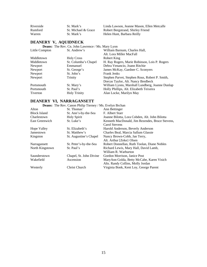| Riverside | St. Mark's          | Linda Lawson, Jeanne Mason, Ellen Metcalfe |
|-----------|---------------------|--------------------------------------------|
| Rumford   | St. Michael & Grace | Robert Bergstrand, Shirley Friend          |
| Warren    | St. Mark's          | Helen Hunt, Barbara Reilly                 |

# **DEANERY V, AQUIDNECK**

| <b>Deans:</b> The Rev. Cn. John Lawrence / Ms. Mary Lyon |  |
|----------------------------------------------------------|--|
|----------------------------------------------------------|--|

| Little Compton | St. Andrew's         | William Barnum, Charles Hall,                   |
|----------------|----------------------|-------------------------------------------------|
|                |                      | Alt. Lora Miller MacFall                        |
| Middletown     | <b>Holy Cross</b>    | Robert King                                     |
| Middletown     | St. Columba's Chapel | H. Ray Rogers, Marie Robinson, Lois P. Rogers   |
| Newport        | Emmanuel             | Debra Venancio, Joann Ritchie                   |
| Newport        | St. George's         | James McKay, Gardner C. Sconyers                |
| Newport        | St. John's           | <b>Frank Jenks</b>                              |
| Newport        | Trinity              | Stephen Parvet, Stephen Rous, Robert P. Smith,  |
|                |                      | Dorcas Taylor, Alt. Nancy Bredbeck              |
| Portsmouth     | St. Mary's           | William Lyons, Marshall Lundberg, Joanne Dunlap |
| Portsmouth     | St. Paul's           | Holly Phillips, Alt. Elizabeth Teixeira         |
| Tiverton       | <b>Holy Trinity</b>  | Alan Locke, Marilyn May                         |

# **DEANERY VI, NARRAGANSETT**

|                     | <b>Deans:</b> The Rev. Canon Philip Tierney / Ms. Evelyn Brchan |                                                 |
|---------------------|-----------------------------------------------------------------|-------------------------------------------------|
| Alton               | St. Thomas'                                                     | Ann Bettinger                                   |
| <b>Block Island</b> | St. Ann's-by-the-Sea                                            | F. Albert Starr                                 |
| Charlestown         | <b>Holy Spirit</b>                                              | Joanne Bilotta, Lora Cobden, Alt. John Bilotta  |
| East Greenwich      | St. Luke's                                                      | Kenneth MacDonald, Jim Rezendes, Bruce Stevens, |
|                     |                                                                 | Carol Stevens                                   |
| <b>Hope Valley</b>  | St. Elizabeth's                                                 | Harold Anderson, Beverly Anderson               |
| Jamestown           | St. Matthew's                                                   | Charles Beal, Marcia Sallum Glassie             |
| Kingston            | St. Augustine's Chapel                                          | Nancy Brown-Cobb, Jan Terry,                    |
|                     |                                                                 | Alt. Arthur [Zeke} Olsen                        |
| Narragansett        | St. Peter's-by-the-Sea                                          | Robert Donnellan, Ruth Toolan, Diane Nobles     |
| North Kingstown     | St. Paul's                                                      | Richard Lewis, Mary Hall, David Lamb,           |
|                     |                                                                 | William R. Warburton                            |
| Saunderstown        | Chapel, St. John Divine                                         | Gordon Morrison, Janice Post                    |
| Wakefield           | Ascension                                                       | MaryAnn Golda, Betty McCabe, Karen Visich       |
|                     |                                                                 | Alts. Randy Collins, Molly Jordan               |
| Westerly            | <b>Christ Church</b>                                            | Virginia Bonk, Kent Loy, George Parent          |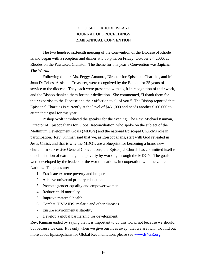# DIOCESE OF RHODE ISLAND JOURNAL OF PROCEEDINGS 216th ANNUAL CONVENTION

 The two hundred sixteenth meeting of the Convention of the Diocese of Rhode Island began with a reception and dinner at 5:30 p.m. on Friday, October 27, 2006, at Rhodes on the Pawtuxet, Cranston. The theme for this year's Convention was *Lighten The World.*

 Following dinner, Ms. Peggy Amatore, Director for Episcopal Charities, and Ms. Joan DeCelles, Assistant Treasurer, were recognized by the Bishop for 25 years of service to the diocese. They each were presented with a gift in recognition of their work, and the Bishop thanked them for their dedication. She commented, "I thank them for their expertise to the Diocese and their affection to all of you." The Bishop reported that Episcopal Charities is currently at the level of \$451,000 and needs another \$100,000 to attain their goal for this year.

 Bishop Wolf introduced the speaker for the evening, The Rev. Michael Kinman, Director of Episcopalians for Global Reconciliation, who spoke on the subject of the Mellinium Development Goals (MDG's) and the national Episcopal Church's role in participation. Rev. Kinman said that we, as Episcopalians, start with God revealed in Jesus Christ, and that is why the MDG's are a blueprint for becoming a brand new church. In successive General Conventions, the Episcopal Church has committed itself to the elimination of extreme global poverty by working through the MDG's. The goals were developed by the leaders of the world's nations, in cooperation with the United Nations. The goals are:

- 1. Eradicate extreme poverty and hunger.
- 2. Achieve universal primary education.
- 3. Promote gender equality and empower women.
- 4. Reduce child mortality.
- 5. Improve maternal health.
- 6. Combat HIV/AIDS, malaria and other diseases.
- 7. Ensure environmental stability
- 8. Develop a global partnership for development.

Rev. Kinman ended by saying that it is important to do this work, not because we should, but because we can. It is only when we give our lives away, that we are rich. To find out more about Episcopalians for Global Reconciliation, please see [www.E4GR.org](http://www.e4gr.org/) .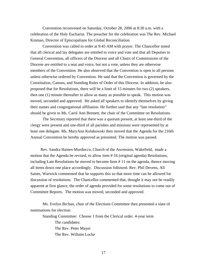Convention reconvened on Saturday, October 28, 2006 at 8:30 a.m. with a celebration of the Holy Eucharist. The preacher for the celebration was The Rev. Michael Kinman, Director of Episcopalians for Global Reconciliation.

 Convention was called to order at 9:45 AM with prayer. The Chancellor noted that all clerical and lay delegates are entitled to voice and vote and that all Deputies to General Convention, all officers of the Diocese and all Chairs of Commissions of the Diocese are entitled to a seat and voice, but not a vote, unless they are otherwise members of the Convention. He also observed that the Convention is open to all persons unless otherwise ordered by Convention. He said that the Convention is governed by the Constitution, Canons, and Standing Rules of Order of this Diocese. In addition, he also proposed that for Resolutions, there will be a limit of 15 minutes for two (2) speakers, then one (1) minute thereafter to allow as many as possible to speak. This motion was moved, seconded and approved. He asked all speakers to identify themselves by giving their names and congregational affiliation. He further said that any "late resolution" should be given to Ms. Carol Ann Bennett, the chair of the Committee on Resolutions.

 The Secretary reported that there was a quorum present, at least one-third of the clergy were present and one-third of all parishes and missions were represented by at least one delegate. Ms. MaryAnn Kolakowski then moved that the Agenda for the 216th Annual Convention be hereby approved as presented. The motion was passed.

 Rev. Sandra Haines-Murdocco, Church of the Ascension, Wakefield, made a motion that the Agenda be revised, to allow item # 16 (original agenda) Resolutions, including Late Resolutions be moved to become Item # 11 on the agenda, thence moving all items down one place accordingly. Discussion followed. Rev. Phil Devens, All Saints, Warwick commented that he supports this so that more time can be allowed for discussion of resolutions. The Chancellor commented that, thought it may not be readily apparent at first glance, the order of agenda provided for some resolutions to come out of Committee Reports. The motion was moved, seconded and approved.

 Ms. Evelyn Brchan, chair of the Elections Committee then presented a slate of nominations for election:

Standing Committee: Choose 1 from the Clerical order. 4-year term

 The candidates: The Rev. Peter Mayer The Rev. Willaim Locke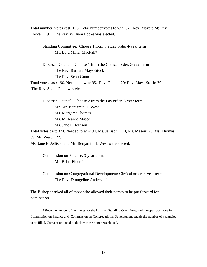Total number votes cast: 193; Total number votes to win: 97. Rev. Mayer: 74; Rev. Locke: 119. The Rev. William Locke was elected.

Standing Committee: Choose 1 from the Lay order 4-year term Ms. Lora Miller MacFall\*

 Diocesan Council: Choose 1 from the Clerical order. 3-year term The Rev. Barbara Mays-Stock The Rev. Scott Gunn Total votes cast: 190. Needed to win: 95. Rev. Gunn: 120; Rev. Mays-Stock: 70.

The Rev. Scott Gunn was elected.

Diocesan Council: Choose 2 from the Lay order. 3-year term. Mr. Mr. Benjamin H. West Ms. Margaret Thomas Ms. M. Jeanne Mason Ms. Jane E. Jellison

Total votes cast: 374. Needed to win: 94. Ms. Jellison: 120, Ms. Mason: 73, Ms. Thomas: 59, Mr. West: 122.

Ms. Jane E. Jellison and Mr. Benjamin H. West were elected.

Commission on Finance. 3-year term. Mr. Brian Ehlers\*

Commission on Congregational Development: Clerical order. 3-year term. The Rev. Evangeline Anderson\*

The Bishop thanked all of those who allowed their names to be put forward for nomination.

\*Since the number of nominees for the Laity on Standing Committee, and the open positions for Commission on Finance and Commission on Congregational Development equals the number of vacancies to be filled, Convention voted to declare those nominees elected.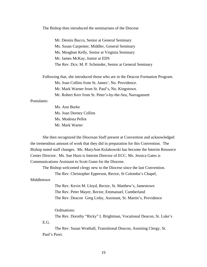The Bishop then introduced the seminarians of the Diocese

Mr. Dennis Bucco, Senior at General Seminary Ms. Susan Carpenter, Middler, General Seminary Ms. Meaghan Kelly, Senior at Virginia Seminary Mr. James McKay, Junior at EDS The Rev. Dcn. M. P. Schnieder, Senior at General Seminary

 Following that, she introduced those who are in the Deacon Formation Program. Ms. Joan Collins from St. James', No. Providence. Mr. Mark Warner from St. Paul's, No. Kingstown. Mr. Robert Kerr from St. Peter's-by-the-Sea, Narragansett

#### Postulants:

 Ms. Ann Burke Ms. Joan Dorney Collins Ms. Modesta Pellot Mr. Mark Warter

 She then recognized the Diocesan Staff present at Convention and acknowledged the tremendous amount of work that they did in preparation for this Convention. The Bishop noted staff changes. Ms. MaryAnn Kolakowski has become the Interim Resource Center Director. Ms. Sue Hurn is Interim Director of ECC. Ms. Jessica Gates is Communications Assistant to Scott Gunn for the Diocese.

 The Bishop welcomed clergy new to the Diocese since the last Convention. The Rev. Christopher Epperson, Rector, St Colomba's Chapel,

Middletown

 The Rev. Kevin M. Lloyd, Rector, St. Matthew's, Jamestown The Rev. Peter Mayer, Rector, Emmanuel, Cumberland The Rev. Deacon Greg Lisby, Assistant, St. Martin's, Providence

Ordinations:

The Rev. Dorothy "Ricky" L Brightman, Vocational Deacon, St. Luke's E.G.

The Rev. Susan Wrathall, Transitional Deacon, Assisting Clergy, St. Paul's Pawt.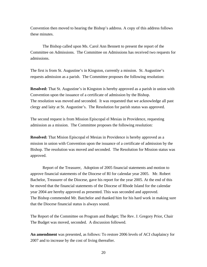Convention then moved to hearing the Bishop's address. A copy of this address follows these minutes.

 The Bishop called upon Ms. Carol Ann Bennett to present the report of the Committee on Admissions. The Committee on Admissions has received two requests for admissions.

The first is from St. Augustine's in Kingston, currently a mission. St. Augustine's requests admission as a parish. The Committee proposes the following resolution:

**Resolved:** That St. Augustine's in Kingston is hereby approved as a parish in union with Convention upon the issuance of a certificate of admission by the Bishop. The resolution was moved and seconded. It was requested that we acknowledge all past clergy and laity at St. Augustine's. The Resolution for parish status was approved.

The second request is from Mission Episcopal el Mesias in Providence, requesting admission as a mission. The Committee proposes the following resolution:

**Resolved:** That Mision Episcopal el Mesias in Providence is hereby approved as a mission in union with Convention upon the issuance of a certificate of admission by the Bishop. The resolution was moved and seconded. The Resolution for Mission status was approved.

Report of the Treasurer, Adoption of 2005 financial statements and motion to approve financial statements of the Diocese of RI for calendar year 2005. Mr. Robert Bachelor, Treasurer of the Diocese, gave his report for the year 2005. At the end of this he moved that the financial statements of the Diocese of Rhode Island for the calendar year 2004 are hereby approved as presented. This was seconded and approved. The Bishop commended Mr. Batchelor and thanked him for his hard work in making sure that the Diocese financial status is always sound.

The Report of the Committee on Program and Budget; The Rev. J. Gregory Prior, Chair The Budget was moved, seconded. A discussion followed.

**An amendment** was presented, as follows: To restore 2006 levels of ACI chaplaincy for 2007 and to increase by the cost of living thereafter.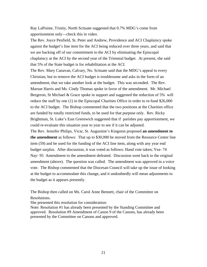Ray LaPointe, Trinity, North Scituate suggested that 0.7% MDG's come from apportionment only—check this in video.

The Rev. Joyce Penfield, St. Peter and Andrew, Providence and ACI Chaplaincy spoke against the budget's line item for the ACI being reduced over three years, and said that we are backing off of our commitment to the ACI by eliminating the Episcopal chaplaincy at the ACI by the second year of the Triennial budget. At present, she said that 5% of the State budget is for rehabilitation at the ACI.

The Rev. Mary Canavan, Calvary, No. Scituate said that the MDG's appeal to every Christian, but to remove the ACI budget is troublesome and asks in the form of an amendment, that we take another look at the budget. This was seconded. The Rev. Marsue Harris and Ms. Cindy Thomas spoke in favor of the amendment. Mr. Michael Bergeron, St Michael & Grace spoke in support and suggested the reduction of 5% will reduce the staff by one (1) in the Episcopal Charities Office in order to re-fund \$26,000 to the ACI budget. The Bishop commented that the two positions at the Charities office are funded by totally restricted funds, to be used for that purpose only. Rev. Ricky Brightman, St. Luke's East Greenwich suggested that if parishes pay apportionment, we could re-evaluate this situation year to year to see if it can be adjusted.

The Rev. Jennifer Philips, Vicar, St. Augustine's Kingston proposed **an amendment to the amendment** as follows: That up to \$30,000 be moved from the Resource Center line item (59) and be used for the funding of the ACI line item, along with any year end budget surplus. After discussion, it was voted as follows: Hand vote taken; Yea- 74 Nay- 95 Amendment to the amendment defeated. Discussion went back to the original amendment (above). The question was called. The amendment was approved in a voice vote. The Bishop commented that the Diocesan Council will take up the issue of looking at the budget to accommodate this change, and it undoubtedly will mean adjustments to the budget as it appears presently.

The Bishop then called on Ms. Carol Anne Bennett, chair of the Committee on Resolutions.

She presented this resolution for consideration:

Note: Resolution #1 has already been presented by the Standing Committee and approved. Resolution #9 Amendment of Canon 9 of the Canons, has already been presented by the Committee on Canons and approved.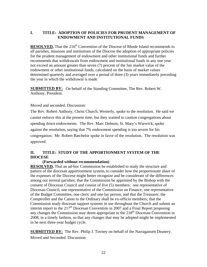# **I. TITLE: ADOPTION OF POLICIES FOR PRUDENT MANAGEMENT OF ENDOWMENT AND INSTITUTIONAL FUNDS**

**RESOLVED.** That the 216<sup>th</sup> Convention of the Diocese of Rhode Island recommends to all parishes, missions and institutions of the Diocese the adoption of appropriate policies for the prudent management of endowment and other institutional funds and further recommends that withdrawals from endowment and institutional funds in any one year not exceed an amount greater than seven (7) percent of the fair market value of the endowment or other institutional funds, calculated on the basis of market values determined quarterly and averaged over a period of three (3) years immediately preceding the year in which the withdrawal is made.

**SUBMITTED BY:** On behalf of the Standing Committee, The Rev. Robert W. Anthony, President.

# Moved and seconded. Discussion:

The Rev. Robert Anthony, Christ Church, Westerly, spoke to the resolution. He said we cannot enforce this at the present time, but they wanted to caution congregations about spending down endowments. The Rev. Marc Dobson, St. Mary's Warwick, spoke against the resolution, saying that 7% endowment spending is too severe for his congregation. Mr. Robert Batchelor spoke in favor of the resolution. The resolution was approved.

# **II. TITLE: STUDY OF THE APPORTIONMENT SYSTEM OF THE DIOCESE**

# **(Forwarded without recommendation)**

**RESOLVED,** That an ad-hoc Commission be established to study the structure and pattern of the diocesan apportionment system, to consider how the proportionate share of the expenses of the Diocese might better recognize and be considerate of the differences among our several parishes; that the Commission be appointed by the Bishop with the consent of Diocesan Council and consist of five (5) members: one representative of Diocesan Council, one representative of the Commission on Finance, one representative of the Budget Committee, one cleric and one lay person, and that the Treasurer, the Comptroller and the Canon to the Ordinary shall be ex-officio members; that the Commission study diocesan support systems in use throughout the Church and submit an interim report to the  $217<sup>th</sup>$  Diocesan Convention in 2007 and a Final Report proposing any changes the Commission may deem appropriate to the  $218<sup>th</sup>$  Diocesan Convention in 2008, in a timely fashion, so that any changes that may be adopted might be implemented in he next three-year budget cycle.

**SUBMITTED BY:** The Rev. Philip J. Tierney on behalf of the Narragansett Deanery. Moved and Seconded. Discussion: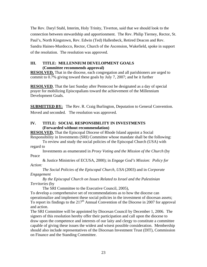The Rev. Daryl Stahl, Interim, Holy Trinity, Tiverton, said that we should look to the connection between stewardship and apportionment. The Rev. Philip Tierney, Rector, St. Paul's, North Kingstown, Rev. Edwin (Ted) Hallenbeck, Retired Deacon and Rev. Sandra Haines-Murdocco, Rector, Church of the Ascension, Wakefield, spoke in support of the resolution. The resolution was approved.

# **III. TITLE: MILLENNIUM DEVELOPMENT GOALS (Committee recommends approval)**

**RESOLVED,** That in the diocese, each congregation and all parishioners are urged to commit to 0.7% giving toward these goals by July 7, 2007; and be it further

**RESOLVED**, That the last Sunday after Pentecost be designated as a day of special prayer for mobilizing Episcopalians toward the achievement of the Millennium Development Goals.

**SUBMITTED BY:** The Rev. R. Craig Burlington, Deputation to General Convention. Moved and seconded. The resolution was approved.

# **IV. TITLE: SOCIAL RESPONSIBILITY IN INVESTMENTS (Forwarded without recommendation)**

**RESOLVED,** That the Episcopal Diocese of Rhode Island appoint a Social Responsibility in Investments (SRI) Committee whose mandate shall be the following:

 To review and study the social policies of the Episcopal Church (USA) with regard to

 Investments as enumerated in *Proxy Voting and the Mission of the Church* (by Peace

 & Justice Ministries of ECUSA, 2000); in *Engage God's Mission: Policy for Action:* 

 *The Social Policies of the Episcopal Church, USA* (2003) and in *Corporate Engagement* 

 *By the Episcopal Church on Issues Related to Israel and the Palestinian Territories* (by

The SRI Committee to the Executive Council, 2005),

To develop a comprehensive set of recommendations as to how the diocese can operationalize and implement these social policies in the investment of diocesan assets; To report its findings to the  $217<sup>th</sup>$  Annual Convention of the Diocese in 2007 for approval and action.

The SRI Committee will be appointed by Diocesan Council by December 1, 2006. The signers of this resolution hereby offer their participation and call upon the diocese to draw upon the competence and interests of our laity and clergy to constitute a committee capable of giving these issues the widest and wisest possible consideration. Membership should also include representatives of the Diocesan Investment Trust (DIT), Commission on Finance and the Standing Committee.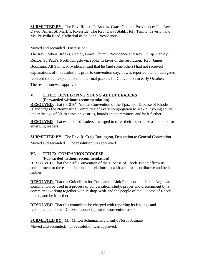**SUBMITTED BY:** The Rev. Robert T. Brooks, Grace Church, Providence; The Rev. David Ames, St. Mark's, Riverside; The Rev. Daryl Stahl, Holy Trinity, Tiverton and Ms. Priscilla Read, Cathedral of St. John, Providence.

# Moved and seconded. Discussion:

The Rev. Robert Brooks, Rector, Grace Church, Providence and Rev, Philip Tierney, Rector, St. Paul's North Kingstown, spoke in favor of the resolution. Rev. James Bocchino, All Saints, Providence, said that he (and some others) had not received explanations of the resolutions prior to convention day. It was reported that all delegates received the full explanations in the final packets for Convention in early October. The resolution was approved.

# **V. TITLE: DEVELOPING YOUNG ADULT LEADERS (Forwarded without recommendation)**

**RESOLVED,** That the 216<sup>th</sup> Annual Convention of the Episcopal Diocese of Rhode Island urges the Nominating Committee of every congregation to seek out young adults, under the age of 30, to serve on vestries, boards and committees and be it further

**RESOLVED**, That established leaders are urged to offer their experience as mentors for emerging leaders.

**SUBMITTED BY:** The Rev. R. Craig Burlington, Deputation to General Convention Moved and seconded. The resolution was approved.

# **VI. TITLE: COMPANION DIOCESE**

# **(Forwarded without recommendation)**

**RESOLVED,** That the 216<sup>th</sup> Convention of the Diocese of Rhode Island affirm its commitment to the establishment of a relationship with a companion diocese and be it further

**RESOLVED,** That the Guidelines for Companion Link Relationships in the Anglican Communion be used in a process of conversation, study, prayer and discernment by a committee working together with Bishop Wolf and the people of the Diocese of Rhode Island, and be it further

**RESOLVED**, That this committee be charged with reporting its findings and recommendations to Diocesan Council prior to Convention 2007.

**SUBMITTED BY:** Mr. Milton Schumacher, Trinity, North Scituate Moved and seconded. The resolution was approved.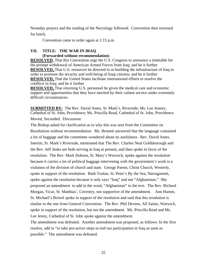Noonday prayers and the reading of the Necrology followed. Convention then recessed for lunch.

Convention came to order again at 1:15 p.m.

# **VII. TITLE: THE WAR IN IRAQ**

 **(Forwarded without recommendation)** 

**RESOLVED,** That this Convention urge the U.S. Congress to announce a timetable for the prompt withdrawal of American Armed Forces from Iraq; and be it further **RESOLVED,** That U.S. resources be directed to re-building the infrastructure of Iraq in order to promote the security and well-being of Iraqi citizens; and be it further **RESOLVED,** That the United States facilitate international efforts to resolve the conflicts in Iraq; and be it further

**RESOLVED,** That returning U.S. personnel be given the medical care and economic support and opportunities that they have merited by their valiant service under extremely difficult circumstances.

**SUBMITTED BY:** The Rev. David Ames, St. Mark's, Riverside; Ms. Lee Jenney, Cathedral of St. John, Providence; Ms. Priscilla Read, Cathedral of St. John, Providence. Moved, Seconded. Discussion:

The Bishop asked for clarification as to why this was sent from the Committee on Resolutions without recommendation. Ms. Bennett answered that the language contained a lot of baggage and the committee wondered about its usefulness. Rev. David Ames, Interim, St. Mark's Riverside, mentioned that The Rev. Charles Neal Goldsborough and the Rev. Jeff Jenks are both serving in Iraq at present, and then spoke in favor of the resolution. The Rev. Mark Dobson, St. Mary's Warwick, spoke against the resolution because it carries a lot of political baggage intervening with the government's work is a violation of the division of church and state. George Parent, Christ Church, Westerly, spoke in support of the resolution. Ruth Toolan, St. Peter's By the Sea, Narragansett, spoke against the resolution because it only says "Iraq" and not "Afghanistan." She proposed an amendment to add in the word, "Afghanistan" to the text. The Rev. Richard Morgan, Vicar, St. Matthias', Coventry, not supportive of the amendment. Ann Hamm, St. Michael's Bristol spoke in support of the resolution and said that this resolution is similar to the one from General Convention. The Rev. Phil Devens, All Saints, Warwick, spoke in support of the resolution, but not the amendment. Ms. Priscilla Read and Ms. Lee Jenny, Cathedral of St. John spoke against the amendment.

The amendment was defeated. Another amendment was proposed, as follows: In the first resolve, add in "to take pro-active steps to end our participation in Iraq as soon as possible." The amendment was defeated.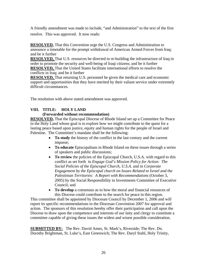A friendly amendment was made to include, "and Administration" to the text of the first resolve. This was approved. It now reads:

**RESOLVED,** That this Convention urge the U.S. Congress and Administration to announce a timetable for the prompt withdrawal of American Armed Forces from Iraq; and be it further

**RESOLVED**, That U.S. resources be directed to re-building the infrastructure of Iraq in order to promote the security and well-being of Iraqi citizens; and be it further **RESOLVED,** That the United States facilitate international efforts to resolve the conflicts in Iraq; and be it further

**RESOLVED,** That returning U.S. personnel be given the medical care and economic support and opportunities that they have merited by their valiant service under extremely difficult circumstances.

The resolution with above stated amendment was approved.

# **VIII. TITLE: HOLY LAND**

# **(Forwarded without recommendation)**

**RESOLVED,** That the Episcopal Diocese of Rhode Island set up a Committee for Peace in the Holy Land whose goal is to explore how we might contribute to the quest for a lasting peace based upon justice, equity and human rights for the people of Israel and Palestine. The Committee's mandate shall be the following:

- **To study** the history of the conflict in the last century and the current impasse;
- **To educate** Episcopalians in Rhode Island on these issues through a series of speakers and public discussions;
- **To review** the policies of the Episcopal Church, U.S.A. with regard to this conflict as set forth in *Engage God's Mission Policy for Action: The Social Policies of the Episcopal Church, U.S.A.* and in *Corporate Engagement by the Episcopal church on Issues Related to Israel and the Palestinian Territories: A Report with Recommendations* (October 3, 2005) by the Social Responsibility in Investments Committee of Executive Council; and
- **To develop** a consensus as to how the moral and financial resources of this Diocese could contribute to the search for peace in this region.

This committee shall be appointed by Diocesan Council by December 1, 2006 and will report its specific recommendations to the Diocesan Convention 2007 for approval and action. The sponsors of this resolution hereby offer their participation and call upon the Diocese to draw upon the competence and interests of our laity and clergy to constitute a committee capable of giving these issues the widest and wisest possible consideration.

**SUBMITTED BY:** The Rev. David Ames, St. Mark's, Riverside; The Rev. Dn. Dorothy Brightman, St. Luke's, East Greenwich; The Rev. Daryl Stahl, Holy Trinity,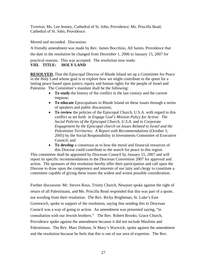Tiverton; Ms. Lee Jenney, Cathedral of St. John, Providence; Ms. Priscilla Read, Cathedral of St. John, Providence.

Moved and seconded. Discussion:

A friendly amendment was made by Rev. James Bocchino, All Saints, Providence that the date in the resolution be changed from December 1, 2006 to January 15, 2007 for

practical reasons. This was accepted. The resolution now reads: **VIII. TITLE: HOLY LAND** 

**RESOLVED,** That the Episcopal Diocese of Rhode Island set up a Committee for Peace in the Holy Land whose goal is to explore how we might contribute to the quest for a lasting peace based upon justice, equity and human rights for the people of Israel and Palestine. The Committee's mandate shall be the following:

- **To study** the history of the conflict in the last century and the current impasse;
- **To educate** Episcopalians in Rhode Island on these issues through a series of speakers and public discussions;
- To review the policies of the Episcopal Church, U.S.A. with regard to this conflict as set forth in *Engage God's Mission Policy for Action: The Social Policies of the Episcopal Church, U.S.A.* and in *Corporate Engagement by the Episcopal church on Issues Related to Israel and the Palestinian Territories: A Report with Recommendations* (October 3, 2005) by the Social Responsibility in Investments Committee of Executive Council; and
- **To develop** a consensus as to how the moral and financial resources of this Diocese could contribute to the search for peace in this region.

This committee shall be appointed by Diocesan Council by January 15, 2007 and will report its specific recommendations to the Diocesan Convention 2007 for approval and action. The sponsors of this resolution hereby offer their participation and call upon the Diocese to draw upon the competence and interests of our laity and clergy to constitute a committee capable of giving these issues the widest and wisest possible consideration.

Further discussion: Mr. Steven Rous, Trinity Church, Newport spoke against the right of return of all Palestinians, and Ms. Priscilla Read responded that this was part of a quote, not wording from their resolution. The Rev. Ricky Brightman, St. Luke's East Greenwich, spoke in support of the resolution, saying that sending this to Diocesan Council was a way of going to action. An amendment was presented saying, "in consultation with our Jewish brothers." The Rev. Robert Brooks. Grace Church, Providence spoke against the amendment because it did not include Muslims and Palestinians. The Rev. Marc Dobson, St Mary's Warwick, spoke against the amendment and the resolution because he feels that this is out of our area of expertise. The Rev.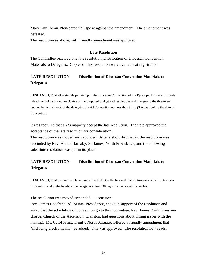Mary Ann Dolan, Non-parochial, spoke against the amendment. The amendment was defeated.

The resolution as above, with friendly amendment was approved.

# **Late Resolution**

The Committee received one late resolution, Distribution of Diocesan Convention Materials to Delegates. Copies of this resolution were available at registration.

# **LATE RESOLUTION: Distribution of Diocesan Convention Materials to Delegates**

**RESOLVED,** That all materials pertaining to the Diocesan Convention of the Episcopal Diocese of Rhode Island, including but not exclusive of the proposed budget and resolutions and changes to the three-year budget, be in the hands of the delegates of said Convention not less than thirty (30) days before the date of Convention.

It was required that a 2/3 majority accept the late resolution. The vote approved the acceptance of the late resolution for consideration.

The resolution was moved and seconded. After a short discussion, the resolution was rescinded by Rev. Alcide Barnaby, St. James, North Providence, and the following substitute resolution was put in its place:

# **LATE RESOLUTION: Distribution of Diocesan Convention Materials to Delegates**

**RESOLVED,** That a committee be appointed to look at collecting and distributing materials for Diocesan Convention and in the hands of the delegates at least 30 days in advance of Convention.

The resolution was moved, seconded. Discussion:

Rev. James Bocchino, All Saints, Providence, spoke in support of the resolution and asked that the scheduling of convention go to this committee. Rev. James Frink, Priest-incharge, Church of the Ascension, Cranston, had questions about timing issues with the mailing. Ms. Carol Frink, Trinity, North Scituate, Offered a friendly amendment that "including electronically" be added. This was approved. The resolution now reads: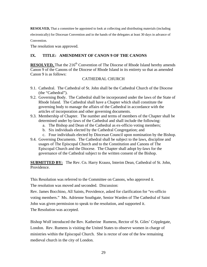**RESOLVED,** That a committee be appointed to look at collecting and distributing materials (including

electronically) for Diocesan Convention and in the hands of the delegates at least 30 days in advance of

Convention.

The resolution was approved.

# **IX. TITLE: AMENDMENT OF CANON 9 OF THE CANONS**

**RESOLVED,** That the 216<sup>th</sup> Convention of The Diocese of Rhode Island hereby amends Canon 9 of the Canons of the Diocese of Rhode Island in its entirety so that as amended Canon 9 is as follows:

# CATHEDRAL CHURCH

- 9.1. Cathedral. The Cathedral of St. John shall be the Cathedral Church of the Diocese (the "Cathedral").
- 9.2. Governing Body. The Cathedral shall be incorporated under the laws of the State of Rhode Island. The Cathedral shall have a Chapter which shall constitute the governing body to manage the affairs of the Cathedral in accordance with the articles of incorporation and other governing documents.
- 9.3. Membership of Chapter. The number and terms of members of the Chapter shall be determined under by-laws of the Cathedral and shall include the following:
	- a. The Bishop and Dean of the Cathedral as ex-officio voting members;
	- b. Six individuals elected by the Cathedral Congregation; and
	- c. Four individuals elected by Diocesan Council upon nomination by the Bishop.
- 9.4. Governing Documents. The Cathedral shall be subject to the laws, discipline and usages of The Episcopal Church and to the Constitution and Canons of The Episcopal Church and the Diocese. The Chapter shall adopt by-laws for the governance of the Cathedral subject to the written consent of the Bishop.

**SUBMITTED BY:** The Rev. Cn. Harry Krauss, Interim Dean, Cathedral of St. John, Providence.

This Resolution was referred to the Committee on Canons, who approved it.

The resolution was moved and seconded. Discussion:

Rev. James Bocchino, All Saints, Providence, asked for clarification for "ex-officio voting members." Ms. Adrienne Southgate, Senior Warden of The Cathedral of Saint John was given permission to speak to the resolution, and supported it.

The Resolution was accepted.

Bishop Wolf introduced the Rev. Katherine Rumens, Rector of St. Giles' Cripplegate, London. Rev. Rumens is visiting the United States to observe women in charge of ministries within the Episcopal Church. She is rector of one of the few remaining medieval church in the city of London.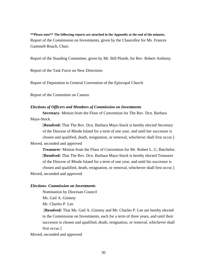**\*\*Please note\*\* The following reports are attached in the Appendix at the end of the minutes.**  Report of the Commission on Investments, given by the Chancellor for Ms. Frances Gammell-Roach, Chair.

Report of the Standing Committee, given by Mr. Bill Plumb, for Rev. Robert Anthony.

Report of the Task Force on New Directions

Report of Deputation to General Convention of the Episcopal Church

Report of the Committee on Canons

#### *Elections of Officers and Members of Commission on Investments*

**Secretary-** Motion from the Floor of Convention for The Rev. Dcn. Barbara Mays-Stock.

[**Resolved:** That The Rev. Dcn. Barbara Mays-Stock is hereby elected Secretary of the Diocese of Rhode Island for a term of one year, and until her successor is chosen and qualified, death, resignation, or removal, whichever shall first occur.] Moved, seconded and approved

**Treasurer-** Motion from the Floor of Convention for Mr. Robert L. G. Batchelor. [**Resolved:** That The Rev. Dcn. Barbara Mays-Stock is hereby elected Treasurer of the Diocese of Rhode Island for a term of one year, and until his successor is chosen and qualified, death, resignation, or removal, whichever shall first occur.] Moved, seconded and approved

### *Elections- Commission on Investments*

 Nomination by Diocesan Council Ms. Gail A. Ginnety

Mr. Charles P. Lee

[**Resolved:** That Ms. Gail A. Ginnety and Mr. Charles P. Lee are hereby elected to the Commission on Investments, each for a term of three years, and until their successor is chosen and qualified, death, resignation, or removal, whichever shall first occur.]

Moved, seconded and approved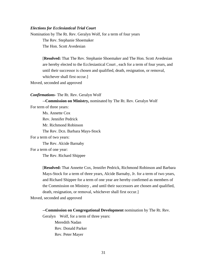### *Elections for Ecclesiastical Trial Court*

Nomination by The Rt. Rev. Geralyn Wolf, for a term of four years The Rev. Stephanie Shoemaker The Hon. Scott Avedesian

> [**Resolved:** That The Rev. Stephanie Shoemaker and The Hon. Scott Avedesian are hereby elected to the Ecclesiastical Court , each for a term of four years, and until their successor is chosen and qualified, death, resignation, or removal, whichever shall first occur.]

Moved, seconded and approved

#### *Confirmations*- The Rt. Rev. Geralyn Wolf

--**Commission on Ministry,** nominated by The Rt. Rev. Geralyn Wolf

For term of three years:

 Ms. Annette Cox Rev. Jennifer Pedrick Mr. Richmond Robinson The Rev. Dcn. Barbara Mays-Stock

For a term of two years:

The Rev. Alcide Barnaby

For a term of one year:

The Rev. Richard Shippee

[**Resolved:** That Annette Cox, Jennifer Pedrick, Richmond Robinson and Barbara Mays-Stock for a term of three years, Alcide Barnaby, Jr. for a term of two years, and Richard Shippee for a term of one year are hereby confirmed as members of the Commission on Ministry , and until their successors are chosen and qualified, death, resignation, or removal, whichever shall first occur.]

Moved, seconded and approved

**--Commission on Congregational Development** nomination by The Rt. Rev.

Geralyn Wolf, for a term of three years:

Meredith Nadan Rev. Donald Parker Rev. Peter Mayer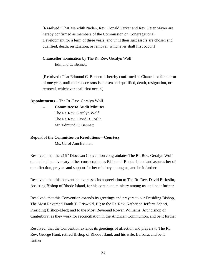[**Resolved:** That Meredith Nadan, Rev. Donald Parker and Rev. Peter Mayer are hereby confirmed as members of the Commission on Congregational Development for a term of three years, and until their successors are chosen and qualified, death, resignation, or removal, whichever shall first occur.]

**Chancellor** nomination by The Rt. Rev. Geralyn Wolf Edmund C. Bennett

[**Resolved:** That Edmund C. Bennett is hereby confirmed as Chancellor for a term of one year, until their successors is chosen and qualified, death, resignation, or removal, whichever shall first occur.]

**Appointments** – The Rt. Rev. Geralyn Wolf

**Committee to Audit Minutes**  The Rt. Rev. Geralyn Wolf The Rt. Rev. David B. Joslin Mr. Edmund C. Bennett

# **Report of the Committee on Resolutions—Courtesy**

Ms. Carol Ann Bennett

Resolved, that the  $216<sup>th</sup>$  Diocesan Convention congratulates The Rt. Rev. Geralyn Wolf on the tenth anniversary of her consecration as Bishop of Rhode Island and assures her of our affection, prayers and support for her ministry among us, and be it further

Resolved, that this convention expresses its appreciation to The Rt. Rev. David B. Joslin, Assisting Bishop of Rhode Island, for his continued ministry among us, and be it further

Resolved, that this Convention extends its greetings and prayers to our Presiding Bishop, The Most Reverend Frank T. Griswold, III; to the Rt. Rev. Katherine Jefferts Schori, Presiding Bishop-Elect; and to the Most Reverend Rowan Williams, Archbishop of Canterbury, as they work for reconciliation in the Anglican Communion, and be it further

Resolved, that the Convention extends its greetings of affection and prayers to The Rt. Rev. George Hunt, retired Bishop of Rhode Island, and his wife, Barbara, and be it further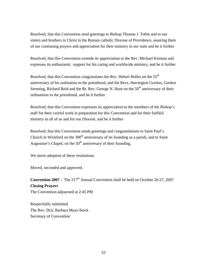Resolved, that this Convention send greetings to Bishop Thomas J. Tobin and to our sisters and brothers in Christ in the Roman catholic Diocese of Providence, assuring them of our continuing prayers and appreciation for their ministry in our state and be it further

Resolved, that this Convention extends its appreciation to the Rev. Michael Kinman and expresses its enthusiastic support for his caring and worldwide ministry, and be it further

Resolved, that this Convention congratulates the Rev. Hebert Bolles on the 55<sup>th</sup> anniversary of his ordination to the priesthood, and the Revs. Harrington Gordon, Gordon Stenning, Richard Reid and the Rt. Rev. George N. Hunt on the  $50<sup>th</sup>$  anniversary of their ordinations to the priesthood, and be it further

Resolved, that this Convention expresses its appreciation to the members of the Bishop's staff for their careful work in preparation for this Convention and for their faithful ministry to all of us and for our Diocese, and be it further

Resolved, that this Convention sends greetings and congratulations to Saint Paul's Church in Wickford on the  $300<sup>th</sup>$  anniversary of its founding as a parish, and to Saint Augustine's Chapel, on the  $50<sup>th</sup>$  anniversary of their founding.

We move adoption of these resolutions.

Moved, seconded and approved.

**Convention 2007** - The  $217<sup>th</sup>$  Annual Convention shall be held on October 26-27, 2007 **Closing Prayers**  The Convention adjourned at 2:45 PM

Respectfully submitted The Rev. Dcn. Barbara Mays-Stock Secretary of Convention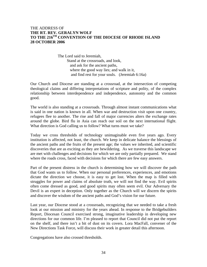# THE ADDRESS OF **THE RT. REV. GERALYN WOLF TO THE 216TH CONVENTION OF THE DIOCESE OF RHODE ISLAND 28 OCTOBER 2006**

The Lord said to Jeremiah, Stand at the crossroads, and look, and ask for the ancient paths, where the good way lies; and walk in it, and find rest for your souls. (Jeremiah 6:16a)

Our Church and Diocese are standing at a crossroad, at the intersection of competing theological claims and differing interpretations of scripture and polity, of the complex relationship between interdependence and independence, autonomy and the common good.

The world is also standing at a crossroads. Through almost instant communications what is said in one nation is known in all. When war and destruction visit upon one country, refugees flee to another. The rise and fall of major currencies alters the exchange rates around the globe. Bird flu in Asia can reach our soil on the next international flight. What direction is God calling us to follow? What turns must we take?

Today we cross thresholds of technology unimaginable even five years ago. Every institution is affected, not least, the church. We keep in delicate balance the blessings of the ancient paths and the fruits of the present age; the values we inherited, and scientific discoveries that are as exciting as they are bewildering. As we traverse this landscape we are met with challenges and decisions for which we are only partially prepared. We stand where the roads cross, faced with decisions for which there are few easy answers.

Part of the present distress in the church is determining how we will discover the path that God wants us to follow. When our personal preferences, experiences, and emotions dictate the direction we choose, it is easy to get lost. When the map is filled with struggles for power and claims of absolute truth, we will not find the way. Evil spirits often come dressed as good, and good spirits may often seem evil. Our Adversary the Devil is an expert in deception. Only together as the Church will we discern the spirits and discover the wisdom of the ancient paths and God's vision for our future.

Last year, our Diocese stood at a crossroads, recognizing that we needed to take a fresh look at our mission and ministry for the years ahead. In response to the Bridgebuilders Report, Diocesan Council exercised strong, imaginative leadership in developing new directions for our common life. I'm pleased to report that Council did not put the report on the shelf, and there isn't a bit of dust on its covers. Lora MacFall, convener of the New Directions Task Force, will discuss their work in greater detail this afternoon.

Congregations have also crossed thresholds.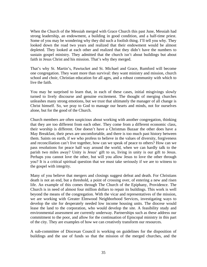When the Church of the Messiah merged with Grace Church this past June, Messiah had strong leadership, an endowment, a building in good condition, and a half-time priest. Some of you may be wondering why they did such a foolish thing. I'll tell you why. They looked down the road two years and realized that their endowment would be almost depleted. They looked at each other and realized that they didn't have the numbers to sustain gospel ministry. They admitted that the church isn't about buildings but about faith in Jesus Christ and his mission. That's why they merged.

That's why St. Martin's, Pawtucket and St. Michael and Grace, Rumford will become one congregation. They want more than survival: they want ministry and mission, church school and choir, Christian education for all ages, and a robust community with which to live the faith.

You may be surprised to learn that, in each of these cases, initial misgivings slowly turned to lively discourse and genuine excitement. The thought of merging churches unleashes many strong emotions, but we trust that ultimately the manager of all change is Christ himself. So, we pray to God to manage our hearts and minds, not for ourselves alone, but for the good of the Church.

Church members are often suspicious about working with another congregation, thinking that they are too different from each other. They come from a different economic class, their worship is different. One doesn't have a Christmas Bazaar the other does have a May Breakfast, their pews are uncomfortable, and there is too much past history between them. Saints on earth, if we who profess to believe in the values of diversity, forgiveness and reconciliation can't live together, how can we speak of peace to others? How can we pass resolutions for peace half way around the world, when we can hardly talk to the parish two miles away? Unity is Jesus' gift to us, living in unity is our gift to Jesus. Perhaps you cannot love the other, but will you allow Jesus to love the other through you? It is a critical spiritual question that we must take seriously if we are to witness to the gospel with integrity.

Many of you believe that mergers and closings suggest defeat and death. For Christians death is not an end, but a threshold, a point of crossing over, of entering a new and risen life. An example of this comes through The Church of the Epiphany, Providence. The Church is in need of almost four million dollars to repair its buildings. This work is well beyond the means of the congregation. With the vicar and representatives of the mission, we are working with Greater Elmwood Neighborhood Services, investigating ways to develop the site for desperately needed low income housing units. The diocese would lease the land to the corporation, who would develop the site. A feasibility study and environmental assessment are currently underway. Partnerships such as these address our commitment to the poor, and allow for the continuation of Episcopal ministry in this part of the city. They are examples of how we can creatively transform our resources.

A sub-committee of Diocesan Council is working on guidelines for the disposition of buildings and the use of funds so that the mission of the merged churches, and the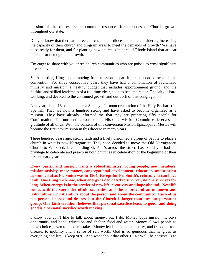mission of the diocese share common resources for purposes of Church growth throughout our state.

Did you know that there are three churches in our diocese that are considering increasing the capacity of their church and program areas to meet the demands of growth? We have to be ready for them, and for planting new churches in parts of Rhode Island that are ear marked for demographic growth.

I'm eager to share with you three church communities who are poised to cross significant thresholds.

St. Augustine, Kingston is moving from mission to parish status upon consent of this convention. For three consecutive years they have had a combination of revitalized ministry and mission, a healthy budget that includes apportionment giving, and the faithful and skilled leadership of a full time vicar, soon to become rector. The laity is hard working, and devoted to the continued growth and outreach of this congregation.

Last year, about 18 people began a Sunday afternoon celebration of the Holy Eucharist in Spanish. They are now a hundred strong and have asked to become organized as a mission. They have already informed me that they are preparing fifty people for Confirmation. The unrelenting work of the Hispanic Mission Committee deserves the gratitude of all of us. With the consent of this convention Mision Episcopal el Mesías will become the first new mission in this diocese in many years.

Three hundred years ago, strong faith and a lively vision led a group of people to place a church in what is now Narragansett. They soon decided to move the Old Narragansett Church to Wickford, later building St. Paul's across the street. Last Sunday, I had the privilege to celebrate and preach in both churches in celebration of the beginning of their tercentenary year.

**Every parish and mission wants a robust ministry, young people, new members, mission activity, more money, congregational development, education, and a priest as wonderful as Fr. Smith was in 1964. Except for Fr. Smith's return, you can have it all. One thing we know, when energy is dedicated to survival, no one survives for long. When energy is in the service of new life, creativity and hope abound. New life comes with the surrender of old securities, and the embrace of an unknown and risky future. Christianity is about the person and about the community. Each of us has personal needs and desires, but the Church is larger than any one person or group. Our faith tradition believes that personal sacrifice leads to good, and doing good is a personal sacrifice worth making.** 

I know you don't like to talk about money, but I do. Money buys mission. It buys opportunity and hope, education and shelter, food and water. Money allows people to make choices, even to make mistakes. Money leads to personal liberty, and freedom from disease, to mobility and a sense of self worth. God is so generous that he gives us everything and lets us keep 90%. And what about that other 10%? Well, he entrusts us to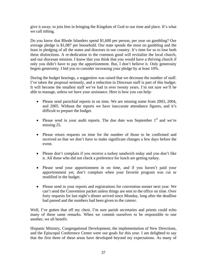give it away; to join him in bringing the Kingdom of God to our time and place. It's what we call tithing.

Do you know that Rhode Islanders spend \$1,600 per person, per year on gambling? Our average pledge is \$1,087 per household. Our state spends the most on gambling and the least in pledging of all the states and dioceses in our country. It's time for us to lose both these distinctions. A re-dedication to the common good will revitalize the local church, and our diocesan mission. I know that you think that you would have a thriving church if only you didn't have to pay the apportionment. But, I don't believe it. Only generosity begets generosity. I bid you to consider increasing your pledge by at least 10%.

During the budget hearings, a suggestion was raised that we decrease the number of staff. I've taken the proposal seriously, and a reduction in Diocesan staff is part of this budget. It will become the smallest staff we've had in over twenty years. I'm not sure we'll be able to manage, unless we have your assistance. Here is how you can help:

- Please send parochial reports in on time. We are missing some from 2003, 2004, and 2005. Without the reports we have inaccurate attendance figures, and it's difficult to prepare the budget.
- Please send in your audit reports. The due date was September  $1<sup>st</sup>$  and we're missing 25.
- Please return requests on time for the number of those to be confirmed and received so that we don't have to make significant changes a few days before the event.
- Please don't complain if you receive a turkey sandwich today and you don't like it. All those who did not check a preference for lunch are getting turkey.
- Please send your apportionment in on time, and if you haven't paid your apportionment yet, don't complain when your favorite program was cut or modified in the budget.
- Please send in your reports and registrations for convention sooner next year. We can't send the Convention packet unless things are sent to the office on time. Over forty requests for last night's dinner arrived since Monday, long after the deadline had passed and the numbers had been given to the caterer.

Well, I've gotten that off my chest. I'm sure parish secretaries and priests could echo many of these same remarks. When we commit ourselves to be responsible to one another, we all benefit.

Hispanic Ministry, Congregational Development, the implementation of New Directions, and the Episcopal Conference Center were our goals for this year. I am delighted to say that the first three of these areas have developed beyond my expectations. As many of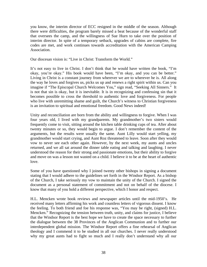you know, the interim director of ECC resigned in the middle of the season. Although there were difficulties, the program barely missed a beat because of the wonderful staff that oversees the camp, and the willingness of Sue Hurn to take over the position of interim director. In spite of a temporary setback, upgrades of cabins are complete, fire codes are met, and work continues towards accreditation with the American Camping Association.

Our diocesan vision is: "Live in Christ: Transform the World."

It's not easy to live in Christ. I don't think that he would have written the book, "I'm okay, you're okay." His book would have been, "I'm okay, and you can be better." Living in Christ is a constant journey from wherever we are to wherever he is. All along the way he loves and forgives us, picks us up and renews a right spirit within us. Can you imagine if "The Episcopal Church Welcomes You," sign read, "Seeking All Sinners." It is not that sin is okay, but it is inevitable. It is in recognizing and confessing sin that it becomes possible to cross the threshold to authentic love and forgiveness. For people who live with unremitting shame and guilt, the Church's witness to Christian forgiveness is an invitation to spiritual and emotional freedom. Good News indeed!

Unity and reconciliation are born from the ability and willingness to forgive. When I was four years old, I lived with my grandparents. My grandmother's two sisters would frequently come to visit, sitting around the kitchen table drinking cups of tea. After about twenty minutes or so, they would begin to argue. I don't remember the content of the arguments, but the results were usually the same. Aunt Lilly would start yelling, my grandmother would start crying, and Aunt Roz threatened to leave. Soon after they would vow to never see each other again. However, by the next week, my aunts and uncles returned, and we all sat around the dinner table eating and talking and laughing. I never understood the reason for their strong and passionate emotions, but their ability to forgive and move on was a lesson not wasted on a child. I believe it to be at the heart of authentic love.

Some of you have questioned why I joined twenty other bishops in signing a document stating that I would adhere to the guidelines set forth in the Windsor Report. As a bishop of the Church, I take seriously my vow to maintain the unity of the Church. I signed the document as a personal statement of commitment and not on behalf of the diocese. I know that many of you hold a different perspective, which I honor and respect.

H.L. Mencken wrote book reviews and newspaper articles until the mid-1950's. He received many letters affirming his work and countless letters of vigorous dissent. I know the feeling. To both friend and foe his response was, "You may be right, (signed) H.L. Mencken." Recognizing the tension between truth, unity, and claims for justice, I believe that the Windsor Report is the best hope we have to create the space necessary to further the dialogue between the 38 Provinces of the Anglican Communion and to further our interdependent global mission. The Windsor Report offers a fine rehearsal of Anglican theology and I commend it to be studied in all our churches. I never really understood why my great aunts had to fight so much and I really don't understand why all our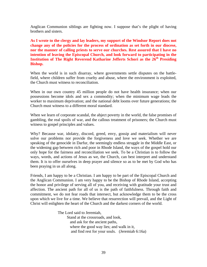Anglican Communion siblings are fighting now. I suppose that's the plight of having brothers and sisters.

**As I wrote to the clergy and lay leaders, my support of the Windsor Report does not change any of the policies for the process of ordination as set forth in our diocese, nor the manner of calling priests to serve our churches. Rest assured that I have no intention of leaving the Episcopal Church, and look forward to participating in the Institution of The Right Reverend Katharine Jefferts Schori as the 26<sup>th</sup> Presiding Bishop.** 

When the world is in such disarray, where governments settle disputes on the battlefield, where children suffer from cruelty and abuse, where the environment is exploited, the Church must witness to reconciliation.

When in our own country 45 million people do not have health insurance; when our possessions become idols and sex a commodity; when the minimum wage leads the worker to maximum deprivation; and the national debt looms over future generations; the Church must witness to a different moral standard.

When we learn of corporate scandal, the abject poverty in the world, the false promises of gambling, the real spoils of war, and the callous treatment of prisoners; the Church must witness to gospel principles and values.

Why? Because war, idolatry, discord, greed, envy, gossip and materialism will never solve our problems nor provide the forgiveness and love we seek. Whether we are speaking of the genocide in Darfur, the seemingly endless struggle in the Middle East, or the widening gap between rich and poor in Rhode Island, the ways of the gospel hold our only hope for the fairness and reconciliation we seek. To be a Christian is to follow the ways, words, and actions of Jesus as we, the Church, can best interpret and understand them. It is to offer ourselves in deep prayer and silence so as to be met by God who has been praying in us all along.

Friends, I am happy to be a Christian. I am happy to be part of the Episcopal Church and the Anglican Communion. I am very happy to be the Bishop of Rhode Island, accepting the honor and privilege of serving all of you, and receiving with gratitude your trust and affection. The ancient path for all of us is the path of faithfulness. Through faith and commitment, we do not fear roads that intersect, but acknowledge them to be the cross upon which we live for a time. We believe that resurrection will prevail, and the Light of Christ will enlighten the heart of the Church and the darkest corners of the world.

> The Lord said to Jeremiah, Stand at the crossroads, and look, and ask for the ancient paths, where the good way lies; and walk in it, and find rest for your souls. (Jeremiah 6:16a)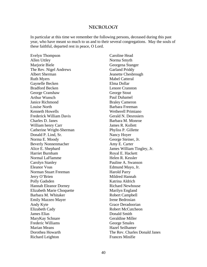#### **NECROLOGY**

In particular at this time we remember the following persons, deceased during this past year, who have meant so much to us and to their several congregations. May the souls of these faithful, departed rest in peace, O Lord.

Evelyn Thompson Allen Uttley Marjorie Biele The Rev. Nigel Andrews Albert Sherman Ruth Myers Gaynelle Becken Bradford Becken George Cranshaw Arthur Wunsch Janice Richmond Louise North Kenneth Howells Frederick William Davis Charles D. Janes William henry Carr Catherine Wright-Sherman Donald P. Lind, Sr. Norma E. Moody Beverly Nonnenmacher Alice E. Shephard Harriet Burnham Normal LaFlamme Carolyn Stanley Eleanor Voas Norman Stuart Freeman Jerry O'Brien Polly Gadsden Hannah Eleanor Dorney Elizabeth Marie Choquette Barbara M. Whitaker Emily Mazzeo Mayer Andy Kyte Elizabeth Cady James Elias MaryKay Schnare Frederic Williams Marian Means Dorothea Howarth Richard Leighton

Caroline Head Norma Smyth Georgena Stanger Garland Priddy Jeanette Chesbrough Mabel Catteral Elma Dollar Lenore Cranston George Stout Paul Duhamel Braley Cameron Barbara Freeman Wetherell Primiano Gerald N. Desrosiers Barbara M. Monroe James R. Kollett Phyliss P. Gillette Nancy Hoyer George Steiner, Jr. Amy E. Carter James William Tingley, Jr. Royal E. Hackett Helen R. Kessler Pauline A. Swanson Edmund Mayo, Jr. Harold Parry Mildred Hannah Katrina Aldrich Richard Newhouse Marilyn England Robert Campbell Irene Bedrosian Grace Deradoorian Robert McCutcheon Donald Smith Geraldine Miller George Smales Hazel Seilhamer The Rev. Charles Donald Janes Frances Minifie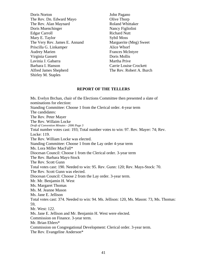Doris Norton The Rev. Dn. Edward Mayo The Rev. Alan Maynard Doris Muenchinger Edgar Carroll Mary E. Taylor The Very Rev. James E. Annand Priscilla G. Linkamper Audrey Marien Virginia Gassett Lavinia J. Gabarra Barbara I. Hanson Alfred James Shepherd Shirley M. Staples

John Pagano Olive Thorp Roland Whittaker Nancy Figliolini Richard Nutt Sybil Moss Marguerite (Meg) Sweet Alice Whorf Frances McIntyre Doris Mollis Martha Prive Carrie Louise Crockett The Rev. Robert A. Burch

#### **REPORT OF THE TELLERS**

Ms. Evelyn Brchan, chair of the Elections Committee then presented a slate of nominations for election: Standing Committee: Choose 1 from the Clerical order. 4-year term The candidates: The Rev. Peter Mayer The Rev. Willaim Locke *Draft of Convention Minutes - 2006 Page 3*  Total number votes cast: 193; Total number votes to win: 97. Rev. Mayer: 74; Rev. Locke: 119. The Rev. William Locke was elected. Standing Committee: Choose 1 from the Lay order 4-year term Ms. Lora Miller MacFall\* Diocesan Council: Choose 1 from the Clerical order. 3-year term The Rev. Barbara Mays-Stock The Rev. Scott Gunn Total votes cast: 190. Needed to win: 95. Rev. Gunn: 120; Rev. Mays-Stock: 70. The Rev. Scott Gunn was elected. Diocesan Council: Choose 2 from the Lay order. 3-year term. Mr. Mr. Benjamin H. West Ms. Margaret Thomas Ms. M. Jeanne Mason Ms. Jane E. Jellison Total votes cast: 374. Needed to win: 94. Ms. Jellison: 120, Ms. Mason: 73, Ms. Thomas: 59, Mr. West: 122. Ms. Jane E. Jellison and Mr. Benjamin H. West were elected. Commission on Finance. 3-year term. Mr. Brian Ehlers\* Commission on Congregational Development: Clerical order. 3-year term. The Rev. Evangeline Anderson\*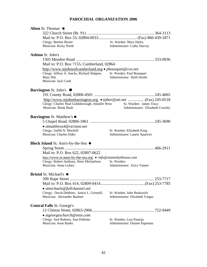## **PAROCHIAL ORGANIZATION 2006**

| Alton St. Thomas'                                                        |                                                                                                                                 |
|--------------------------------------------------------------------------|---------------------------------------------------------------------------------------------------------------------------------|
|                                                                          |                                                                                                                                 |
|                                                                          |                                                                                                                                 |
| Clergy: Bettine Besier                                                   | Sr. Warden: Mary Hafey                                                                                                          |
| Musician: Ricky North                                                    | Administrator: Cathy Harvey                                                                                                     |
| <b>Ashton St. John's</b>                                                 |                                                                                                                                 |
|                                                                          |                                                                                                                                 |
| Mail to: P.O. Box 7155, Cumberland, 02864                                |                                                                                                                                 |
| http://www.stjohnsofcumberland.org • <i>pbousquet@cox.net</i>            |                                                                                                                                 |
| Clergy: Jeffrey A. Jencks, Richard Shippee, Sr. Warden: Paul Bousquet    |                                                                                                                                 |
| Mary Hitt                                                                | Administrator: Ruth Drolet                                                                                                      |
| Musician: Jack Cook                                                      |                                                                                                                                 |
| <b>Barrington St. John's</b>                                             |                                                                                                                                 |
|                                                                          |                                                                                                                                 |
| Clergy: Charles Neal Goldsborough; Jennifer West<br>Musician: Brink Bush | http://www.stjohnsbarrington.org • stjbar@att.net (Fax) 245-0518<br>Sr. Warden: James Tracy<br>Administrator: Elizabeth Crawley |
|                                                                          |                                                                                                                                 |
| <b>Barrington St. Matthew's</b> ■                                        |                                                                                                                                 |
|                                                                          |                                                                                                                                 |
| $\bullet$ stmatthews4@verizon.net                                        |                                                                                                                                 |
| Clergy: Judith N. Mitchell                                               | Sr. Warden: Elizabeth King                                                                                                      |
| Musician: Charles Elder                                                  | Administrator: Laurie Aparicio                                                                                                  |
| <b>Block Island</b> St. Ann's-by-the-Sea $\blacksquare$                  |                                                                                                                                 |
|                                                                          |                                                                                                                                 |
| Mail to: P.O. Box 622, 02807-0622                                        |                                                                                                                                 |
| http://www.st-anns-by-the-sea.org • info@stannsbythesea.com              |                                                                                                                                 |
| Clergy: Robert Anthony, Peter Michaelson Sr. Warden:                     |                                                                                                                                 |
| Musician: Anna Lofaro                                                    | Administrator: Erica Tonner                                                                                                     |
| <b>Bristol</b> St. Michael's ■                                           |                                                                                                                                 |
|                                                                          |                                                                                                                                 |
|                                                                          |                                                                                                                                 |
| $\bullet$ stmichaels@fullchannel.net                                     |                                                                                                                                 |
| Clergy: David Dobbins, Janice L. Grinnell,                               | Sr. Warden: John Reskusich                                                                                                      |
| Musician: Alexander Bauhart                                              | Administrator: Elizabeth Vargas                                                                                                 |
| <b>Central Falls St. George's</b>                                        |                                                                                                                                 |
|                                                                          |                                                                                                                                 |
| $\bullet$ stgeorgeschurch@msn.com                                        |                                                                                                                                 |
| Clergy: José Roberts, Ann Pelletier                                      | Sr. Warden: Luis Pantoja                                                                                                        |
| <b>Musician: Jesse Banks</b>                                             | Administrator: Dianne Papineau                                                                                                  |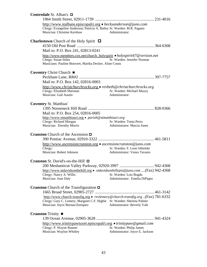| Centredale St. Alban's □                                                                                                                                   |                                                                                                         |
|------------------------------------------------------------------------------------------------------------------------------------------------------------|---------------------------------------------------------------------------------------------------------|
| http://www.stalbans.episcopalri.org • beckyanderson@juno.com<br>Clergy: Evangeline Anderson; Patricia A. Bailey Sr. Warden: M.R. Pagano                    |                                                                                                         |
| Musician: Christine Kershaw                                                                                                                                | Administrator:                                                                                          |
| <b>Charlestown</b> Church of the Holy Spirit $\Box$                                                                                                        |                                                                                                         |
| Mail to: P.O. Box 241, 02813-0241                                                                                                                          |                                                                                                         |
| http://www.members.cox.net/church_holyspirit • holyspirit47@verizon.net<br>Clergy: Susan Stiles<br>Musicians: Pauline Boisvert, Martha Decker, Aline Coutu | Sr. Warden: Jennifer Noonan                                                                             |
| Coventry Christ Church ■                                                                                                                                   |                                                                                                         |
|                                                                                                                                                            |                                                                                                         |
| Mail to: P.O. Box 142, 02816-0003                                                                                                                          |                                                                                                         |
| http://www.christchurchrocks.org • revbeth@christchurchrocks.org<br>Clergy: Elizabeth Sherman                                                              | Sr. Warden: Michael Muzzy                                                                               |
| Musician: Gail Austin                                                                                                                                      | Administrator:                                                                                          |
| <b>Coventry St. Matthias'</b>                                                                                                                              |                                                                                                         |
|                                                                                                                                                            |                                                                                                         |
| Mail to: P.O. Box 254, 02816-0005<br>http://www.stmatthiasri.org • parish@stmatthiasri.org                                                                 |                                                                                                         |
| Clergy: Richard Morgan                                                                                                                                     | Sr. Warden: Tonia Perra                                                                                 |
| Musician: Dorothy Morris                                                                                                                                   | Administrator: Marcia Jones                                                                             |
| <b>Cranston</b> Church of the Ascension $\Box$                                                                                                             |                                                                                                         |
|                                                                                                                                                            |                                                                                                         |
| http://www.ascensioncranston.org • ascensioncranston@juno.com                                                                                              | Sr. Warden: F. Leon Sibielski                                                                           |
| Clergy:<br>Musician: Robert Johnson                                                                                                                        | <b>Administrator: Venus Tavares</b>                                                                     |
| Cranston St. David's-on-the-Hill □                                                                                                                         |                                                                                                         |
|                                                                                                                                                            |                                                                                                         |
| Clergy: Nancy A. Willis                                                                                                                                    | http://www.stdavidsonthehill.org • stdavidsonhillepis@juno.com (Fax) 942-4368<br>Sr. Warden: Lois Bogda |
| Musician: Joan Daly                                                                                                                                        | Administrator: Emelia DiPippo                                                                           |
| <b>Cranston</b> Church of the Transfiguration $\Box$                                                                                                       |                                                                                                         |
|                                                                                                                                                            |                                                                                                         |
| Clergy: Gary C. Lemery, Margaret C.F. Higbie Sr. Warden: Sherena Palmer                                                                                    | http://www.church-transfig.org • revlemery@church-transfig.org (Fax) 781-6332                           |
| Musician: Joyce Bernau-Enriquez                                                                                                                            | Administrator: Beverly Vale                                                                             |
| <b>Cranston</b> Trinity $\blacksquare$                                                                                                                     |                                                                                                         |
|                                                                                                                                                            |                                                                                                         |
| http://www.trinitypawtuxet.episcopalri.org • trinitypaw@gmail.com                                                                                          |                                                                                                         |
| Clergy: P. Wayne Runner                                                                                                                                    | Sr. Warden: Philip James                                                                                |
| Musician: Waylon Whitley                                                                                                                                   | Administrator: Joyce E. Jackson                                                                         |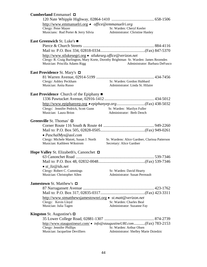| <b>Cumberland Emmanuel <math>\Box</math></b>                                                                     |                                                                                                                                             |
|------------------------------------------------------------------------------------------------------------------|---------------------------------------------------------------------------------------------------------------------------------------------|
| http://www.emmanuelri.org • office@emmanuelri.org<br>Clergy: Peter Mayer<br>Musicians: Rud Porter & Jerry Silvia | Sr. Warden: Cheryl Keeler<br>Administrator: Christine Hanley                                                                                |
| East Greenwich St. Luke's ■                                                                                      |                                                                                                                                             |
| http://www.stlukesegri.org · stlukeseg.office@verizon.net<br>Musician: Priscilla Adams Rigg                      | Clergy: R. Craig Burlington, Mary Korte, Dorothy Brightman Sr. Warden: James Rezendes<br>Administrator: Barbara DeFusco                     |
| <b>East Providence St. Mary's <math>\Box</math></b>                                                              |                                                                                                                                             |
| Clergy: Ashley Peckham<br>Musician: Anita Russo                                                                  | Sr. Warden: Gordon Hubbard<br>Administrator: Linda St. Hilaire                                                                              |
| <b>East Providence</b> Church of the Epiphany ■                                                                  |                                                                                                                                             |
|                                                                                                                  |                                                                                                                                             |
| Clergy: Jennifer Pedrick, Scott Gunn<br>Musician: Laura Brion                                                    | Sr. Warden: Marilyn Fuller<br>Administrator: Beth Dench                                                                                     |
| Greenville St. Thomas' $\Box$                                                                                    |                                                                                                                                             |
|                                                                                                                  |                                                                                                                                             |
| $\bullet$ PaschalMys@aol.com<br>Clergy: Michele Matott, Susan J. North<br>Musician: Kathleen Wikstrom            | Sr. Wardens: Alice Gardner, Clarissa Patterson<br>Secretary: Alice Gardner                                                                  |
| Hope Valley St. Elizabeth's, Canonchet □                                                                         |                                                                                                                                             |
|                                                                                                                  |                                                                                                                                             |
| $\bullet$ st_liz@ids.net<br>Clergy: Robert C. Cummings<br>Musician: Christopher Allen                            | Sr. Warden: David Hearty<br>Administrator: Susan Perreault                                                                                  |
| <b>Jamestown</b> St. Matthew's $\Box$                                                                            |                                                                                                                                             |
|                                                                                                                  |                                                                                                                                             |
| http://www.stmatthewsjamestownri.org • st.matt@verizon.net<br>Clergy: Kevin Lloyd<br>Musician: Julia Tagen       | Sr. Warden: Charles Beal<br>Administrator: Suzanne Fay                                                                                      |
| <b>Kingston</b> St. Augustine's $\Box$                                                                           |                                                                                                                                             |
|                                                                                                                  |                                                                                                                                             |
| Clergy: Jennifer Phillips<br>Musician: Jacqueline Devilliers                                                     | http://www.staugustineuri.com/ • info@staugustineURI.com(Fax) 783-2153<br>Sr. Warden: Arthur Olsen<br>Administrator: Shelley Marie Dziedzic |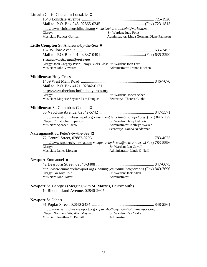| <b>Lincoln</b> Christ Church in Lonsdale $\Box$                                                  |                                                                                                                                                                           |
|--------------------------------------------------------------------------------------------------|---------------------------------------------------------------------------------------------------------------------------------------------------------------------------|
|                                                                                                  |                                                                                                                                                                           |
|                                                                                                  |                                                                                                                                                                           |
|                                                                                                  | http://www.christchurchlincoln.org • christchurchlincoln@verizon.net                                                                                                      |
| Clergy:                                                                                          | Sr. Warden: Judy Foltz                                                                                                                                                    |
| Musician: Frances Gorman                                                                         | Administrator: Linda Gorman, Diane Papineau                                                                                                                               |
| <b>Little Compton</b> St. Andrew's-by-the-Sea $\blacksquare$                                     |                                                                                                                                                                           |
|                                                                                                  |                                                                                                                                                                           |
|                                                                                                  |                                                                                                                                                                           |
| $\bullet$ standrewsltlcmtn@aol.com                                                               |                                                                                                                                                                           |
| Musician: John Veveiros                                                                          | Clergy: John Gregory Prior; Leroy (Buck) Close Sr. Warden: John Farr<br>Administrator: Donna Kitchen                                                                      |
| <b>Middletown Holy Cross</b>                                                                     |                                                                                                                                                                           |
|                                                                                                  |                                                                                                                                                                           |
| Mail to: P.O. Box 4121, 02842-0121                                                               |                                                                                                                                                                           |
| http://www.thechurchoftheholycross.org                                                           |                                                                                                                                                                           |
| Clergy:                                                                                          | Sr. Warden: Robert Asher                                                                                                                                                  |
| Musician: Marjorie Seyster, Pam Douglas                                                          | Secretary: Theresa Cunha                                                                                                                                                  |
| <b>Middletown St. Columba's Chapel <math>\Box</math></b>                                         |                                                                                                                                                                           |
| Clergy: Christopher Epperson<br>Musician: Spencer Sacco                                          | http://www.stcolumbaschapel.org • kwarren@stcolumbaschapel.org (Fax) 847-1199<br>Sr. Warden: Betsy DeBlois<br>Administrator: Kathryn Warren<br>Secretary: Donna Nedderman |
| Narragansett St. Peter's-by-the-Sea □                                                            |                                                                                                                                                                           |
|                                                                                                  |                                                                                                                                                                           |
|                                                                                                  | http://www.stpetersbythesea.com • stpetersbythesea@netzero.net (Fax) 783-5596                                                                                             |
| Clergy:<br>Musician: James Morgan                                                                | Sr. Warden: Leo Carroll<br>Administrator: Linda O'Neill                                                                                                                   |
| Newport Emmanuel $\blacksquare$                                                                  |                                                                                                                                                                           |
|                                                                                                  |                                                                                                                                                                           |
| Clergy: Gregory Cole<br>Musician: John Totter                                                    | http://www.emmanuelnewport.org • admin@emmanuelnewport.org.(Fax) 849-7696<br>Sr. Warden: Jack Allan<br>Administrator:                                                     |
| Newport St. George's (Merging with St. Mary's, Portsmouth)<br>14 Rhode Island Avenue, 02840-2607 |                                                                                                                                                                           |
| <b>Newport St. John's</b>                                                                        |                                                                                                                                                                           |
|                                                                                                  |                                                                                                                                                                           |
| Clergy: Norman Catir, Alan Maynard<br>Musician: Jonathan O. Babbitt                              | http://www.saintjohns-newport.org · parishoffice@saintjohns-newport.org<br>Sr. Warden: Ray Yorke<br>Administrator:                                                        |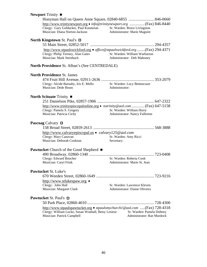| Newport Trinity ■                                                                                                                                  |                                                              |  |
|----------------------------------------------------------------------------------------------------------------------------------------------------|--------------------------------------------------------------|--|
|                                                                                                                                                    |                                                              |  |
| http://www.trinitynewport.org • info@trinitynewport.org  (Fax) 846-8440<br>Clergy: Gary Goldacker, Paul Koumrian<br>Musician: Diana Norton-Jackson | Sr. Warden: Bruce Livingston<br>Administrator: Marie Maguire |  |
| North Kingstown St. Paul's $\Box$                                                                                                                  |                                                              |  |
| http://www.stpaulswickford.org • office@stpaulswickford.org (Fax) 294-4371<br>Clergy: Philip Tierney, Alan Gates<br>Musician: Mark Steinbach       | Sr. Warden: William Warburton<br>Administrator: Deb Mahoney  |  |
| <b>North Providence St. Alban's (See CENTREDALE)</b>                                                                                               |                                                              |  |
| <b>North Providence St. James</b>                                                                                                                  |                                                              |  |
|                                                                                                                                                    |                                                              |  |
| Clergy: Alcide Barnaby, Iris E. Mello Sr. Warden: Lucy Bettencourt<br>Musician: Dede Bruns                                                         | Administrator:                                               |  |
| North Scituate Trinity $\blacksquare$                                                                                                              |                                                              |  |
|                                                                                                                                                    |                                                              |  |
| http://www.trinityepiscopalonline.org • nstrinity@aol.com  (Fax) 647-5158<br>Clergy: Pamela S. Gregory<br>Musician: Patricia Cichy                 | Sr. Warden: William Hurry<br>Administrator: Nancy Fullerton  |  |
| <b>Pascoag</b> Calvary $\Box$                                                                                                                      |                                                              |  |
|                                                                                                                                                    |                                                              |  |
| http://www.calvaryepiscopal.us • calvary125@aol.com                                                                                                |                                                              |  |
| Clergy: Mary Canavan                                                                                                                               | Sr. Warden: Amy Ricci                                        |  |
| Musician: Deborah Cookson                                                                                                                          | Secretary:                                                   |  |
| <b>Pawtucket</b> Church of the Good Shepherd ■                                                                                                     |                                                              |  |
|                                                                                                                                                    |                                                              |  |
| Clergy: Edward Boucher                                                                                                                             | Sr. Warden: Roberta Cook                                     |  |
| Musician: Caryl Frink                                                                                                                              | Administrator: Marie St. Jean                                |  |
| <b>Pawtucket St. Luke's</b>                                                                                                                        |                                                              |  |
|                                                                                                                                                    |                                                              |  |
| http://www.stlukespaw.org •                                                                                                                        |                                                              |  |
| Clergy: John Hall                                                                                                                                  | Sr. Warden: Lawrence Kleven                                  |  |
| Musician: Margaret Clark                                                                                                                           | Administrator: Elaine Oliveira                               |  |
| Pawtucket St. Paul's □                                                                                                                             |                                                              |  |
|                                                                                                                                                    |                                                              |  |
| http://www.stpaulspawtucket.org • stpaulsmychurch1@aol.com (Fax) 728-4318                                                                          |                                                              |  |
| Clergy: William Locke, Susan Wrathall, Betsy Lesieur<br>Musician: Patrick Campbell                                                                 | Sr. Warden: Pamela Doheny<br>Administrator: Rae Murdock      |  |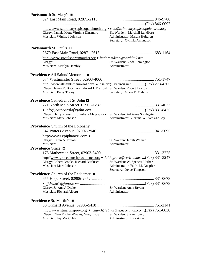| <b>Portsmouth St. Mary's</b> ■                                                                                                                                             |                                                                                                |
|----------------------------------------------------------------------------------------------------------------------------------------------------------------------------|------------------------------------------------------------------------------------------------|
|                                                                                                                                                                            |                                                                                                |
| http://www.saintmarysepiscopalchurch.org • smc@saintmarysepiscopalchurch.org<br>Clergy: Pamela Mott; Virginia Dinsmore<br>Musician: Winifred Johnson                       | Sr. Warden: Marshall Lundberg<br>Administrator: Martha Hultgren<br>Secretary: Cynthia Amundson |
| <b>Portsmouth St. Paul's <math>\Box</math></b>                                                                                                                             |                                                                                                |
| http://www.stpaulsportsmouthri.org • lindaremdean@earthlink.net<br>Clergy:<br>Musician: Marilyn Hambly                                                                     | Sr. Warden: Linda Remington<br>Administrator:                                                  |
| <b>Providence All Saints' Memorial</b> ■                                                                                                                                   |                                                                                                |
| http://www.allsaintsmemorial.com • asmcri@.verizon.net (Fax) 273-4205<br>Clergy: James R. Bocchino, Edward J. Trafford Sr. Warden: Robert Lawton<br>Musician: Barry Turley | Secretary: Grace E. Malaby                                                                     |
| <b>Providence</b> Cathedral of St. John $\Box$                                                                                                                             |                                                                                                |
| Clergy: Harry Krauss, III, Barbara Mays-Stock Sr. Warden: Adrienne Southgate<br>Musician: Mark Johnson                                                                     | Administrator: Virginia Williams-LaBoy                                                         |
| <b>Providence</b> Church of the Epiphany                                                                                                                                   |                                                                                                |
|                                                                                                                                                                            |                                                                                                |
| http://www.epiphanyri.com •<br>Clergy: Karen A. Fraioli<br>Musician:                                                                                                       | Sr. Warden: Judith Walker<br>Administrator:                                                    |
| <b>Providence Grace</b> □                                                                                                                                                  |                                                                                                |
|                                                                                                                                                                            |                                                                                                |
| http://www.gracechurchprovidence.org • faith.grace@verizon.net (Fax) 331-3247<br>Clergy: Robert Brooks, Richard Bardusch<br>Musician: Mark Johnson                         | Sr. Warden: W. Spencer Harber<br>Administrator: Faith M. Goepfert<br>Secretary: Joyce Timpson  |
| <b>Providence</b> Church of the Redeemer ■                                                                                                                                 |                                                                                                |
|                                                                                                                                                                            |                                                                                                |
| Clergy: Jo-Ann J. Drake<br>Musician: Richard Alberg                                                                                                                        | Sr. Warden: Anne Bryant<br>Administrator:                                                      |
| <b>Providence St. Martin's</b> ■                                                                                                                                           |                                                                                                |
|                                                                                                                                                                            |                                                                                                |
| http://www.stmartinsprov.org • church@stmartins.necoxmail.com.(Fax) 751-0038<br>Clergy: Clare Fischer-Davies, Greg Lisby Sr. Warden: Susan Loney                           |                                                                                                |

Musician: Jay MacCubbin Administrator: Lisa Ashe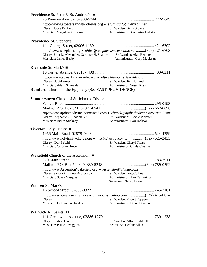| <b>Providence</b> St. Peter & St. Andrew's $\blacksquare$                                                                                                                     |                                                                                          |  |
|-------------------------------------------------------------------------------------------------------------------------------------------------------------------------------|------------------------------------------------------------------------------------------|--|
| http://www.stpetersandstandrews.org • stpanda25@verizon.net<br>Clergy: Joyce Penfield                                                                                         | Sr. Warden: Betty Sloane                                                                 |  |
| Musician: Gage-David Hansen                                                                                                                                                   | Administrator: Catherine Calistra                                                        |  |
| Providence St. Stephen's                                                                                                                                                      |                                                                                          |  |
|                                                                                                                                                                               |                                                                                          |  |
| http://www.sstephens.org • office@sstephens.necoxmail.com (Fax) 421-6703<br>Clergy: John D. Alexander, Gardiner H. Shattuck Sr. Warden: Alan Reniere<br>Musician: James Busby | Administrator: Cory MacLean                                                              |  |
| <b>Riverside St. Mark's <math>\blacksquare</math></b>                                                                                                                         |                                                                                          |  |
|                                                                                                                                                                               |                                                                                          |  |
| http://www.stmarksriverside.org • office@stmarksriverside.org<br>Clergy: David Ames<br>Musician: Adam Schneider                                                               | Sr. Warden: Jim Hummel<br>Administrator: Susan Rossi                                     |  |
| <b>Rumford</b> Church of the Epiphany (See EAST PROVIDENCE)                                                                                                                   |                                                                                          |  |
| <b>Saunderstown</b> Chapel of St. John the Divine                                                                                                                             |                                                                                          |  |
|                                                                                                                                                                               |                                                                                          |  |
|                                                                                                                                                                               |                                                                                          |  |
| http://www.stjohnthedivine.homestead.com • chapel@stjohnthedivine.necoxmail.com                                                                                               |                                                                                          |  |
| Clergy: Stephanie C. Shoemaker                                                                                                                                                | Sr. Warden: M. Locke Webster                                                             |  |
| Musician: Judith Stickney                                                                                                                                                     | Administrator: Lori Jackson                                                              |  |
| Tiverton Holy Trinity ■                                                                                                                                                       |                                                                                          |  |
|                                                                                                                                                                               |                                                                                          |  |
|                                                                                                                                                                               |                                                                                          |  |
| Clergy: Daryl Stahl<br>Musician: Carolyn Howell                                                                                                                               | Sr. Warden: Cheryl Twiss                                                                 |  |
|                                                                                                                                                                               | Administrator: Cindy Cwalina                                                             |  |
| Wakefield Church of the Ascension $\blacksquare$                                                                                                                              |                                                                                          |  |
|                                                                                                                                                                               |                                                                                          |  |
|                                                                                                                                                                               |                                                                                          |  |
| http://www.AscensionWakefield.org • AscensionW@juno.com                                                                                                                       |                                                                                          |  |
| Clergy: Sandra P. Haines-Murdocco<br>Musician: Susan Vasques                                                                                                                  | Sr. Warden: Peg Collins<br><b>Administrator: Tim Cummings</b><br>Secretary: Nancy Dreier |  |
| <b>Warren St. Mark's</b>                                                                                                                                                      |                                                                                          |  |
|                                                                                                                                                                               |                                                                                          |  |
|                                                                                                                                                                               |                                                                                          |  |
| Clergy:                                                                                                                                                                       | Sr. Warden: Robert Tappero<br>Administrator: Diane Donahue                               |  |
| Musician: Deborah Walmsley                                                                                                                                                    |                                                                                          |  |
| Warwick All Saints' $\Box$                                                                                                                                                    |                                                                                          |  |
|                                                                                                                                                                               |                                                                                          |  |
| Clergy: Philip Devens<br>Musician: Patricia Wiggins                                                                                                                           | Sr. Warden: Alfred Liddle III<br>Secretary: Debbie Allen                                 |  |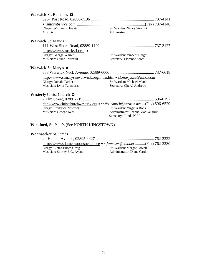| Warwick St. Barnabas $\Box$                                     |                                                                                |
|-----------------------------------------------------------------|--------------------------------------------------------------------------------|
|                                                                 |                                                                                |
|                                                                 |                                                                                |
| Clergy: William F. Fraatz                                       | Sr. Warden: Nancy Straight                                                     |
| Musician:                                                       | Administrator:                                                                 |
| <b>Warwick St. Mark's</b>                                       |                                                                                |
|                                                                 |                                                                                |
| http://www.stmarksri.org •                                      |                                                                                |
| Clergy: George Warren                                           | Sr. Warden: Vincent Haight                                                     |
| Musician: Grace Tetreault                                       | Secretary: Florence Scott                                                      |
| <b>Warwick St. Mary's <math>\blacksquare</math></b>             |                                                                                |
|                                                                 |                                                                                |
| http://www.stmarysinwarwick.org/intro.htm • st.mary358@juno.com |                                                                                |
| Clergy: Donald Parker                                           | Sr. Warden: Michael Marsh                                                      |
| Musician: Lynn Tzitzouris                                       | Secretary: Cheryl Andrews                                                      |
| <b>Westerly Christ Church <math>\Box</math></b>                 |                                                                                |
|                                                                 |                                                                                |
|                                                                 | http://www.christchurchwesterly.org • christ-church@verizon.net (Fax) 596-6529 |
| Clergy: Frederick Nestrock                                      | Sr. Warden: Virginia Bonk                                                      |
| Musician: George Kent                                           | Administrator: Jeanne MacLaughlin                                              |
|                                                                 | Secretary: Linda Nolf                                                          |
|                                                                 |                                                                                |
| <b>Wickford, St. Paul's (See NORTH KINGSTOWN)</b>               |                                                                                |

### **Woonsocket** St. James'

|                              | http://www.stjameswoonsocket.org • <i>stjamesw@cox.net </i> (Fax) 762-2230 |
|------------------------------|----------------------------------------------------------------------------|
| Clergy: Eletha Buote-Greig   | Sr. Warden: Margot Powell                                                  |
| Musician: Shirley E.G. Ayers | Administrator: Diane Cardin                                                |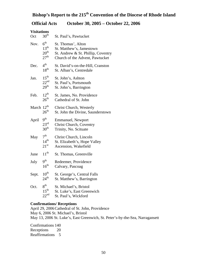# **Bishop's Report to the 215th Convention of the Diocese of Rhode Island**

## **Official Acts October 30, 2005 – October 22, 2006**

## **Visitations**

| Oct                    | 30 <sup>th</sup>                                                      | St. Paul's, Pawtucket                                                                                                   |
|------------------------|-----------------------------------------------------------------------|-------------------------------------------------------------------------------------------------------------------------|
| Nov.                   | $6^{\rm th}$<br>$13^{\text{th}}$<br>$20^{\rm th}$<br>$27^{\text{th}}$ | St. Thomas', Alton<br>St. Matthew's, Jamestown<br>St. Andrew & St. Phillip, Coventry<br>Church of the Advent, Pawtucket |
| Dec.                   | 4 <sup>th</sup><br>$18^{th}$                                          | St. David's-on-the-Hill, Cranston<br>St. Alban's, Centredale                                                            |
| Jan.                   | $15^{\text{th}}$<br>$22^{\text{nd}}$<br>29 <sup>th</sup>              | St. John's, Ashton<br>St. Paul's, Portsmouth<br>St. John's, Barrington                                                  |
| Feb.                   | $12^{th}$<br>$26^{\rm th}$                                            | St. James, No. Providence<br>Cathedral of St. John                                                                      |
| March 12 <sup>th</sup> | $26^{\rm th}$                                                         | Christ Church, Westerly<br>St. John the Divine, Saunderstown                                                            |
| April                  | 9 <sup>th</sup><br>$23^{\text{rd}}$<br>30 <sup>th</sup>               | Emmanuel, Newport<br>Christ Church, Coventry<br>Trinity, No. Scituate                                                   |
| May                    | 7 <sup>th</sup><br>$14^{th}$<br>$21^{\rm st}$                         | Christ Church, Lincoln<br>St. Elizabeth's, Hope Valley<br>Ascension, Wakefield                                          |
| June                   | $11^{\text{th}}$                                                      | St. Thomas, Greenville                                                                                                  |
| July                   | $9^{\rm th}$<br>$16^{\text{th}}$                                      | Redeemer, Providence<br>Calvary, Pascoag                                                                                |
| Sept.                  | $10^{\text{th}}$<br>$24^{\text{th}}$                                  | St. George's, Central Falls<br>St. Matthew's, Barrington                                                                |
| Oct.                   | 8 <sup>th</sup><br>$15^{\text{th}}$<br>22 <sup>nd</sup>               | St. Michael's, Bristol<br>St. Luke's, East Greenwich<br>St. Paul's, Wickford                                            |

## **Confirmations/ Receptions**

April 29, 2006Cathedral of St. John, Providence May 6, 2006 St. Michael's, Bristol May 13, 2006 St. Luke's, East Greenwich, St. Peter's-by-the-Sea, Narragansett

Confirmations 140 Receptions 20 Reaffirmations 5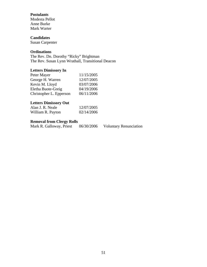#### **Postulants**

Modesta Pellot Anne Burke Mark Warter

#### **Candidates**

Susan Carpenter

## **Ordinations**

The Rev. Dn. Dorothy "Ricky" Brightman The Rev. Susan Lynn Wrathall, Transitional Deacon

#### **Letters Dimissory In**

| Peter Mayer             | 11/15/2005 |
|-------------------------|------------|
| George H. Warren        | 12/07/2005 |
| Kevin M. Lloyd          | 03/07/2006 |
| Eletha Buote-Greig      | 04/19/2006 |
| Christopher L. Epperson | 06/11/2006 |

## **Letters Dimissory Out**

| Alan J. R. Neale  | 12/07/2005 |
|-------------------|------------|
| William R. Payton | 02/14/2006 |

**Removal from Clergy Rolls**<br>Mark R. Galloway, Priest 06/30/2006 Mark R. Galloway, Priest 06/30/2006 Voluntary Renunciation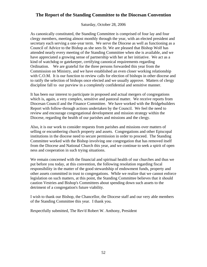## **The Report of the Standing Committee to the Diocesan Convention**

Saturday, October 28, 2006

As canonically constituted, the Standing Committee is comprised of four lay and four clergy members, meeting almost monthly through the year, with an elected president and secretary each serving a one-year term. We serve the Diocese as well as functioning as a Council of Advice to the Bishop as she sees fit. We are pleased that Bishop Wolf has attended nearly every meeting of the Standing Committee when she is available, and we have appreciated a growing sense of partnership with her at her initiative. We act as a kind of watchdog or gatekeeper, certifying canonical requirements regarding Ordination. We are grateful for the three persons forwarded this year from the Commission on Ministry, and we have established an even closer working relationship with C.O.M. It is our function to review calls for election of bishops in other diocese and to ratify the selection of bishops once elected and we usually approve. Matters of clergy discipline fall to our purview in a completely confidential and sensitive manner.

It has been our interest to participate in proposed and actual mergers of congregations which is, again, a very complex, sensitive and pastoral matter. We receive reports from Diocesan Council and the Finance Committee. We have worked with the Bridgebuilders Report with follow-through actions undertaken by the Council. We feel the need to review and encourage congregational development and mission strategy within the Diocese, regarding the health of our parishes and missions and the clergy.

Also, it is our work to consider requests from parishes and missions over matters of selling or encumbering church property and assets. Congregations and other Episcopal institutions in the diocese need to secure permission in order to proceed. The Standing Committee worked with the Bishop involving one congregation that has removed itself from the Diocese and National Church this year, and we continue to seek a spirit of open ness and cooperation in such trying situations.

We remain concerned with the financial and spiritual health of our churches and thus we put before you today, at this convention, the following resolution regarding fiscal responsibility in the matter of the good stewardship of endowment funds, property and other assets committed in trust to congregations. While we realize that we cannot enforce legislation on such matters, at this point, the Standing Committee believes that it should caution Vestries and Bishop's Committees about spending down such assets to the detriment of a congregation's future viability.

I wish to thank our Bishop, the Chancellor, the Diocese staff and our very able members of the Standing Committee this year. I thank you.

Respectfully submitted, The Rev'd Robert W. Anthony, President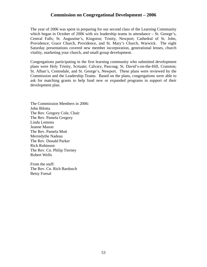## **Commission on Congregational Development – 2006**

The year of 2006 was spent in preparing for our second class of the Learning Community which began in October of 2006 with six leadership teams in attendance – St. George's, Central Falls; St. Augustine's, Kingston; Trinity, Newport; Cathedral of St. John, Providence; Grace Church, Providence, and St. Mary's Church, Warwick. The eight Saturday presentations covered new member incorporation, generational lenses, church vitality, marketing your church, and small group development.

Congregations participating in the first learning community who submitted development plans were Holy Trinity, Scituate; Calvary, Pascoag; St. David's-on-the-Hill, Cranston; St. Alban's, Centredale, and St. George's, Newport. These plans were reviewed by the Commission and the Leadership Teams. Based on the plans, congregations were able to ask for matching grants to help fund new or expanded programs in support of their development plan.

The Commission Members in 2006: John Bilotta The Rev. Gregory Cole, Chair The Rev. Pamela Gregory Linda Lemons Jeanne Mason The Rev. Pamela Mott Merredythe Nadeau The Rev. Donald Parker Rick Robinson The Rev. Cn. Philip Tierney Robert Wells

From the staff: The Rev. Cn. Rich Bardusch Betsy Fornal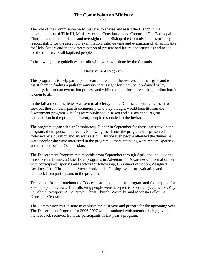## **The Commission on Ministry 2006**

The role of the Commission on Ministry is to advise and assist the Bishop in the implementation of Title III, Ministry, of the Constitution and Canons of The Episcopal Church. Under the guidance and oversight of the Bishop, the Commission has primary responsibility for the selection, examination, interviewing and evaluation of all applicants for Holy Orders and in the determination of present and future opportunities and needs for the ministry of all baptized people.

In following these guidelines the following work was done by the Commission.

#### **Discernment Program**

This program is to help participants learn more about themselves and their gifts and to assist them in finding a path for ministry that is right for them, be it ordained or lay ministry. It is not an evaluation process and while required for those seeking ordination, it is open to all.

In the fall a recruiting letter was sent to all clergy in the Diocese encouraging them to seek out those in their parish community who they thought would benefit from the discernment program. Articles were published in Risen and eRisen encouraging participation in the program. Twenty people responded to the invitation.

The program began with an Introductory Dinner in September for those interested in the program, their spouse, and rector. Following the dinner the program was presented followed by a question and answer session. Thirty-seven people attended the dinner, 20 were people who were interested in the program. Others attending were rectors, spouses, and members of the Commission.

The Discernment Program met monthly from September through April and included the Introductory Dinner, a Quiet Day, programs in Adventure in Awareness, informal dinner with participants, spouses and rectors for fellowship, Christian Formation, Assigned Readings, Trip Through the Prayer Book, and a Closing Event for evaluation and feedback from participants in the program.

Ten people from throughout the Diocese participated in this program and five applied for Postulancy interviews. The following people were accepted to Postulancy: James McKay, St. John's, Newport; Anne Burke, Christ Church, Westerly; and Modesta Pellot, St. George's, Central Falls.

The Commission met in June to evaluate the past year and prepare for the upcoming year. The Discernment Program for 2006-2007 was formulated with attention being given to the feedback received from the participants in last year's program.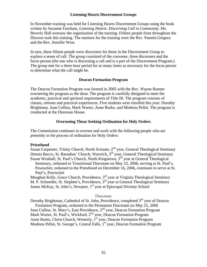#### **Listening Hearts Discernment Groups**

In November training was held for Listening Hearts Discernment Groups using the book written by Suzanne Farnham, *Listening Hearts: Discerning Call in Community*. Ms. Beverly Hall oversaw the organization of the training. Fifteen people from throughout the Diocese took this training. The mentors for the training were the Rev. Pamela Gregory and the Rev. Jennifer West.

In turn, these fifteen people were discerners for those in the Discernment Group to explore a sense of call. The group consisted of the convener, three discerners and the focus person (the one who is discerning a call and is a part of the Discernment Program.) The group met for a three hour period for as many times as necessary for the focus person to determine what the call might be.

#### **Deacon Formation Program**

The Deacon Formation Program was formed in 2005 with the Rev. Wayne Runner overseeing the program as the dean. The program is carefully designed to meet the academic, practical and spiritual requirements of Title III. The program consists of classes, retreats and practical experiences. Five students were enrolled this year: Dorothy Brightman, Joan Collins, Mark Warter, Anne Burke, and Modesta Pellot. The program is conducted at the Diocesan House.

#### **Overseeing Those Seeking Ordination for Holy Orders**

The Commission continues to oversee and work with the following people who are presently in the process of ordination for Holy Orders:

#### **Priesthood**

Susan Carpenter, Trinity Church, North Scituate, 2<sup>nd</sup> year, General Theological Seminary Dennis Bucco, St. Barnabas' Church, Warwick, 3rd year, General Theological Seminary Susan Wrathall, St. Paul's Church, North Kingstown, 3<sup>rd</sup> year at General Theological Seminary, ordained to Transitional Diaconate on May 25, 2006, serving at St. Paul's, Pawtucket, ordained to the Priesthood on December 16, 2006, continues to serve at St. Paul's, Pawtucket

Meaghan Kelly, Grace Church, Providence, 3<sup>rd</sup> year at Virginia Theological Seminary M. P. Schneider, St. Stephen's, Providence, 3<sup>rd</sup> year at General Theological Seminary James McKay, St. John's, Newport,  $1<sup>st</sup>$  year at Episcopal Divinity School

#### Diaconate

Dorothy Brightman, Cathedral of St. John, Providence, completed  $3<sup>rd</sup>$  year of Deacon Formation Program, ordained to the Permanent Diaconate on May 25, 2006 Joan Collins, St. Mary's, East Providence, 2<sup>nd</sup> year, Deacon Formation Program Mark Warter, St. Paul's, Wickford, 2<sup>nd</sup> year, Deacon Formation Program Anne Burke, Christ Church, Westerly, 1<sup>st</sup> year, Deacon Formation Program Modesta Pellot, St. George's, Central Falls,  $1<sup>st</sup>$  year, Deacon Formation Program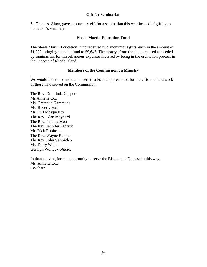#### **Gift for Seminarian**

St. Thomas, Alton, gave a monetary gift for a seminarian this year instead of gifting to the rector's seminary.

#### **Steele Martin Education Fund**

The Steele Martin Education Fund received two anonymous gifts, each in the amount of \$1,000, bringing the total fund to \$9,645. The moneys from the fund are used as needed by seminarians for miscellaneous expenses incurred by being in the ordination process in the Diocese of Rhode Island.

#### **Members of the Commission on Ministry**

We would like to extend our sincere thanks and appreciation for the gifts and hard work of those who served on the Commission:

The Rev. Dn. Linda Cappers Ms.Annette Cox Ms. Gretchen Gammons Ms. Beverly Hall Mr. Phil Masquelette The Rev. Alan Maynard The Rev. Pamela Mott The Rev. Jennifer Pedrick Mr. Rick Robinson The Rev. Wayne Runner The Rev. John VanSiclen Ms. Dotty Wells Geralyn Wolf, *ex-officio*.

.

In thanksgiving for the opportunity to serve the Bishop and Diocese in this way, Ms. Annette Cox Co-chair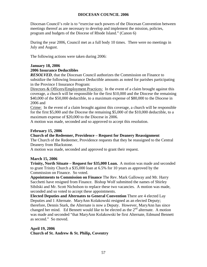### **DIOCESAN COUNCIL 2006**

Diocesan Council's role is to "exercise such powers of the Diocesan Convention between meetings thereof as are necessary to develop and implement the mission, policies, program and budgets of the Diocese of Rhode Island." (Canon 6)

During the year 2006, Council met as a full body 10 times. There were no meetings in July and August.

The following actions were taken during 2006:

#### **January 18, 2006**

#### **2006 Insurance Deductibles**

*RESOLVED,* that the Diocesan Council authorizes the Commission on Finance to subsidize the following Insurance Deductible amounts as noted for parishes participating in the Province I Insurance Program:

Directors & Officers/Employment Practices: In the event of a claim brought against this coverage, a church will be responsible for the first \$10,000 and the Diocese the remaining \$40,000 of the \$50,000 deductible, to a maximum expense of \$80,000 to the Diocese in 2006 and

Crime: In the event of a claim brought against this coverage, a church will be responsible for the first \$5,000 and the Diocese the remaining \$5,000 of the \$10,000 deductible, to a maximum expense of \$20,000 to the Diocese in 2006.

A motion was made, seconded and so approved to accept this resolution.

#### **February 15, 2006**

#### **Church of the Redeemer, Providence – Request for Deanery Reassignment**

The Church of the Redeemer, Providence requests that they be reassigned to the Central Deanery from Blackstone.

A motion was made, seconded and approved to grant their request.

#### **March 15, 2006**

**Trinity, North Situate – Request for \$35,000 Loan.** A motion was made and seconded to grant Trinity Church a \$35,000 loan at 6.5% for 10 years as approved by the Commission on Finance. So voted.

**Appointments to Commission on Finance** The Rev. Mark Galloway and Mr. Harry Sacchetti have resigned from Finance. Bishop Wolf submitted the names of Shirley Sibilski and Mr. Scott Nicholson to replace these two vacancies. A motion was made, seconded and so voted to accept these appointments.

**Elected Deputies and Alternates to General Convention** There are 4 elected Lay Deputies and 1 Alternate. MaryAnn Kolakowski resigned as an elected Deputy; therefore, Dennis Stark, the Alternate is now a Deputy. However, MaryAnn has since changed her mind. Ed Bennett would like to be elected as the  $2<sup>nd</sup>$  alternate. A motion was made and seconded "that MaryAnn Kolakowski be first Alternate, Edmund Bennett as second." So moved.

#### **April 19, 2006 Church of St. Andrew & St. Philip, Coventry**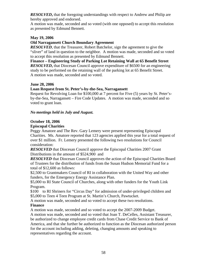*RESOLVED***,** that the foregoing understandings with respect to Andrew and Philip are hereby approved and endorsed.

A motion was made, seconded and so voted (with one opposed) to accept this resolution as presented by Edmund Bennett.

## **May 19, 2006**

### **Old Narragansett Church Boundary Agreement**

*RESOLVED*, that the Treasurer, Robert Batchelor, sign the agreement to give the "sliver" of land in question to the neighbor. A motion was made, seconded and so voted to accept this resolution as presented by Edmund Bennett.

**Finance – Engineering Study of Parking Lot Retaining Wall at 65 Benefit Street**  *RESOLVED***,** that Diocesan Council approve expenditure of \$6500 for an engineering study to be performed on the retaining wall of the parking lot at 65 Benefit Street. A motion was made, seconded and so voted.

#### **June 28, 2006**

## **Loan Request from St. Peter's-by-the-Sea, Narragansett**

Request for Revolving Loan for \$100,000 at 7 percent for Five (5) years by St. Peter'sby-the-Sea, Narragansett – Fire Code Updates. A motion was made, seconded and so voted to grant loan.

#### *No meetings held in July and August.*

## **October 18, 2006**

## **Episcopal Charities**

Peggy Amatore and The Rev. Gary Lemery were present representing Episcopal Charities. Ms. Amatore reported that 123 agencies applied this year for a total request of over \$1 million. Fr. Lemery presented the following two resolutions for Council consideration:

*RESOLVED* that Diocesan Council approve the Episcopal Charities 2007 Grant Distributions in the amount of \$524,900 and

*RESOLVED* that Diocesan Council approves the action of the Episcopal Charities Board of Trustees for the distribution of funds from the Susan Hudson Memorial Fund for a total of \$12,600 as follows:

\$2,500 to Grantmakers Council of RI in collaboration with the United Way and other funders, for the Emergency Energy Assistance Plan.

\$5,000 to RI State Council of Churches, along with other funders for the Youth Link Program.

\$100 to RI Shriners for "Circus Day" for admission of under-privileged children and \$5,000 to Teen 4 Teen Program at St. Martin's Church, Pawtucket.

A motion was made, seconded and so voted to accept these two resolutions. **Finance**

A motion was made, seconded and so voted to accept the 2007-2009 Budget.

A motion was made, seconded and so voted that Joan T. DeCelles, Assistant Treasurer, be authorized to change employee credit cards from Chase Credit Service to Bank of America, and that she further be authorized to function as the Diocesan authorized person for the account including adding, deleting, changing amounts and speaking to representatives regarding the account.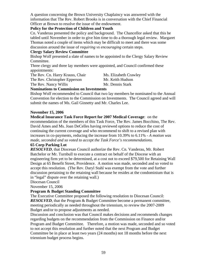A question concerning the Brown University Chaplaincy was answered with the information that The Rev. Robert Brooks is in conversation with the Chief Financial Officer at Brown to resolve the issue of the endowment.

#### **Policy for the Protection of Children and Youth**

Cn. Vanderau presented the policy and background. The Chancellor asked that this be tabled until November in order to give him time to do a thorough legal review. Margaret Thomas noted a couple of items which may be difficult to meet and there was some discussion around the issue of *requiring vs encouraging* certain steps.

### **Clergy Salary Review Committee**

Bishop Wolf presented a slate of names to be appointed to the Clergy Salary Review Committee.

Three clergy and three lay members were appointed, and Council confirmed these appointments:

The Rev. Cn. Harry Krauss, Chair Ms. Elizabeth Crawley The Rev. Christopher Epperson Mr. Keith Hudson The Rev. Nancy Willis Mr. Dennis Stark

## **Nominations to Commission on Investments**

Bishop Wolf recommended to Council that two lay members be nominated to the Annual Convention for election to the Commission on Investments. The Council agreed and will submit the names of Ms. Gail Ginnetty and Mr. Charles Lee.

## **November 15, 2006**

**Medical Insurance Task Force Report for 2007 Medical Coverage**: on the recommendation of the members of this Task Force, The Rev. James Bocchino, The Rev. David Ames and Ms. Joan DeCelles having reviewed options to reduce the cost of continuing the current coverage and who recommend to shift to a revised plan with increases in co-payments, reducing the increase from 10.39% to 6.11% - *A motion was made, seconded and so voted to accept the Task Force's recommendations.*

## **65 Corp Parking Lot**

*RESOLVED*, that Diocesan Council authorize the Rev. Cn. Vanderau, Mr. Robert Batchelor or Mr. Turnbull to execute a contract on behalf of the Diocese with an engineering firm yet to be determined, at a cost not to exceed \$79,500 for Retaining Wall Design at 65 Benefit Street, Providence. A motion was made, seconded and so voted to accept this resolution. (The Rev. Daryl Stahl was exempt from the vote and further discussion pertaining to the retaining wall because he resides at the condominium that is in "legal" dispute over the retaining wall.)

Diocesan Council

November 15, 2006

## **Program & Budget Standing Committee**

The Executive Committee proposed the following resolution to Diocesan Council: *RESOLVED*, that the Program & Budget Committee become a permanent committee, meeting periodically as needed throughout the triennium, to review the 2007-2009 Budget and/or to propose adjustments as needed.

Discussion and conclusion was that Council makes decisions and recommends changes regarding budgets on the recommendation from the Commission on Finance and/or Program and Budget Committee. Therefore, a motion was made, seconded and so voted to not accept this resolution and further noted that the next Program and Budget Committee be in place at least two years (24 months) not 18 months before the next triennium budget process begins.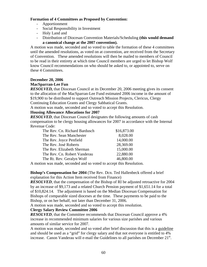#### **Formation of 4 Committees as Proposed by Convention:**

- Apportionment
- Social Responsibility in Investment
- Holy Land and
- Distribution of Diocesan Convention Materials/Scheduling **(this would demand a canonical change at the 2007 convention).**

A motion was made, seconded and so voted to table the formation of these 4 committees until the amended resolutions, as voted on at convention, are received from the Secretary of Convention. These amended resolutions will then be mailed to members of Council to be read in their entirety at which time Council members are urged to let Bishop Wolf know Council recommendations on who should be asked to, or appointed to, serve on these 4 Committees.

#### **December 20, 2006**

#### **MacSparran-Lee Fun**

*RESOLVED,* that Diocesan Council at its December 20, 2006 meeting gives its consent to the allocation of the MacSparran-Lee Fund estimated 2006 income in the amount of \$19,900 to be distributed to support Outreach Mission Projects, Clericus, Clergy Continuing Education Grants and Clergy Sabbatical Grants.

A motion was made, seconded and so voted to accept this Resolution.

#### **Housing Allowance Allocations for 2007**

*RESOLVED*, that Diocesan Council designates the following amounts of cash compensation to be clergy housing allowances for 2007 in accordance with the Internal Revenue Code:

| The Rev. Cn. Richard Bardusch | \$16,873.00 |
|-------------------------------|-------------|
| The Rev. Sean Manchester      | 8,028.00    |
| The Rev. Joyce Penfield       | 14,000.00   |
| The Rev. José Roberts         | 28,369.00   |
| The Rev. Elizabeth Sherman    | 15,000.00   |
| The Rev. Cn. Robert Vanderau  | 22,880.00   |
| The Rt. Rev. Geralyn Wolf     | 46,800.00   |

A motion was made, seconded and so voted to accept this Resolution.

**Bishop's Compensation for 2004** (The Rev. Dcn. Ted Hallenbeck offered a brief explanation for this Action Item received from Finance)

**RESOLVED**, that the compensation of the Bishop of RI be adjusted retroactive for 2004 by an increase of \$9,173 and a related Church Pension payment of \$1,651.14 for a total of \$10,824.14. The adjustment is based on the Median Diocesan Compensation for Bishops of comparable sized dioceses at the time. These payments to be paid to the Bishop, or on her behalf, not later than December 31, 2006.

A motion was made, seconded and so voted to accept this resolution.

#### **Clergy Salary Review Committee 2006**

*RESOLVED*, that the Committee recommends that Diocesan Council approve a 4% increase in recommended minimum salaries for various size parishes and various amounts of similar service for 2007.

A motion was made, seconded and so voted after brief discussion that this is a guideline and should be used as a "grid" for clergy salary and that not everyone is entitled to 4% increase. Canon Vanderau will e-mail the Guidelines to all parishes on December 21<sup>st</sup>.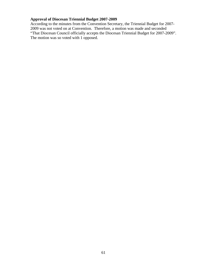## **Approval of Diocesan Triennial Budget 2007-2009**

According to the minutes from the Convention Secretary, the Triennial Budget for 2007- 2009 was not voted on at Convention. Therefore, a motion was made and seconded "That Diocesan Council officially accepts the Diocesan Triennial Budget for 2007-2009". The motion was so voted with 1 opposed.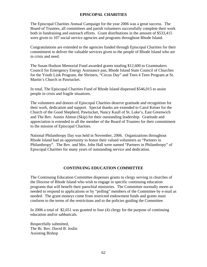#### **EPISCOPAL CHARITIES**

The Episcopal Charities Annual Campaign for the year 2006 was a great success. The Board of Trustees, all committees and parish volunteers successfully complete their work both in fundraising and outreach efforts. Grant distributions in the amount of \$533,415 were given to 107 social service agencies and programs throughout Rhode Island.

Congratulations are extended to the agencies funded through Episcopal Charities for their commitment to deliver the valuable services given to the people of Rhode Island who are in crisis and need.

The Susan Hudson Memorial Fund awarded grants totaling \$12,600 to Grantmakers Council for Emergency Energy Assistance pan, Rhode Island State Council of Churches for the Youth Link Program, the Shriners, "Circus Day" and Teen 4 Teen Program at St. Martin's Church in Pawtucket.

In total, The Episcopal Charities Fund of Rhode Island dispersed \$546,015 to assist people in crisis and fragile situations.

The volunteers and donors of Episcopal Charities deserve gratitude and recognition for their work, dedication and support. Special thanks are extended to Carol Keiser for the Church of the Good Shepherd, Pawtucket, Nancy Kaull of St. Luke's, East Greenwich and The Rev. Austin Almon (Skip) for their outstanding leadership. Gratitude and appreciation is extended to all the member of the Board of Trustees for their commitment to the mission of Episcopal Charities.

National Philanthropy Day was held in November, 2006. Organizations throughout Rhode Island had an opportunity to honor their valued volunteers as "Partners in Philanthropy". The Rev. and Mrs. John Hall were named "Partners in Philanthropy" of Episcopal Charities for many years of outstanding service and dedication.

#### **CONTINUING EDUCATION COMMITTEE**

The Continuing Education Committee dispenses grants to clergy serving in churches of the Diocese of Rhode Island who wish to engage in specific continuing education programs that will benefit their parochial ministries. The Committee normally meets as needed to respond to applications or by "polling" members of the Committee by e-mail as needed. The grant moneys come from restricted endowment funds and grants must conform to the terms of the restrictions and to the policies guiding the Committee.

In 2006 a total of \$2,651 was granted to four (4) clergy for the purpose of continuing education and/or sabbaticals.

Respectfully submitted, The Rt. Rev. David B. Joslin Assisting Bishop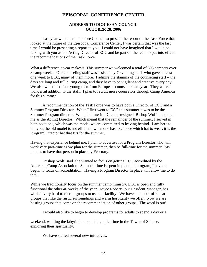## **EPISCOPAL CONFERENCE CENTER**

#### **ADDRESS TO DIOCESAN COUNCIL OCTOBER 28, 2006**

 Last year when I stood before Council to present the report of the Task Force that looked at the future of the Episcopal Conference Center, I was certain that was the last time I would be presenting a report to you. I could not have imagined that I would be talking with you as the Acting Director of ECC and be part of the team to put into effect the recommendations of the Task Force.

What a difference a year makes!! This summer we welcomed a total of 603 campers over 8 camp weeks. Our counseling staff was assisted by 70 visiting staff who gave at least one week to ECC, many of them more. I admire the stamina of the counseling staff – the days are long and full during camp, and they have to be vigilant and creative every day. We also welcomed four young men from Europe as counselors this year. They were a wonderful addition to the staff. I plan to recruit more counselors through Camp America for this summer.

 A recommendation of the Task Force was to have both a Director of ECC and a Summer Program Director. When I first went to ECC this summer it was to be the Summer Program director. When the Interim Director resigned, Bishop Wolf appointed me as the Acting Director. Which meant that the remainder of the summer, I served in both positions, which was the model we are committed to leaving behind. I am here to tell you, the old model is not efficient, when one has to choose which hat to wear, it is the Program Director hat that fits for the summer.

Having that experience behind me, I plan to advertise for a Program Director who will work very part-time as we plan for the summer, then be full-time for the summer. My hope is to have that person in place by February.

 Bishop Wolf said she wanted to focus on getting ECC accredited by the American Camp Association. So much time is spent in planning program, I haven't begun to focus on accreditation. Having a Program Director in place will allow me to do that.

While we traditionally focus on the summer camp ministry, ECC is open and fully functional the other 40 weeks of the year. Joyce Roberts, our Resident Manager, has worked very hard to recruit groups to use our facility. We have a number of repeat groups that like the rustic surroundings and warm hospitality we offer. Now we are hosting groups that come on the recommendation of other groups. The word is out!

I would also like to begin to develop programs for adults to spend a day or a

weekend, walking the labyrinth or spending quiet time in the Tower of Silence, exploring their spirituality.

We have started several new initiatives: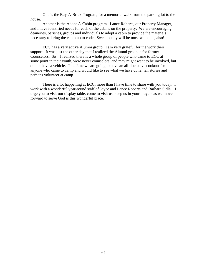One is the Buy-A-Brick Program, for a memorial walk from the parking lot to the house.

 Another is the Adopt-A-Cabin program. Lance Roberts, our Property Manager, and I have identified needs for each of the cabins on the property. We are encouraging deaneries, parishes, groups and individuals to adopt a cabin to provide the materials necessary to bring the cabin up to code. Sweat equity will be most welcome, also!

 ECC has a very active Alumni group. I am very grateful for the work their support. It was just the other day that I realized the Alumni group is for former Counselors. So – I realized there is a whole group of people who came to ECC at some point in their youth, were never counselors, and may might want to be involved, but do not have a vehicle. This June we are going to have an all- inclusive cookout for anyone who came to camp and would like to see what we have done, tell stories and perhaps volunteer at camp.

 There is a lot happening at ECC, more than I have time to share with you today. I work with a wonderful year-round staff of Joyce and Lance Roberts and Barbara Sidla. I urge you to visit our display table, come to visit us, keep us in your prayers as we move forward to serve God is this wonderful place.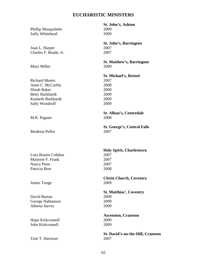#### **EUCHARISTIC MINISTERS**

Phillip Masquelette 2009<br>
Sally Whitehead 2009 Sally Whitehead

Joan L. Harper 2007 Charles F. Reade, Jr. 2007

Mary Miller 2009

Richard Munro 2007 Anne C. McCarthy 2008 Dinah Baker 2009 Betty Burkhardt 2009 Kenneth Burkhardt 2009 Sally Woodruff 2009

M.R. Pagano 2008

Modesta Pellot 2007

Lora Branin Cobdon 2007 Marjorie F. Frank 2007 Nancy Penn 2007 Patricia Bow 2008

James Tonge 2009

David Barton 2009 George Nathanson 2009 Alberta Sarvia 2009

Hope Kirkconnell 2009 John Kirkconnell 2009

Toni T. Harrison 2007

 **St. John's, Ashton** 

**St. John's, Barrington** 

**St. Matthew's, Barrington**

**St. Michael's, Bristol**

**St. Alban's, Centredale** 

**St. George's, Central Falls** 

**Holy Spirit, Charlestown** 

**Christ Church, Coventry** 

**St. Matthias', Coventry** 

**Ascension, Cranston** 

**St. David's-on-the-Hill, Cranston**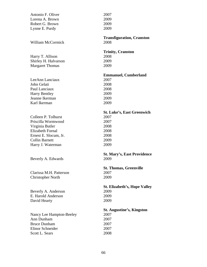| Antonio F. Oliver        | 2007                                |
|--------------------------|-------------------------------------|
| Lorena A. Brown          | 2009                                |
| Robert G. Brown          | 2009                                |
| Lynne E. Purdy           | 2009                                |
|                          | <b>Transfiguration, Cranston</b>    |
| <b>William McCormick</b> | 2008                                |
|                          | <b>Trinity, Cranston</b>            |
| Harry T. Allison         | 2008                                |
| Shirley H. Halvarson     | 2009                                |
| <b>Margaret Thomas</b>   | 2009                                |
|                          | <b>Emmanuel, Cumberland</b>         |
| LeeAnn Lanciaux          | 2007                                |
| John Gelati              | 2008                                |
| Paul Lanciaux            | 2008                                |
| <b>Harry Bentley</b>     | 2009                                |
| Jeanne Ikerman           | 2009                                |
| Karl Ikerman             | 2009                                |
|                          | <b>St. Luke's, East Greenwich</b>   |
| Colleen P. Tolhurst      | 2007                                |
| Priscilla Wormwood       | 2007                                |
| Virginia Butler          | 2008                                |
| <b>Elizabeth Fornal</b>  | 2008                                |
| Ernest E. Slocum, Jr.    | 2008                                |
| <b>Collin Barnett</b>    | 2009                                |
| Harry J. Waterman        | 2009                                |
|                          | <b>St. Mary's, East Providence</b>  |
| Beverly A. Edwards       | 2009                                |
|                          | <b>St. Thomas, Greenville</b>       |
| Clarissa M.H. Patterson  | 2007                                |
| <b>Christopher North</b> | 2009                                |
|                          | <b>St. Elizabeth's, Hope Valley</b> |
| Beverly A. Anderson      | 2009                                |
| E. Harold Anderson       | 2009                                |
| David Hearty             | 2009                                |
|                          | <b>St. Augustine's, Kingston</b>    |
| Nancy Lee Hampton-Beeley | 2007                                |
| Ann Dunham               | 2007                                |
| <b>Bruce Dunham</b>      | 2007                                |
| <b>Elinor Schneider</b>  | 2007                                |
| Scott L. Sears           | 2008                                |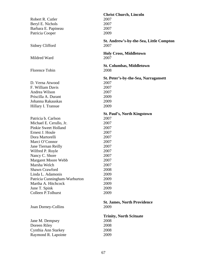| Robert R. Cutler<br>Beryl E. Nichols<br>Barbara E. Papineau<br>Patricia Cooper                                                                                                                                                                                                                                                                                                         | <b>Christ Church, Lincoln</b><br>2007<br>2007<br>2007<br>2009                                                                                                              |
|----------------------------------------------------------------------------------------------------------------------------------------------------------------------------------------------------------------------------------------------------------------------------------------------------------------------------------------------------------------------------------------|----------------------------------------------------------------------------------------------------------------------------------------------------------------------------|
| Sidney Clifford                                                                                                                                                                                                                                                                                                                                                                        | St. Andrew's-by-the-Sea, Little Compton<br>2007                                                                                                                            |
| Mildred Ward                                                                                                                                                                                                                                                                                                                                                                           | <b>Holy Cross, Middletown</b><br>2007                                                                                                                                      |
| <b>Florence Tobin</b>                                                                                                                                                                                                                                                                                                                                                                  | <b>St. Columbas, Middletown</b><br>2008                                                                                                                                    |
| D. Verna Atwood<br>F. William Davis<br>Andrea Wilson<br>Priscilla A. Durant<br>Johanna Rakauskas<br>Hillary I. Transue                                                                                                                                                                                                                                                                 | St. Peter's-by-the-Sea, Narragansett<br>2007<br>2007<br>2007<br>2009<br>2009<br>2009                                                                                       |
| Patricia b. Carlson<br>Michael E. Cerullo, Jr.<br><b>Pinkie Sweet Holland</b><br>Ernest J. Houle<br>Dora Martorelli<br>Marci O'Connor<br>Jane Tiernan Reilly<br>Wilfred P. Royle<br>Nancy C. Shore<br>Margaret Moore Webb<br>Marsha Welch<br><b>Shawn Crawford</b><br>Linda L. Adamonis<br>Patricia Cunningham-Warburton<br>Martha A. Hitchcock<br>June T. Spink<br>Colleen P.Tolhurst | <b>St. Paul's, North Kingstown</b><br>2007<br>2007<br>2007<br>2007<br>2007<br>2007<br>2007<br>2007<br>2007<br>2007<br>2007<br>2008<br>2009<br>2009<br>2009<br>2009<br>2009 |
| Joan Dorney-Collins<br>Jane M. Dempsey<br>Doreen Riley<br>Cynthia Ann Starkey<br>Raymond R. Lapointe                                                                                                                                                                                                                                                                                   | <b>St. James, North Providence</b><br>2009<br><b>Trinity, North Scituate</b><br>2008<br>2008<br>2008<br>2009                                                               |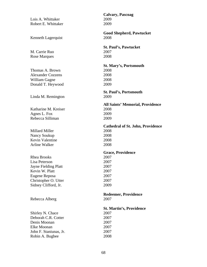**Calvary, Pascoag**  Lois A. Whittaker 2009 Robert E. Whittaker 2009 **Good Shepherd, Pawtucket**  Kenneth Lagerquist 2008 **St. Paul's, Pawtucket**  M. Carrie Ruo 2007 Rose Marques 2008 **St. Mary's, Portsmouth**  Thomas A. Brown 2008 Alexander Cozzens 2008 William Gagne 2008 Donald T. Heywood 2009 **St. Paul's, Portsmouth**  Linda M. Remington 2009 **All Saints' Memorial, Providence**  Katharine M. Kreiser 2008 Agnes L. Fox 2009 Rebecca Silliman 2009 **Cathedral of St. John, Providence**  Millard Miller 2008 Nancy Soukup 2008 Kevin Valentine 2008 Arline Walker 2008 **Grace, Providence**  Rhea Brooks 2007 Lisa Peterson 2007 Jayne Fielding Platt 2007 Kevin W. Platt 2007 Eugene Reposa 2007 Christopher O. Utter 2007 Sidney Clifford, Jr. 2009 **Redeemer, Providence**  Rebecca Alberg 2007 **St. Martin's, Providence**  Shirley N. Chace 2007 Deborah C.R. Cotter 2007 Denis Moonan 2007 Elke Moonan 2007 John F. Staniunas, Jr. 2007 Robin A. Bugbee 2008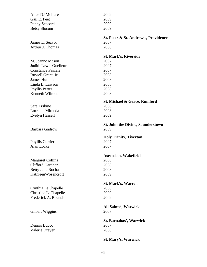| Alice DJ McLure               | 2009                                     |
|-------------------------------|------------------------------------------|
| Gail E. Peet                  | 2009                                     |
| Penny Seacord                 | 2009                                     |
| <b>Betsy Slocum</b>           | 2009                                     |
|                               | St. Peter & St. Andrew's, Providence     |
| James L. Seavor               | 2007                                     |
| Arthur J. Thomas              | 2008                                     |
|                               | <b>St. Mark's, Riverside</b>             |
| M. Jeanne Mason               | 2007                                     |
| <b>Judith Lewis Ouellette</b> | 2007                                     |
| <b>Constance Pascale</b>      | 2007                                     |
| Russell Grant, Jr.            | 2008                                     |
| <b>James Hummel</b>           | 2008                                     |
| Linda L. Lawson               | 2008                                     |
| Phyllis Petter                | 2008                                     |
| Kenneth Wilmot                | 2008                                     |
|                               |                                          |
|                               | St. Michael & Grace, Rumford             |
| Sara Erskine                  | 2008                                     |
| Lorraine Miranda              | 2008                                     |
| Evelyn Hassell                | 2009                                     |
|                               | <b>St. John the Divine, Saunderstown</b> |
| <b>Barbara Gadrow</b>         | 2009                                     |
|                               | <b>Holy Trinity, Tiverton</b>            |
| Phyllis Currier               | 2007                                     |
| Alan Locke                    | 2007                                     |
|                               |                                          |
|                               | <b>Ascension, Wakefield</b>              |
| <b>Margaret Collins</b>       | 2008                                     |
| <b>Clifford Gardner</b>       | 2008                                     |
| <b>Betty Jane Rocha</b>       | 2008                                     |
| KathleenWosencroft            | 2009                                     |
|                               | <b>St. Mark's, Warren</b>                |
| Cynthia LaChapelle            | 2008                                     |
| Christina LaChapelle          | 2009                                     |
| Frederick A. Rounds           | 2009                                     |
|                               |                                          |
|                               | <b>All Saints', Warwick</b>              |
| Gilbert Wiggins               | 2007                                     |
|                               | St. Barnabas', Warwick                   |
| Dennis Bucco                  | 2007                                     |
| Valerie Dreyer                | 2008                                     |
|                               |                                          |
|                               | <b>St. Mary's, Warwick</b>               |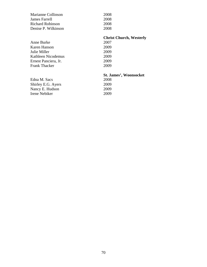| Marianne Collinson   | 2008                           |
|----------------------|--------------------------------|
| James Farrell        | 2008                           |
| Richard Robinson     | 2008                           |
| Denise P. Wilkinson  | 2008                           |
|                      | <b>Christ Church, Westerly</b> |
| Anne Burke           | 2007                           |
| Karen Hanson         | 2009                           |
| Julie Miller         | 2009                           |
| Kathleen Nicodemus   | 2009                           |
| Ernest Panciera, Jr. | 2009                           |
| <b>Frank Thacker</b> | 2009                           |
|                      | <b>St. James', Woonsocket</b>  |
| Edna M. Sacs         | 2008                           |
| Shirley E.G. Ayers   | 2009                           |
| Nancy E. Hudson      | 2009                           |
| Irene Nebiker        | 2009                           |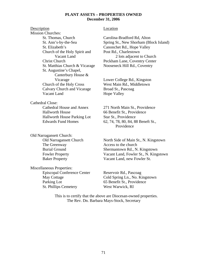#### **PLANT ASSETS – PROPERTIES OWNED December 31, 2006**

Description Location Mission Churches: St. Thomas, Church Carolina-Bradford Rd, Alton St. Elizabeth's Canonchet Rd., Hope Valley Church of the Holy Spirit and Post Rd., Charlestown<br>Vacant Land 2 lots adjacent t St. Matthias Church & Vicarage Nooseneck Hill Rd., Coventry St. Augustine's Chapel, Canterbury House & Church of the Holy Cross West Main Rd., Middletown Calvary Church and Vicarage Broad St., Pascoag Vacant Land Hope Valley

Cathedral Close: Cathedral House and Annex 271 North Main St., Providence Hallworth House 66 Benefit St., Providence Hallworth House Parking Lot Star St., Providence

Old Narragansett Church: The Greenway **Access** to the church

Miscellaneous Properties: Episcopal Conference Center Reservoir Rd., Pascoag Parking Lot 65 Benefit St., Providence St. Phillips Cemetery West Warwick, RI

 St. Ann's-by-the-Sea Spring St., New Shorham (Block Island) 2 lots adjacent to Church Christ Church Peckham Lane, Coventry Center

Vicarage Lower College Rd., Kingston

 Edwards Fund Homes 62, 74, 78, 80, 84, 88 Beneft St., Providence

Old Narragansett Church North Side of Main St., N. Kingstown Burial Ground Shermantown Rd., N. Kingstown Fowler Property Vacant Land, Fowler St., N. Kingstown Baker Property Vacant Land, new Fowler St.

May Cottage Cold Spring Ln., No. Kingstown

 This is to certify that the above are Diocesan-owned properties. The Rev. Dn. Barbara Mays-Stock, Secretary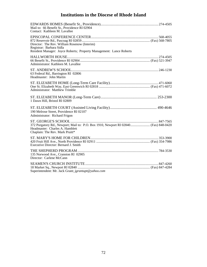# **Institutions in the Diocese of Rhode Island**

| Mail to: 66 Benefit St., Providence RI 02904<br>Contact: Kathleen M. Lavallee                                                                             |  |
|-----------------------------------------------------------------------------------------------------------------------------------------------------------|--|
| Director: The Rev. William Rosenow (Interim)<br>Registrar: Barbara Sidla<br>Resident Manager: Joyce Roberts; Property Management: Lance Roberts           |  |
| Administrator: Kathleen M. Lavallee                                                                                                                       |  |
| 63 Federal Rd., Barrington RI 02806<br>Headmaster: John Martin                                                                                            |  |
| Administrator: Matthew Trimble                                                                                                                            |  |
| 1 Dawn Hill, Bristol RI 02809                                                                                                                             |  |
| 190 Melrose Street, Providence RI 02107<br>Administrator: Richard Frigon                                                                                  |  |
| 372 Purgatory Rd., Newport; Mail to: P.O. Box 1910, Newport RI 02840 (Fax) 848-0420<br>Headmaster: Charles A. Hamblett<br>Chaplain: The Rev. Mark Pruitt* |  |
| Executive Director: Bernard J. Smith                                                                                                                      |  |
| 135 Norwood Ave., Cranston RI 02905<br>Director: Carlene McCann                                                                                           |  |
| Superintendent: Mr. Jack Grant; jgrantupt@yahoo.com                                                                                                       |  |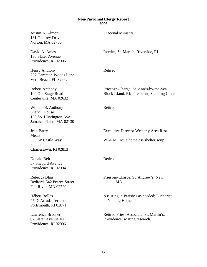# **Non-Parochial Clergy Report 2006**

| Austin A. Almon<br>131 Godfrey Drive<br>Norton, MA 02766                                           | Diaconal Ministry                                                                     |
|----------------------------------------------------------------------------------------------------|---------------------------------------------------------------------------------------|
| David A. Ames<br>130 Slater Avenue<br>Providence, RI 02906                                         | Interim, St. Mark's, Riverside, RI                                                    |
| <b>Henry Anthony</b><br>727 Hampton Woods Lane<br>Vero Beach, FL 32962                             | Retired                                                                               |
| <b>Robert Anthony</b><br>104 Old Stage Road<br>Centerville, MA 02632                               | Priest-In-Charge, St. Ann's-by-the-Sea<br>Block Island, RI; President, Standing Cmte. |
| William S. Anthony<br><b>Sherrill House</b><br>135 So. Huntington Ave.<br>Jamaica Plains, MA 02130 | Retired                                                                               |
| Jean Barry<br>Meals                                                                                | <b>Executive Director Westerly Area Rest</b>                                          |
| 35 CW Castle Way<br>kitchen<br>Charlestown, RI 02813                                               | WARM, Inc. a homeless shelter/soup                                                    |
| Donald Belt<br>37 Shepard Avenue<br>Providence, RI 02904                                           | Retired                                                                               |
| Rebecca Blair<br>Bedford, 542 Pearce Street<br>Fall River, MA 02720                                | Priest-in-Charge, St. Andrew's, New<br>MA                                             |
| <b>Hébert Bolles</b><br>45 DeArruda Terrace<br>Portsmouth, RI 02871                                | Assisting in Parishes as needed; Eucharist<br>in Nursing Homes                        |
| Lawrence Bradner<br>67 Slater Avenue #9<br>Providence, RI 02906                                    | Retired Priest Associate, St. Martin's,<br>Providence; writing research.              |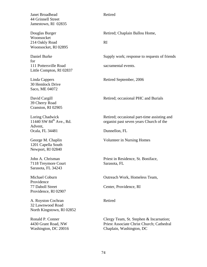Janet Broadhead Retired 44 Grinnell Street Jamestown, RI 02835

Woonsocket 214 Oakly Road RI Woonsocket, RI 02895

for 111 Pottersville Road sacramental events. Little Compton, RI 02837

30 Hemlock Drive Saco, ME 04072

39 Cherry Road Cranston, RI 02905

Advent, Ocala, FL 34481 Dunnellon, FL

1201 Capella South Newport, RI 02840

7118 Treymore Court Sarasota, FL Sarasota, FL 34243

Providence Providence, RI 02907

A. Royston Cochran Retired 32 Lawnwood Road North Kingstown, RI 02852

Douglas Burger Retired; Chaplain Ballou Home,

Daniel Burke Supply work; response to requests of friends

Linda Cappers Retired September, 2006

David Cargill **Retired**; occasional PHC and Burials

Loring Chadwick Retired; occasional part-time assisting and 11440 SW 84<sup>th</sup> Ave., Rd. organist past seven years Church of the

George M. Chaplin Volunteer in Nursing Homes

John A. Chrisman Priest in Residence, St. Boniface,

Michael Coburn Outreach Work, Homeless Team,

77 Daboll Street Center, Providence, RI

Ronald P. Conner Clergy Team, St. Stephen & Incarnation; 4430 Grant Road, NW Priest Associate Christ Church; Cathedral Washington, DC 20016 Chaplain, Washington, DC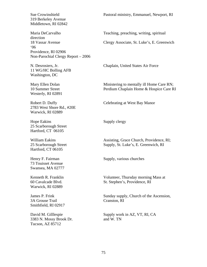319 Berkeley Avenue Middletown, RI 02842

direction '06 Providence, RI 02906 Non-Parochial Clergy Report – 2006

11 WG/HC Bolling AFB Washington, DC

Westerly, RI 02891

2783 West Shore Rd., #20E Warwick, RI 02889

Hope Eakins Supply clergy 25 Scarborough Street Hartford, CT 06105

Hartford, CT 06105

73 Touisset Avenue Swansea, MA 02777

Warwick, RI 02889

3A Grouse Trail Cranston, RI Smithfield, RI 02917

3383 N. Mossy Brook Dr. and W. TN Tucson, AZ 85712

Sue Crowinshield Pastoral ministry, Emmanuel, Newport, RI

Maria DeCarvalho Teaching, preaching, writing, spiritual

18 Vassar Avenue Clergy Associate, St. Luke's, E. Greenwich

N. Desrosiers, Jr. Chaplain, United States Air Force

Mary Ellen Dolan Ministering to mentally ill Home Care RN; 10 Summer Street Perdium Chaplain Home & Hospice Care RI

Robert D. Duffy Celebrating at West Bay Manor

William Eakins Assisting, Grace Church, Providence, RI; 25 Scarborough Street Supply, St. Luke's, E. Greenwich, RI

Henry F. Fairman Supply, various churches

Kenneth R. Franklin Volunteer, Thursday morning Mass at 60 Cavalcade Blvd. St. Stephen's, Providence, RI

James P. Frink Sunday supply, Church of the Ascension,

David M. Gilllespie Supply work in AZ, VT, RI, CA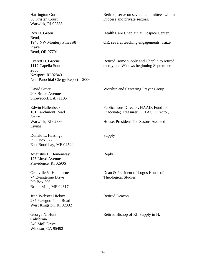Warwick, RI 02888

Bend, Prayer Bend, OR 97701

2006 Newport, RI 02840 Non-Parochial Clergy Report – 2006

208 Bruce Avenue Shreveport, LA 71105

Steere Living

Donald L. Hastings Supply P.O. Box 372 East Boothbay, ME 04544

Augustus L. Hemenway Reply 175 Lloyd Avenue Providence, RI 02906

74 Evangeline Drive Theological Studies PO Box 296 Brooksville, ME 04617

**Jean Webster Hickox** Retired Deacon 287 Yawgoo Pond Road West Kingston, RI 02892

California 249 Moll Drive Windsor, CA 95492

Harrington Gordon Retired; serve on several committees within 50 Kristen Court Diocese and private sectors.

Roy D. Green Health Care Chaplain at Hospice Center,

1940 NW Montery Pines #8 OR; several teaching engagements, Taizé

Everett H. Greene Retired; some supply and Chaplin to retired 1117 Capella South clergy and Widows beginning September,

David Greer Worship and Centering Prayer Group

Edwin Hallenbeck Publications Director, HAAD; Fund for 101 Larchmont Road Diaconate; Treasurer DOTAC, Director,

Warwick, RI 02886 House, President The Sasons Assisted

Granville V. Henthorne Dean & President of Logos House of

George N. Hunt Retired Bishop of RI; Supply in N.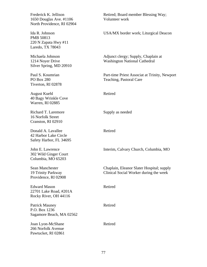| Frederick K. Jellison<br>1650 Douglas Ave. #1106<br>North Providence, RI 02904 | Retired; Board member Blessing Way;<br>Volunteer work                               |
|--------------------------------------------------------------------------------|-------------------------------------------------------------------------------------|
| Ida R. Johnson<br><b>PMB 50813</b><br>220 N Zapata Hwy #11<br>Laredo, TX 78043 | USA/MX border work; Liturgical Deacon                                               |
| Michaela Johnson<br>1214 Noyer Drive<br>Silver Spring, MD 20910                | Adjunct clergy; Supply, Chaplain at<br><b>Washington National Cathedral</b>         |
| Paul S. Koumrian<br><b>PO Box 280</b><br>Tiverton, RI 02878                    | Part-time Priest Associat at Trinity, Newport<br>Teaching, Pastoral Care            |
| <b>August Kuehl</b><br>40 Bagy Wrinkle Cove<br>Warren, RI 02885                | Retired                                                                             |
| Richard T. Laremore<br>16 Norfolk Street<br>Cranston, RI 02910                 | Supply as needed                                                                    |
| Donald A. Lavallee<br>42 Harbor Lake Circle<br>Safety Harbor, FL 34695         | Retired                                                                             |
| John E. Lawrence<br>302 Wild Ginger Court<br>Columbia, MO 65203                | Interim, Calvary Church, Columbia, MO                                               |
| Sean Manchester<br>19 Trinity Parkway<br>Providence, RI 02908                  | Chaplain, Eleanor Slater Hospital; supply<br>Clinical Social Worker during the week |
| <b>Edward Mason</b><br>22701 Lake Road, #201A<br>Rocky River, OH 44116         | Retired                                                                             |
| <b>Patrick Mauney</b><br>P.O. Box 1236<br>Sagamore Beach, MA 02562             | Retired                                                                             |
| Joan Lyon-McShane<br>266 Norfolk Avenue<br>Pawtucket, RI 02861                 | Retired                                                                             |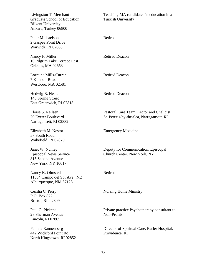| Livingston T. Merchant<br>Graduate School of Education<br><b>Bilkent University</b><br>Ankara, Turkey 06800 | Teaching MA candidates in education in a<br><b>Turkish University</b>                |
|-------------------------------------------------------------------------------------------------------------|--------------------------------------------------------------------------------------|
| Peter Michaelson<br>2 Gaspee Point Drive<br>Warwick, RI 02888                                               | Retired                                                                              |
| Nancy F. Miller<br>10 Pilgrim Lake Terrace East<br>Orleans, MA 02653                                        | <b>Retired Deacon</b>                                                                |
| Lorraine Mills-Curran<br>7 Kimball Road<br>Westboro, MA 02581                                               | <b>Retired Deacon</b>                                                                |
| Hedwig B. Neale<br>143 Spring Street<br>East Greenwich, RI 02818                                            | <b>Retired Deacon</b>                                                                |
| Eloise S. Neilsen<br>20 Exeter Boulevard<br>Narragansett, RI 02882                                          | Pastoral Care Team, Lector and Chalicist<br>St. Peter's-by-the-Sea, Narragansett, RI |
| Elizabeth M. Nestor<br>57 South Road<br>Wakefield, RI 02879                                                 | <b>Emergency Medicine</b>                                                            |
| Janet W. Nunley<br><b>Episcopal News Service</b><br>815 Second Avenue<br>New York, NY 10017                 | Deputy for Communication, Episcopal<br>Church Center, New York, NY                   |
| Nancy K. Olmsted<br>11334 Campo del Sol Ave., NE<br>Alburquerque, NM 87123                                  | Retired                                                                              |
| Cecilia C. Perry<br>P.O. Box 872<br>Bristol, RI 02809                                                       | <b>Nursing Home Ministry</b>                                                         |
| Paul G. Pickens<br>28 Sherman Avenue<br>Lincoln, RI 02865                                                   | Private practice Psychotherapy consultant to<br>Non-Profits                          |
| Pamela Rannenberg<br>442 Wickford Point Rd.<br>North Kingstown, RI 02852                                    | Director of Spiritual Care, Butler Hospital,<br>Providence, RI                       |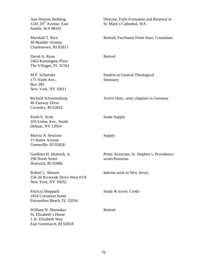Seattle, WA 98102

40 Boulder Avenue Charlestown, RI 02813

David A. Ryan Retired 1663 Kensington Place The Villages, FL 32162

175 Ninth Ave., Seminary Box 285 New York, NY 10011

46 Fairway Drive Coventry, RI 02816

Keith E. Scott Some Supply 103 Union Ave., South Delmar, NY 12054

Marcia A. Sessions Supply 15 Hattie Avenue Greenville, RI 02828

190 North Street writer/historian Warwick, RI 02886

156-20 Riverside Drive West #13I New York, NY 10032

Patricia Sheppard Study & travel; Credo 1854 Cornation Street Fernandina Beach, FL 32034

William N. Shumaker Retired St. Elizabeth's Home 1 St. Elizabeth Way East Greenwich, RI 02818

Ann Holmes Redding Director, Faith Formation and Renewal at 1245 10<sup>th</sup> Avenue, East St. Mark's Cathedral, WA Marshall T. Rice Retired; Facilitator Fresh Start; Consultant M.P. Schneider Student at General Theological Richard Schweinsburg **Active Duty, army chaplain in Germany** Gardiner H. Shattuck, Jr. Priest Associate, St. Stephen's, Providence; Robert L. Shearer Interim work in New Jersey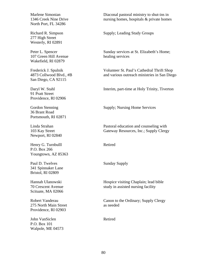North Port, FL 34286

277 High Street Westerly, RI 02891

107 Green Hill Avenue healing services Wakefield, RI 02879

San Diego, CA 92115

91 Pratt Street Providence, RI 02906

36 Brant Road Portsmouth, RI 02871

Newport, RI 02840

Henry G. Turnbulll Retired P.O. Box 266 Youngtown, AZ 85363

Paul D. Twelves Sunday Supply 341 Spinnaker Lane Bristol, RI 02809

Scituate, MA 02066

275 North Main Street as needed Providence, RI 02903

John VanSiclen Retired P.O. Box 101 Walpole, ME 04573

Marlene Simonian Diaconal pastoral ministry to shut-ins in 1346 Creek Nine Drive nursing homes, hospitals & private homes

Richard R. Simpson Supply; Leading Study Groups

Peter L. Spencer Sunday services at St. Elizabeth's Home;

Frederick J. Spulnik Volunteer St. Paul's Cathedral Thrift Shop 4873 Collwood Blvd., #B and various outreach ministries in San Diego

Daryl W. Stahl Interim, part-time at Holy Trinity, Tiverton

Gordon Stenning Supply; Nursing Home Services

Linda Strahan Pastoral education and counseling with 103 Kay Street Gateway Resources, Inc.; Supply Clergy

Hannah Ulanowski Hospice visiting Chaplain; lead bible 70 Crescent Avenue study in assisted nursing facility

Robert Vanderau Canon to the Ordinary; Supply Clergy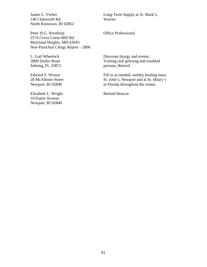146 Chatworth Rd. Warren North Kinstown, RI 02852

Peter H.G. Westhorp **Office Professional** 2574 Creve Coeur Mill Rd. Maryland Heights, MD 63043 Non-Parochial Clergy Report – 2006

Sebring, FL 33872 persons; Retired

Elizabeth L. Wright Retired Deacon 10 Eustis Avenue Newport, RI 02840

James L. Verber Long-Term Supply at St. Mark's,

L. Gail Wheelock Diocesan liturgy and events; 3809 Duffer Road Visiting sick grieving and troubled

Edward S. Winsor Fill in as needed; weekly healing mass 28 McAllister Street Street St. John's, Newport and at St. Hilary's Newport, RI 02840 in Florida throughout the winter.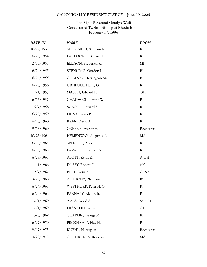# **CANONICALLY RESIDENT CLERGY - June 30, 2006**

# The Right Reverend Geralyn Wolf Consecrated Twelfth Bishop of Rhode Island February 17, 1996

| <b>DATE IN</b> | <b>NAME</b>           | <b>FROM</b>   |
|----------------|-----------------------|---------------|
| 10/27/1951     | SHUMAKER, William N.  | RI            |
| 6/20/1954      | LAREMORE, Richard T.  | RI            |
| 2/15/1955      | ELLISON, Frederick K. | MI            |
| 6/24/1955      | STENNING, Gordon J.   | RI            |
| 6/24/1955      | GORDON, Harrington M. | RI            |
| 6/23/1956      | URNBULL, Henry G.     | RI            |
| 2/1/1957       | MASON, Edward F.      | OH            |
| 6/15/1957      | CHADWICK, Loring W.   | <sub>RI</sub> |
| 6/7/1958       | WINSOR, Edward S.     | RI            |
| 6/20/1959      | FRINK, James P.       | <b>RI</b>     |
| 6/18/1960      | RYAN, David A.        | RI            |
| 9/13/1960      | GREENE, Everett H.    | Rochester     |
| 10/23/1961     | HEMENWAY, Augustus L. | <b>MA</b>     |
| 6/19/1965      | SPENCER, Peter L.     | <b>RI</b>     |
| 6/19/1965      | LAVALLEE, Donald A.   | <b>RI</b>     |
| 6/28/1965      | SCOTT, Keith E.       | S. OH         |
| 11/1/1966      | DUFFY, Robert D.      | <b>NY</b>     |
| 9/7/1967       | BELT, Donald F.       | C. NY         |
| 3/28/1968      | ANTHONY, William S.   | KS            |
| 6/24/1968      | WESTHORP, Peter H. G. | <b>RI</b>     |
| 6/24/1968      | BARNABY, Alcide, Jr.  | <sub>RI</sub> |
| 2/1/1969       | AMES, David A.        | So. OH        |
| 2/1/1969       | FRANKLIN, Kenneth R.  | CT            |
| 3/8/1969       | CHAPLIN, George M.    | RI            |
| 6/27/1970      | PECKHAM, Ashley H.    | <b>RI</b>     |
| 9/17/1973      | KUEHL, H. August      | Rochester     |
| 9/20/1973      | COCHRAN, A. Royston   | MA            |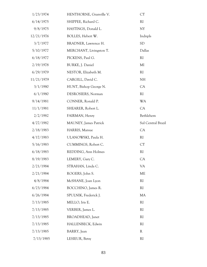| 1/23/1974  | HENTHORNE, Granville V.       | CT                 |
|------------|-------------------------------|--------------------|
| 6/14/1975  | SHIPPEE, Richard C.           | <sub>RI</sub>      |
| 9/8/1975   | HASTINGS, Donald L.           | NY                 |
| 12/21/1976 | BOLLES, Hebert W.             | Indnpls            |
| 3/7/1977   | BRADNER, Lawrence H.          | <b>SD</b>          |
| 5/10/1977  | MERCHANT, Livingston T.       | Dallas             |
| 6/18/1977  | PICKENS, Paul G.              | <sub>RI</sub>      |
| 2/19/1978  | BURKE, J. Daniel              | MI                 |
| 6/29/1979  | NESTOR, Elizabeth M.          | <sub>RI</sub>      |
| 11/21/1979 | CARGILL, David C.             | NH                 |
| 3/1/1980   | HUNT, Bishop George N.        | CA                 |
| 6/1/1980   | DESROSIERS, Norman            | <sub>RI</sub>      |
| 9/14/1981  | CONNER, Ronald P.             | <b>WA</b>          |
| 11/1/1981  | SHEARER, Robert L.            | CA                 |
| 2/2/1982   | FAIRMAN, Henry                | Bethlehem          |
| 4/27/1982  | <b>MAUNEY</b> , James Patrick | Sul Central Brazil |
| 2/18/1983  | HARRIS, Marsue                | CA                 |
| 4/17/1983  | ULANOWSKI, Paula H.           | RI                 |
| 5/16/1983  | CUMMINGS, Robert C.           | CT                 |
| 6/18/1983  | REDDING, Ann Holmes           | RI                 |
| 8/19/1983  | LEMERY, Gary C.               | CA                 |
| 2/21/1984  | STRAHAN, Linda C.             | VA                 |
| 2/21/1984  | ROGERS, John S.               | ME                 |
| 4/8/1984   | McSHANE, Joan Lyon            | RI                 |
| 6/23/1984  | BOCCHINO, James R.            | RI                 |
| 6/26/1984  | SPULNIK, Frederick J.         | <b>MA</b>          |
| 7/13/1985  | MELLO, Iris E.                | <sub>RI</sub>      |
| 7/13/1985  | VERBER, James L.              | RI                 |
| 7/13/1985  | BROADHEAD, Janet              | <sub>RI</sub>      |
| 7/13/1985  | HALLENBECK, Edwin             | <b>RI</b>          |
| 7/13/1985  | BARRY, Jean                   | $\mathbb{R}$       |
| 7/13/1985  | LESIEUR, Betsy                | RI                 |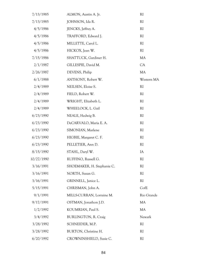| 7/13/1985  | ALMON, Austin A. Jr.       | RI            |
|------------|----------------------------|---------------|
| 7/13/1985  | JOHNSON, Ida R.            | RI            |
| 4/5/1986   | JENCKS, Jeffrey A.         | <sub>RI</sub> |
| 4/5/1986   | TRAFFORD, Edward J.        | RI            |
| 4/5/1986   | MILLETTE, Carol L.         | <sub>RI</sub> |
| 4/5/1986   | HICKOX, Jean W.            | <sub>RI</sub> |
| 7/15/1986  | SHATTUCK, Gardiner H.      | MA            |
| 2/1/1987   | GILLESPIE, David M.        | CA            |
| 2/26/1987  | DEVENS, Philip             | MA            |
| 6/1/1988   | ANTHONY, Robert W.         | Western MA    |
| 2/4/1989   | NEILSEN, Eloise S.         | <sub>RI</sub> |
| 2/4/1989   | FIELD, Robert W.           | <b>RI</b>     |
| 2/4/1989   | WRIGHT, Elizabeth L.       | <sub>RI</sub> |
| 2/4/1989   | WHEELOCK, L. Gail          | <sub>RI</sub> |
| 6/23/1990  | NEALE, Hedwig B.           | <sub>RI</sub> |
| 6/23/1990  | DeCARVALO, Maria E. A.     | RI            |
| 6/23/1990  | SIMONIAN, Marlene          | <sub>RI</sub> |
| 6/23/1990  | HIGBIE, Margaret C. F.     | <b>RI</b>     |
| 6/23/1990  | PELLETIER, Ann D.          | <sub>RI</sub> |
| 8/15/1990  | STAHL, Daryl W.            | IA            |
| 10/27/1990 | RUFFINO, Russell G.        | RI            |
| 3/16/1991  | SHOEMAKER, H. Stephanie C. | RI            |
| 3/16/1991  | NORTH, Susan G.            | RI            |
| 3/16/1991  | GRINNELL, Janice L.        | RI            |
| 5/15/1991  | CHRISMAN, John A.          | CofE          |
| 9/1/1991   | MILLS-CURRAN, Lorraine M.  | Rio Grande    |
| 9/17/1991  | OSTMAN, Jonathon J.D.      | MA            |
| 1/2/1992   | KOUMRIAN, Paul S.          | <b>MA</b>     |
| 3/4/1992   | BURLINGTON, R. Craig       | Newark        |
| 3/28/1992  | SCHNEIDER, M.P.            | RI            |
| 3/28/1992  | BURTON, Christine H.       | RI            |
| 6/20/1992  | CROWNINSHIELD, Susie C.    | RI            |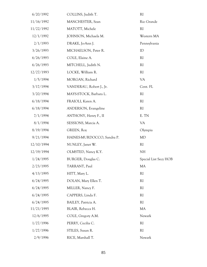| 6/20/1992  | COLLINS, Judith T.         | RI                    |
|------------|----------------------------|-----------------------|
| 11/16/1992 | MANCHESTER, Sean           | Rio Grande            |
| 11/22/1992 | MATOTT, Michele            | RI                    |
| 12/1/1992  | JOHNSON, Michaela M.       | Western MA            |
| 2/1/1993   | DRAKE, Jo-Ann J.           | Pennsylvania          |
| 3/26/1993  | MICHAELSON, Peter R.       | ID                    |
| 6/26/1993  | COLE, Elaine A.            | <sub>RI</sub>         |
| 6/26/1993  | MITCHELL, Judith N.        | RI                    |
| 12/27/1993 | LOCKE, William R.          | RI                    |
| 1/5/1994   | MORGAN, Richard            | <b>VA</b>             |
| 3/17/1994  | VANDERAU, Robert J., Jr.   | Cent. FL              |
| 3/20/1994  | MAYS-STOCK, Barbara L.     | RI                    |
| 6/18/1994  | FRAIOLI, Karen A.          | RI                    |
| 6/18/1994  | ANDERSON, Evangeline       | <b>RI</b>             |
| 7/1/1994   | ANTHONY, Henry F., II      | E. TN                 |
| 8/1/1994   | SESSIONS, Marcia A.        | VA                    |
| 8/19/1994  | GREEN, Roy                 | Olympia               |
| 9/21/1994  | HAINES-MURDOCCO, Sandra P. | MD                    |
| 12/10/1994 | NUNLEY, Janet W.           | RI                    |
| 12/19/1994 | OLMSTED, Nancy K.Y.        | NH                    |
| 1/24/1995  | BURGER, Douglas C.         | Special List Secy HOB |
| 2/23/1995  | TARRANT, Paul              | MA                    |
| 4/13/1995  | HITT, Mary L.              | <sub>RI</sub>         |
| 6/24/1995  | DOLAN, Mary Ellen T.       | <sub>RI</sub>         |
| 6/24/1995  | MILLER, Nancy F.           | RI                    |
| 6/24/1995  | CAPPERS, Linda F.          | RI                    |
| 6/24/1995  | BAILEY, Patricia A.        | RI                    |
| 11/21/1995 | BLAIR, Rebecca H.          | MA                    |
| 12/6/1995  | COLE, Gregory A.M.         | Newark                |
| 1/27/1996  | PERRY, Cecilia C.          | <sub>RI</sub>         |
| 1/27/1996  | STILES, Susan R.           | RI                    |
| 2/9/1996   | RICE, Marshall T.          | Newark                |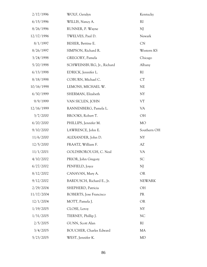| 2/17/1996  | WOLF, Geralyn                  | Kentucky      |
|------------|--------------------------------|---------------|
| 6/15/1996  | WILLIS, Nancy A.               | <sub>RI</sub> |
| 8/26/1996  | RUNNER, P. Wayne               | NJ            |
| 12/17/1996 | TWELVES, Paul D.               | Newark        |
| 8/1/1997   | BESIER, Bettine E.             | <b>CN</b>     |
| 8/26/1997  | SIMPSON, Richard R.            | Western KS    |
| 3/24/1998  | GREGORY, Pamela                | Chicago       |
| 5/20/1998  | SCHWEINSBURG, Jr., Richard     | Albany        |
| 6/13/1998  | EDRICK, Jennifer L.            | RI            |
| 8/18/1998  | COBURN, Michael C.             | CT            |
| 10/16/1998 | LEMONS, MICHAEL W.             | <b>NE</b>     |
| 6/30/1999  | SHERMAN, Elizabeth             | NY            |
| 9/9/1999   | VAN SICLEN, JOHN               | <b>VT</b>     |
| 12/16/1999 | RANNENBERG, Pamela L.          | VA            |
| 3/7/2000   | BROOKS, Robert T.              | OH            |
| 6/20/2000  | PHILLIPS, Jennifer M.          | <b>MO</b>     |
| 9/10/2000  | LAWRENCE, John E.              | Southern OH   |
| 11/6/2000  | ALEXANDER, John D.             | NY            |
| 12/5/2000  | FRAATZ, William F.             | AZ            |
| 11/1/2001  | GOLDSBOROUGH, C. Neal          | VA            |
| 4/10/2002  | PRIOR, John Gregory            | SC            |
| 6/27/2002  | PENFIELD, Joyce                | NJ            |
| 8/12/2002  | CANAVAN, Mary A.               | <b>OR</b>     |
| 9/12/2002  | BARDUSCH, Richard E., Jr.      | <b>NEWARK</b> |
| 2/29/2004  | SHEPHERD, Patricia             | OH            |
| 11/17/2004 | ROBERTS, Jose Francisco        | <b>PR</b>     |
| 12/1/2004  | MOTT, Pamela J.                | <b>OR</b>     |
| 1/19/2005  | CLOSE, Leroy                   | NY            |
| 1/31/2005  | TIERNEY, Phillip J.            | <b>NC</b>     |
| 2/5/2005   | GUNN, Scott Alan               | <sub>RI</sub> |
| 3/4/2005   | <b>BOUCHER, Charles Edward</b> | MA            |
| 5/23/2005  | WEST, Jennifer K.              | MD            |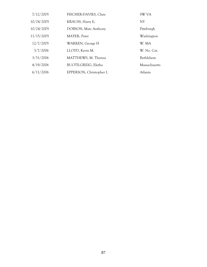| 7/12/2005  | FISCHER-DAVIES, Clare      | SW VA          |
|------------|----------------------------|----------------|
| 10/24/2005 | KRAUSS, Harry E,           | NY <sub></sub> |
| 10/24/2005 | DOBSON, Marc Anthony       | Pittsburgh     |
| 11/15/2005 | MAYER, Peter               | Washington     |
| 12/7/2005  | WARREN, George H           | W. MA          |
| 3/7/2006   | LLOYD, Kevin M.            | W. No. Car.    |
| 3/31/2006  | MATTHEWS, M. Theresa       | Bethlehem      |
| 4/19/2006  | <b>BUOTE-GREIG, Eletha</b> | Massachusetts  |
| 6/11/2006  | EPPERSON, Christopher L    | Atlanta        |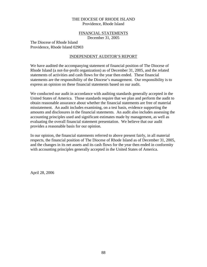## FINANCIAL STATEMENTS

December 31, 2005

The Diocese of Rhode Island Providence, Rhode Island 02903

#### INDEPENDENT AUDITOR'S REPORT

We have audited the accompanying statement of financial position of The Diocese of Rhode Island (a not-for-profit organization) as of December 31, 2005, and the related statements of activities and cash flows for the year then ended. These financial statements are the responsibility of the Diocese's management. Our responsibility is to express an opinion on these financial statements based on our audit.

We conducted our audit in accordance with auditing standards generally accepted in the United States of America. Those standards require that we plan and perform the audit to obtain reasonable assurance about whether the financial statements are free of material misstatement. An audit includes examining, on a test basis, evidence supporting the amounts and disclosures in the financial statements. An audit also includes assessing the accounting principles used and significant estimates made by management, as well as evaluating the overall financial statement presentation. We believe that our audit provides a reasonable basis for our opinion.

In our opinion, the financial statements referred to above present fairly, in all material respects, the financial position of The Diocese of Rhode Island as of December 31, 2005, and the changes in its net assets and its cash flows for the year then ended in conformity with accounting principles generally accepted in the United States of America.

April 28, 2006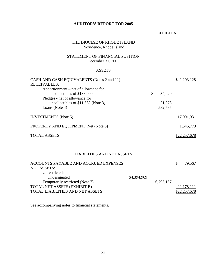# **AUDITOR'S REPORT FOR 2005**

#### EXHIBIT A

# THE DIOCESE OF RHODE ISLAND Providence, Rhode Island

# STATEMENT OF FINANCIAL POSITION December 31, 2005

# ASSETS

| CASH AND CASH EQUIVALENTS (Notes 2 and 11)<br><b>RECEIVABLES:</b>     |              | \$2,203,128  |
|-----------------------------------------------------------------------|--------------|--------------|
| Apportionment – net of allowance for                                  |              |              |
| uncollectibles of \$138,000                                           | \$<br>34,020 |              |
| Pledges - net of allowance for<br>uncollectibles of \$11,832 (Note 3) | 21,973       |              |
| Loans (Note 4)                                                        | 532,585      |              |
| <b>INVESTMENTS</b> (Note 5)                                           |              | 17,901,931   |
| PROPERTY AND EQUIPMENT, Net (Note 6)                                  |              | 1,545,779    |
| <b>TOTAL ASSETS</b>                                                   |              | \$22,257,678 |
|                                                                       |              |              |

## LIABILITIES AND NET ASSETS

| ACCOUNTS PAYABLE AND ACCRUED EXPENSES   |             |           | S. | 79,567       |
|-----------------------------------------|-------------|-----------|----|--------------|
| <b>NET ASSETS:</b>                      |             |           |    |              |
| Unrestricted:                           |             |           |    |              |
| Undesignated                            | \$4,394,969 |           |    |              |
| Temporarily restricted (Note 7)         |             | 6,795,157 |    |              |
| TOTAL NET ASSETS (EXHIBIT B)            |             |           |    | 22,178,111   |
| <b>TOTAL LIABILITIES AND NET ASSETS</b> |             |           |    | \$22,257,678 |

See accompanying notes to financial statements.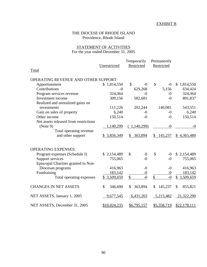# EXHIBIT B

# THE DIOCESE OF RHODE ISLAND Providence, Rhode Island

# STATEMENT OF ACTIVITIES For the year ended December 31, 2005

|                                       |               | Temporarily            | Permanently   |                 |
|---------------------------------------|---------------|------------------------|---------------|-----------------|
|                                       | Unrestricted  | Restricted             | Restricted    |                 |
| Total                                 |               |                        |               |                 |
|                                       |               |                        |               |                 |
| OPERATING REVENUE AND OTHER SUPPORT:  |               |                        |               |                 |
| Apportionment                         | \$1,814,550   | $\mathcal{S}$<br>$-()$ | \$<br>$-0$    | 1,814,550<br>\$ |
| Contributions                         | $-0$          | 629,268                | 5,156         | 634,424         |
| Program services revenue              | 324,364       | $-0$                   | $-0$          | 324,364         |
| Investment income                     | 309,156       | 582,681                | $-0$          | 891,837         |
| Realized and unrealized gains on      |               |                        |               |                 |
| investments                           | 111,226       | 292,244                | 140,081       | 543,551         |
| Gain on sales of property             | 6,240         | $-0$                   | $-0$          | 6,240           |
| Other income                          | 150,514       | $-0$                   | $-0$          | 150,514         |
| Net assets released from restrictions |               |                        |               |                 |
| (Note 9)                              | 1,140,299     | (1,140,299)            | $-0$          | $-0$            |
| Total operating revenue               |               |                        |               |                 |
| and other support                     | \$3,856,349   | \$<br>363,894          | 145,237<br>\$ | \$4,365,480     |
| <b>OPERATING EXPENSES:</b>            |               |                        |               |                 |
| Program expenses (Schedule I)         | \$2,154,489   | \$<br>$-0$             | \$<br>$-0$    | \$2,154,489     |
| Support services                      | 755,065       | $-0$                   | $-()$         | 755,065         |
| Episcopal Charities granted to Non-   |               |                        |               |                 |
| Diocesan programs                     | 416,963       | $-0$                   | $-0$          | 416,963         |
| Fundraising                           | 183,142       | $-0$                   | $-0$          | 183,142         |
| Total operating expenses              | \$3,509,659   | $\overline{-0}$<br>\$  | \$<br>$-0$    | \$ 3,509,659    |
| <b>CHANGES IN NET ASSETS</b>          | \$<br>346,690 | 363,894<br>\$          | 145,237<br>\$ | \$<br>855,821   |
| NET ASSETS, January 1, 2005           | 9,677,545     | 6,431,263              | 5,213,482     | 21,322,290      |
| NET ASSETS, December 31, 2005         | \$10,024,235  | \$6,795,157            | \$5,358,719   | \$22,178,111    |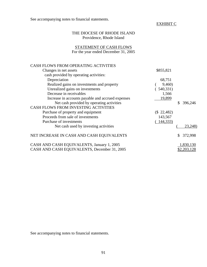See accompanying notes to financial statements.

# EXHIBIT C

# THE DIOCESE OF RHODE ISLAND Providence, Rhode Island

# STATEMENT OF CASH FLOWS For the year ended December 31, 2005

| CASH FLOWS FROM OPERATING ACTIVITIES                                                       |                     |
|--------------------------------------------------------------------------------------------|---------------------|
| Changes in net assets                                                                      | \$855,821           |
| cash provided by operating activities:                                                     |                     |
| Depreciation                                                                               | 68,751              |
| Realized gains on investments and property                                                 | 9,460)              |
| Unrealized gains on investments                                                            | (540,331)           |
| Decrease in receivables                                                                    | 1,566               |
| Increase in accounts payable and accrued expenses                                          | 19,899              |
| Net cash provided by operating activities                                                  | 396,246             |
| <b>CASH FLOWS FROM INVESTING ACTIVITIES</b>                                                |                     |
| Purchase of property and equipment                                                         | $(S\ 22,482)$       |
| Proceeds from sale of investments                                                          | 143,567             |
| Purchase of investments                                                                    | 144,333)            |
| Net cash used by investing activities                                                      | 23,248)             |
| NET INCREASE IN CASH AND CASH EQUIVALENTS                                                  | 372,998<br>\$       |
| CASH AND CASH EQUIVALENTS, January 1, 2005<br>CASH AND CASH EQUIVALENTS, December 31, 2005 | 1,830,130<br>RZ 203 |
|                                                                                            |                     |

See accompanying notes to financial statements.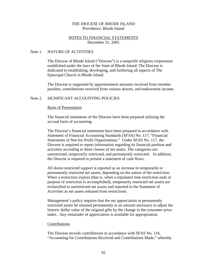## NOTES TO FINANCIAL STATEMENTS December 31, 2005

#### Note 1. NATURE OF ACTIVITIES

The Diocese of Rhode Island ("Diocese") is a nonprofit religious corporation established under the laws of the State of Rhode Island. The Diocese is dedicated to establishing, developing, and furthering all aspects of The Episcopal Church in Rhode Island.

The Diocese is supported by apportionment amounts received from member parishes, contributions received from various donors, and endowment income.

## Note 2. SIGNIFICANT ACCOUNTING POLICIES

#### Basis of Presentation

The financial statements of the Diocese have been prepared utilizing the accrual basis of accounting.

The Diocese's financial statements have been prepared in accordance with Statement of Financial Accounting Standards (SFAS) No. 117, "Financial Statements of Not-for-Profit Organizations." Under SFAS No. 117, the Diocese is required to report information regarding its financial position and activities according to three classes of net assets. The categories are: unrestricted, temporarily restricted, and permanently restricted. In addition, the Diocese is required to present a statement of cash flows.

All donor-restricted support is reported as an increase in temporarily or permanently restricted net assets, depending on the nature of the restriction. When a restriction expires (that is, when a stipulated time restriction ends or purpose of restriction is accomplished), temporarily restricted net assets are reclassified to unrestricted net assets and reported in the Statement of Activities as net assets released from restrictions.

Management's policy requires that the net appreciation in permanently restricted assets be retained permanently in an amount necessary to adjust the historic dollar value of the original gifts by the change in the consumer price index. Any remainder of appreciation is available for appropriation.

#### Contributions

The Diocese records contributions in accordance with SFAS No. 116, "Accounting for Contributions Received and Contributions Made," whereby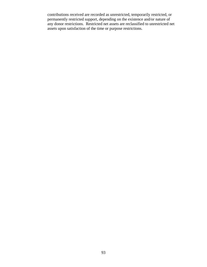contributions received are recorded as unrestricted, temporarily restricted, or permanently restricted support, depending on the existence and/or nature of any donor restrictions. Restricted net assets are reclassified to unrestricted net assets upon satisfaction of the time or purpose restrictions.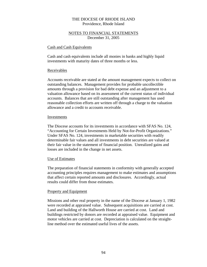# NOTES TO FINANCIAL STATEMENTS December 31, 2005

#### Cash and Cash Equivalents

Cash and cash equivalents include all monies in banks and highly liquid investments with maturity dates of three months or less.

#### Receivables

Accounts receivable are stated at the amount management expects to collect on outstanding balances. Management provides for probable uncollectible amounts through a provision for bad debt expense and an adjustment to a valuation allowance based on its assessment of the current status of individual accounts. Balances that are still outstanding after management has used reasonable collection efforts are written off through a charge to the valuation allowance and a credit to accounts receivable.

#### **Investments**

The Diocese accounts for its investments in accordance with SFAS No. 124, "Accounting for Certain Investments Held by Not-for-Profit Organizations." Under SFAS No. 124, investments in marketable securities with readily determinable fair values and all investments in debt securities are valued at their fair value in the statement of financial position. Unrealized gains and losses are included in the change in net assets.

## Use of Estimates

The preparation of financial statements in conformity with generally accepted accounting principles requires management to make estimates and assumptions that affect certain reported amounts and disclosures. Accordingly, actual results could differ from those estimates.

#### Property and Equipment

Missions and other real property in the name of the Diocese at January 1, 1982 were recorded at appraised value. Subsequent acquisitions are carried at cost. Land and building of the Hallworth House are carried at cost. Land and buildings restricted by donors are recorded at appraised value. Equipment and motor vehicles are carried at cost. Depreciation is calculated on the straightline method over the estimated useful lives of the assets.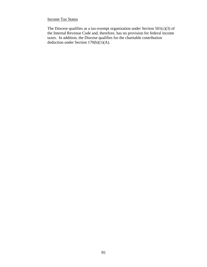# Income Tax Status

The Diocese qualifies as a tax-exempt organization under Section  $501(c)(3)$  of the Internal Revenue Code and, therefore, has no provision for federal income taxes. In addition, the Diocese qualifies for the charitable contribution deduction under Section  $170(b)(1)(A)$ .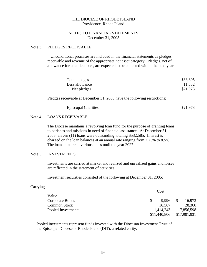## NOTES TO FINANCIAL STATEMENTS December 31, 2005

#### Note 3. PLEDGES RECEIVABLE

 Unconditional promises are included in the financial statements as pledges receivable and revenue of the appropriate net asset category. Pledges, net of allowance for uncollectibles, are expected to be collected within the next year.

| Total pledges  | \$33,805 |
|----------------|----------|
| Less allowance | 11,832   |
| Net pledges    | \$21,973 |

Pledges receivable at December 31, 2005 have the following restrictions:

| <b>Episcopal Charities</b> | \$21,973 |
|----------------------------|----------|
|----------------------------|----------|

#### Note 4. LOANS RECEIVABLE

The Diocese maintains a revolving loan fund for the purpose of granting loans to parishes and missions in need of financial assistance. At December 31, 2005, eleven (11) loans were outstanding totaling \$532,585. Interest is charged on the loan balances at an annual rate ranging from 2.75% to 8.5%. The loans mature at various dates until the year 2027.

#### Note 5. INVESTMENTS

Investments are carried at market and realized and unrealized gains and losses are reflected in the statement of activities.

Investment securities consisted of the following at December 31, 2005:

#### Carrying

|                     | Cost                   |            |  |  |  |  |
|---------------------|------------------------|------------|--|--|--|--|
| Value               |                        |            |  |  |  |  |
| Corporate Bonds     | 9.996<br><sup>\$</sup> | 16,973     |  |  |  |  |
| <b>Common Stock</b> | 16,567                 | 28,360     |  |  |  |  |
| Pooled Investments  | 11,414,243             | 17,856,598 |  |  |  |  |
|                     | .440.806               |            |  |  |  |  |

Pooled investments represent funds invested with the Diocesan Investment Trust of the Episcopal Diocese of Rhode Island (DIT), a related entity.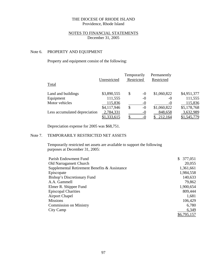# NOTES TO FINANCIAL STATEMENTS December 31, 2005

# Note 6. PROPERTY AND EQUIPMENT

# Property and equipment consist of the following:

| Total                         | Unrestricted | Temporarily<br>Restricted |        | Permanently<br>Restricted |             |
|-------------------------------|--------------|---------------------------|--------|---------------------------|-------------|
| Land and buildings            | \$3,890,555  | \$                        | $-0$   | \$1,060,822               | \$4,951,377 |
| Equipment                     | 111,555      |                           | $-0$   | $-()$                     | 111,555     |
| Motor vehicles                | 115,836      |                           | -0     | $-0$                      | 115,836     |
|                               | \$4,117,946  | \$                        | $-0$   | \$1,060,822               | \$5,178,768 |
| Less accumulated depreciation | 2,784,331    |                           | -0     | 848,658                   | 3,632,989   |
|                               | \$1,333,615  |                           | $-$ () | 212,164                   | \$1,545,779 |

Depreciation expense for 2005 was \$68,751.

## Note 7. TEMPORARILY RESTRICTED NET ASSETS

Temporarily restricted net assets are available to support the following purposes at December 31, 2005:

| Parish Endowment Fund                         | 377,051<br>\$ |
|-----------------------------------------------|---------------|
| <b>Old Narragansett Church</b>                | 20,055        |
| Supplemental Retirement Benefits & Assistance | 1,361,661     |
| Episcopate                                    | 1,984,558     |
| Bishop's Discretionary Fund                   | 140,633       |
| A.A. Gammell                                  | 79,862        |
| Elmer R. Shippee Fund                         | 1,900,654     |
| <b>Episcopal Charities</b>                    | 809,444       |
| <b>Airport Chapel</b>                         | 1,681         |
| <b>Missions</b>                               | 106,429       |
| <b>Commission on Ministry</b>                 | 6,780         |
| City Camp                                     | 6,349         |
|                                               | \$6,795,157   |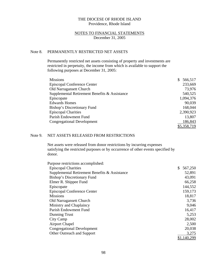#### NOTES TO FINANCIAL STATEMENTS December 31, 2005

## Note 8. PERMANENTLY RESTRICTED NET ASSETS

Permanently restricted net assets consisting of property and investments are restricted in perpetuity, the income from which is available to support the following purposes at December 31, 2005:

| <b>Missions</b>                               | 566,517<br>$\mathbb{S}^-$ |
|-----------------------------------------------|---------------------------|
| <b>Episcopal Conference Center</b>            | 233,669                   |
| <b>Old Narragansett Church</b>                | 73,976                    |
| Supplemental Retirement Benefits & Assistance | 540,525                   |
| Episcopate                                    | 1,094,376                 |
| <b>Edwards Homes</b>                          | 90,039                    |
| Bishop's Discretionary Fund                   | 168,044                   |
| <b>Episcopal Charities</b>                    | 2,390,923                 |
| Parish Endowment Fund                         | 13,807                    |
| <b>Congregational Development</b>             | 186,843                   |
|                                               | \$5,358,719               |

# Note 9. NET ASSETS RELEASED FROM RESTRICTIONS

Net assets were released from donor restrictions by incurring expenses satisfying the restricted purposes or by occurrence of other events specified by donor.

| Purpose restrictions accomplished:            |               |
|-----------------------------------------------|---------------|
| <b>Episcopal Charities</b>                    | \$<br>567,250 |
| Supplemental Retirement Benefits & Assistance | 52,891        |
| Bishop's Discretionary Fund                   | 43,091        |
| Elmer R. Shippee Fund                         | 66,258        |
| Episcopate                                    | 144,552       |
| <b>Episcopal Conference Center</b>            | 159,173       |
| <b>Missions</b>                               | 18,817        |
| <b>Old Narragansett Church</b>                | 3,736         |
| Ministry and Chaplaincy                       | 9,046         |
| Parish Endowment Fund                         | 16,417        |
| Dunning Trust                                 | 5,253         |
| City Camp                                     | 28,002        |
| <b>Airport Chapel</b>                         | 2,500         |
| <b>Congregational Development</b>             | 20,038        |
| Other Outreach and Support                    | 3,275         |
|                                               | \$1,140,299   |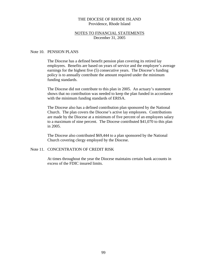#### NOTES TO FINANCIAL STATEMENTS December 31, 2005

#### Note 10. PENSION PLANS

The Diocese has a defined benefit pension plan covering its retired lay employees. Benefits are based on years of service and the employee's average earnings for the highest five (5) consecutive years. The Diocese's funding policy is to annually contribute the amount required under the minimum funding standards.

The Diocese did not contribute to this plan in 2005. An actuary's statement shows that no contribution was needed to keep the plan funded in accordance with the minimum funding standards of ERISA.

The Diocese also has a defined contribution plan sponsored by the National Church. The plan covers the Diocese's active lay employees. Contributions are made by the Diocese at a minimum of five percent of an employees salary to a maximum of nine percent. The Diocese contributed \$41,070 to this plan in 2005.

The Diocese also contributed \$69,444 to a plan sponsored by the National Church covering clergy employed by the Diocese.

#### Note 11. CONCENTRATION OF CREDIT RISK

At times throughout the year the Diocese maintains certain bank accounts in excess of the FDIC insured limits.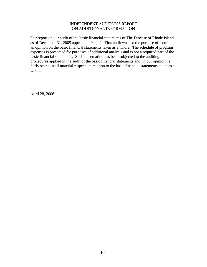# INDEPENDENT AUDITOR'S REPORT **ON ADDITIONAL INFORMATION**

Our report on our audit of the basic financial statements of The Diocese of Rhode Island as of December 31, 2005 appears on Page 2. That audit was for the purpose of forming an opinion on the basic financial statements taken as a whole. The schedule of program expenses is presented for purposes of additional analysis and is not a required part of the basic financial statements. Such information has been subjected to the auditing procedures applied in the audit of the basic financial statements and, in our opinion, is fairly stated in all material respects in relation to the basic financial statements taken as a whole.

April 28, 2006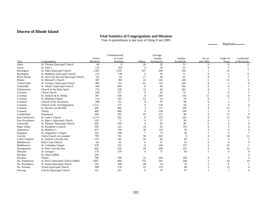#### **Diocese of Rhode Island**

#### **Vital Statistics of Congregations and Missions**

Year in parentheses is last year of filing if not 2005

Baptisms——  $\overline{\phantom{0}}$ 

 $\overline{\phantom{0}}$ 

|                        |                                       |         | Communicants   |                | Average    |            |                |                |                |
|------------------------|---------------------------------------|---------|----------------|----------------|------------|------------|----------------|----------------|----------------|
|                        |                                       | Active  | in Good        |                | Sunday     | Sunday     | $16$ yrs       | Under 16       | Confirmed      |
| City                   | Congregation                          | Members | Standing       | Others         | Attendance | Eucharists | and Older      | Years          | or Received    |
| Alton                  | St. Thomas Episcopal Church           | 46      | $\overline{0}$ | 20             | 28         | 53         | $\Omega$       | $\overline{0}$ |                |
| Aston                  | St. John's                            | 233     | 203            | $\overline{0}$ | 50         | 61         |                | 5              |                |
| Barrington             | St. Johns Episcopal Church            | 1,585   | 1,047          | 297            | 260        | 194        |                | 14             |                |
| Barrington             | St. Matthews Episcopal Church         | 113     | 138            | $\overline{0}$ | 59         | 51         |                | 2              |                |
| <b>Block Island</b>    | St. Ann's-by-the-Sea Episcopal Church | 62      | 62             | 17             | 38         | 63         |                | 2              |                |
| <b>Bristol</b>         | St. Michael's Church                  | 301     | 301            | 22             | 145        | 140        |                | 15             |                |
| <b>Central Falls</b>   | St. George's Episcopal Church         | 493     | 113            | 62             | 114        | 104        |                | 5              | $\theta$       |
| Centredale             | St. Alban's Episcopal Church          | 344     | 204            | 6              | 90         | 102        | $\Omega$       |                | $\overline{2}$ |
| Charlestown            | Church of the Holy Spirit             | 274     | 239            | 12             | 66         | 102        | $\Omega$       | 5              | $\Omega$       |
| Coventry               | Christ Church                         | 189     | 157            | 6              | 67         | 74         | $\Omega$       | 6              |                |
| Coventry               | St. Andrew & St. Philip               | 497     | 430            | 8              | 230        | 156        | 12             | 12             | 6              |
| Coventry               | St. Matthias Church                   | 114     | 103            | 55             | 54         | 54         | $\Omega$       | $\tau$         | $\Omega$       |
| Cranston               | Church of the Ascension               | 248     | 151            | 8              | 97         | 94         | $\Omega$       | 3              |                |
| Cranston               | Church of the Transfiguration         | 1,113   | 575            | 0              | 110        | 92         |                | 4              | $\theta$       |
| Cranston               | St. David's-on-the-Hill               | 436     | 283            | 3              | 117        | 150        |                | 15             |                |
| Cranston               | Trinity                               | 460     | 460            | $\theta$       | 136        | 104        |                | 9              |                |
| Cumberland             | Emmanuel                              | 294     | 293            | 45             | 122        | 98         |                | 13             | $\Omega$       |
| East Greenwich         | St. Luke's Church                     | 1.174   | 932            | 0              | 252        | 103        |                | 13             | 25             |
| <b>East Providence</b> | St. Mary's Episcopal Church           | 156     | 71             |                | 27         | 50         | $\Omega$       |                |                |
| Greenville             | St. Thomas' Episcopal Church          | 442     | 339            |                | 95         | 90         | $\Omega$       | 6              | $\Omega$       |
| Hope Valley            | St. Elizabeth's Church                | 305     | 125            | 18             | 65         | 101        |                | 5              | $\Omega$       |
| Jamestown              | St. Matthew's                         | 457     | 310            | 50             | 110        | 92         |                | $\Omega$       | $\Omega$       |
| Kingston               | St. Augustine's Chapel                | 225     | 198            | 7              | 73         | 95         |                | 6              |                |
| Lincoln                | Christ Church in Lonsdale             | 799     | 742            | 59             | 203        | $\Omega$   |                | 18             | 13             |
| Little Compton         | St. Andrew's-by-the-Sea               | 174     | 145            | 26             | 82         | 65         |                |                | 5              |
| Middletown             | <b>Holy Cross Church</b>              | 54      | 42             | $\mathbf{0}$   | 37         | 55         | $\Omega$       | 9              | 9              |
| Middletown             | St. Columbas Chapel                   | 478     | 322            | $\Omega$       | 140        | 107        |                | 20             |                |
| Narragansett           | St. Peter's-by-the-Sea                | 692     | 518            | 20             | 208        | 101        | $\theta$       | 24             | 15             |
| Newport                | St. George's                          | 179     | 179            | $\mathbf{0}$   | 77         | 95         |                | 8              | $\mathbf{0}$   |
| Newport                | St. Johns (2004)                      | 250     |                |                |            |            |                |                |                |
| Newport                | Trinity                               | 790     | 790            | 52             | 204        | 106        | $\theta$       | 9              | 3              |
| No. Kingstown          | St. Paul's Episcopal Church (2004)    | 1,847   | 844            | 753            | 292        | 268        | $\overline{2}$ | 34             | 19             |
| No. Providence         | St. James Episcopal Church            | 195     | 108            | 48             | 54         | 51         |                | $\overline{0}$ |                |
| No. Scituate           | <b>Trinity Episcopal Church</b>       | 398     | 276            | 25             | 133        | 86         | $\overline{c}$ | 13             |                |
| Pascoag                | Calvary Episcopal Church              | 161     | 161            | $\Omega$       | 70         | 97         |                | $\tau$         | 6              |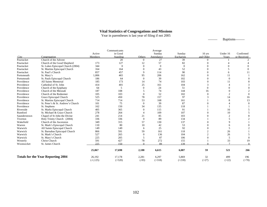#### **Vital Statistics of Congregations and Missions**

Year in parentheses is last year of filing if not 2005

Baptisms—— ÷,

|              |                                           |             | Communicants |          | Average      |            |                |                |             |
|--------------|-------------------------------------------|-------------|--------------|----------|--------------|------------|----------------|----------------|-------------|
|              |                                           | Active      | in Good      |          | Sunday       | Sunday     | $16$ yrs       | Under 16       | Confirmed   |
| City         | Congregation                              | Members     | Standing     | Others   | Attendance   | Eucharists | and Older      | Years          | or Received |
| Pawtucket    | Church of the Advent                      |             | 20           | $\Omega$ | 27           | 39         | $\Omega$       |                |             |
| Pawtucket    | Church of the Good Shepherd               | 173         | 127          | 12       | 57           | 82         | $\Omega$       |                |             |
| Pawtucket    | St. Lukes Episcopal Church (2004)         | 344         | $\Omega$     | $\theta$ | $\mathbf{0}$ | $\Omega$   |                |                |             |
| Pawtucket    | St. Martins Episcopal Church              | 164         | 164          | $\Omega$ | 43           | 52         |                |                |             |
| Pawtucket    | St. Paul's Church                         | 857         | 457          | 9        | 114          | 90         | $\Omega$       | 6              | 11          |
| Portsmouth   | St. Mary's                                | 1,006       | 465          | 95       | 206          | 162        | $\Omega$       | 11             |             |
| Portsmouth   | St. Pauls Episcopal Church                | 186         | 64           | $\Omega$ | 39           | 102        | $\Omega$       | $\Omega$       |             |
| Providence   | <b>All Saints Memorial</b>                | 185         | 173          | 14       | 74           | 103        | $\Omega$       | 11             |             |
| Providence   | Cathedral of St. John                     | 414         | 401          | 25       | 161          | 104        |                |                |             |
| Providence   | Church of the Epiphany                    | 64          | 5            | $\Omega$ | 24           | 51         | $\Omega$       | $\Omega$       |             |
| Providence   | Church of the Messiah                     | 187         | 108          | 5        | 74           | 144        | 16             | $\theta$       |             |
| Providence   | Church of the Redeemer                    | 105         | 103          | $\Omega$ | 52           | 102        | $\Omega$       | 2              | $\Omega$    |
| Providence   | Grace Episcopal Church                    | 525         | 450          | 78       | 157          | 97         | 3              | 14             | 16          |
| Providence   | St. Martins Episcopal Church              | 714         | 714          | 53       | 168          | 161        |                | 8              | 13          |
| Providence   | St. Peter's & St. Andrew's Church         | 101         | 75           | $\theta$ | 39           | 87         |                |                |             |
| Providence   | St. Stephens                              | 162         | 150          | 34       | 135          | 118        |                |                |             |
| Riverside    | St. Marks Episcopal Church                | 405         | 365          | $\Omega$ | 115          | 91         |                | 16             |             |
| Rumford      | St. Michael & Grace Church                | 278         | 264          |          | 109          | 107        |                | 10             |             |
| Saunderstown | Chapel of St John the Divine              | 241         | 214          | 21       | 85           | 103        |                | $\overline{c}$ |             |
| Tiverton     | Holy Trinity Church (2004)                | 336         | 336          | $\theta$ | 89           | 134        |                | 5              |             |
| Wakefield    | Church of the Ascension                   | 349         | 315          | 57       | 130          | 137        |                | 9              |             |
| Warren       | St. Mark's Episcopal Church               | 110         | 80           | 10       | 42           | 53         |                | 6              |             |
| Warwick      | All Saints Episcopal Church               | 149         | 149          | 6        | 25           | 92         |                | 5              |             |
| Warwick      | St. Barnabas Episcopal Church             | 866         | 591          | 59       | 161          | 118        | $\overline{c}$ | 26             |             |
| Warwick      | St. Mark's Church                         | 527         | 265          | $\Omega$ | 136          | 104        | $\overline{c}$ | 26             |             |
| Warwick      | St. Mary's Church                         | 225         | 205          | 5        | 87           | 106        | $\Omega$       | 5              | $\Omega$    |
| Westerly     | Christ Church                             | 591         | 427          | 78       | 272          | 155        |                | 33             | 19          |
| Woonsocket   | St. James Church                          | 225         | 150          | $\Omega$ | 89           | 139        |                | $\mathbf{r}$   | $\Omega$    |
|              |                                           | 25,067      | 17,698       | 2,188    | 6,615        | 6,087      | 59             | 521            | 266         |
|              | <b>Totals for the Year Reporting 2004</b> | 26,192      | 17,178       | 2,281    | 6,297        | 5,869      | 32             | 499            | 196         |
|              |                                           | $(-1, 125)$ | $(+520)$     | $(-93)$  | $(+318)$     | $(+218)$   | $(+27)$        | $(+22)$        | $(+70)$     |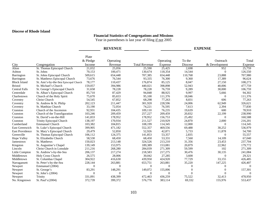#### **Diocese of Rhode Island**

#### **Financial Statistics of Congregations and Missions**

Year in parentheses is last year of filing if not 2005

|                        |                                       |                   | <b>REVENUE</b> |                      | <b>EXPENSE</b> |          |               |          |  |
|------------------------|---------------------------------------|-------------------|----------------|----------------------|----------------|----------|---------------|----------|--|
|                        |                                       | Plate<br>& Pledge | Operating      |                      | Operating      | To the   | Outreach      | Total    |  |
| City                   | Congregation                          | Income            | Revenue        | <b>Total Revenue</b> | Expense        | Diocese  | & Development | Expense  |  |
| Alton                  | St. Thomas Episcopal Church           | 21,032            | 25,056         | 25,590               | 25,425         | 2,698    | 952           | 25,759   |  |
| Ashton                 | St. Johns                             | 70,153            | 100,471        | 130,674              | 118,354        | 14,544   | $\Omega$      | 126,550  |  |
| Barrington             | St. Johns Episcopal Church            | 509,615           | 654,448        | 707,385              | 654,448        | 110,768  | 23,888        | 707,980  |  |
| Barrington             | St. Matthews Episcopal Church         | 73,676            | 76,544         | 93,335               | 76,300         | 9,360    | 17,389        | 96,624   |  |
| <b>Block Island</b>    | St. Ann's-by-the-Sea Episcopal Church | 78,177            | 110,437        | 176,874              | 85,125         | 8,047    | 27,150        | 108,273  |  |
| <b>Bristol</b>         | St. Michael's Church                  | 159,057           | 394,986        | 440,021              | 398,898        | 52,943   | 40,006        | 477,759  |  |
| <b>Central Falls</b>   | St. George's Episcopal Church         | 31,658            | 78,228         | 78,228               | 76,759         | 9,289    | 30,000        | 106,759  |  |
| Centredale             | St. Alban's Episcopal Church          | 85,710            | 87,429         | 94,848               | 88,925         | 9,997    | 5,666         | 94,302   |  |
| Charlestown            | Church of the Holy Spirit             | 75,670            | 85,653         | 95,100               | 111,376        | 18,046   | $\Omega$      | 111,376  |  |
| Coventry               | Christ Church                         | 54,545            | 67,852         | 68,298               | 77,263         | 8,831    | 606           | 77,263   |  |
| Coventry               | St. Andrew & St. Philip               | 202,123           | 211,447        | 301,920              | 228,596        | 24,006   | 62,949        | 326,621  |  |
| Coventry               | St. Matthias Church                   | 33,190            | 72,054         | 74,221               | 76,595         | 7,613    | 2,394         | 77,830   |  |
| Cranston               | Church of the Ascension               | 92,931            | 104,435        | 109,110              | 76,235         | 19,639   | 600           | 78,910   |  |
| Cranston               | Church of the Transfiguration         | 103,246           | 209,459        | 257,227              | 209,459        | 20,832   | 22,199        | 238,990  |  |
| Cranston               | St. David's-on-the-Hill               | 141,833           | 178,952        | 178,952              | 156,753        | 25,492   | $\Omega$      | 160,588  |  |
| Cranston               | Trinity Episcopal Church              | 138,197           | 170,934        | 211,527              | 210,929        | 24,870   | 2,000         | 216,201  |  |
| Cumberland             | <b>Emmanuel Church</b>                | 103,382           | 104,815        | 108,199              | 114,345        | 12,000   | $\Omega$      | 114,345  |  |
| East Greenwich         | St. Luke's Episcopal Church           | 399,905           | 471,182        | 552,357              | 469,556        | 69,488   | 30,252        | 536,979  |  |
| <b>East Providence</b> | St. Mary's Episcopal Church           | 29,479            | 52,850         | 52,926               | 42,871         | 5,733    | 11,878        | 54,700   |  |
| Greenville             | St. Thomas Episcopal Church           | 106,112           | 124,375        | 141,853              | 53,357         | 2,835    | $\theta$      | 55,557   |  |
| Hope Valley            | St. Elizabeths Church                 | 58,530            | 68,450         | 68,450               | 53,331         | 7,560    | 14,109        | 67,040   |  |
| Jamestown              | St. Matthews                          | 150,023           | 213,148        | 324,526              | 213,210        | 31,356   | 23,453        | 237,704  |  |
| Kingston               | St. Augustine's Chapel                | 139,149           | 153,975        | 189,389              | 153,081        | 20,879   | 22,962        | 179,772  |  |
| Lincoln                | Christ Church in Lonsdale             | 211,216           | 268,280        | 284,039              | 271,309        | 59,599   | 102           | 271,309  |  |
| Little Compton         | St. Andrew's-by-the-Sea               | 206,137           | 217,274        | 218,583              | 217,275        | 30,476   | 30,135        | 241,084  |  |
| Middletown             | Holy Cross Church                     | 26,575            | 28,006         | 30,042               | 27,285         | 3,600    | $\Omega$      | 29,321   |  |
| Middletown             | St. Columbas Chapel                   | 304,922           | 416,630        | 439,950              | 424,920        | 77,729   | 33,155        | 426,485  |  |
| Narragansett           | St. Peter's-by-the-Sea                | 228,144           | 263,881        | 653,751              | 263,881        | 35,220   | 147,225       | 426,407  |  |
| Newport                | Emmanuel (2004)                       | $\Omega$          | $\theta$       | $\mathbf{0}$         | $\Omega$       | $\Omega$ | $\Omega$      | $\Omega$ |  |
| Newport                | St. George's                          | 83,291            | 148,291        | 149,072              | 155,006        | 0        | ∩             | 157,301  |  |
| Newport                | St. John's (2004)                     | $\mathbf{0}$      | $\theta$       | $\overline{0}$       | $\overline{0}$ | $\Omega$ | $\Omega$      | $\theta$ |  |
| Newport                | Trinity                               | 331,091           | 438,399        | 472,463              | 436,259        | 75,522   | 32,413        | 478,950  |  |
| No. Kingstown          | St. Paul's (2004)                     | 372,739           | 399,372        | 576,776              | 383,114        | 69.332   | 155,976       | 553,437  |  |